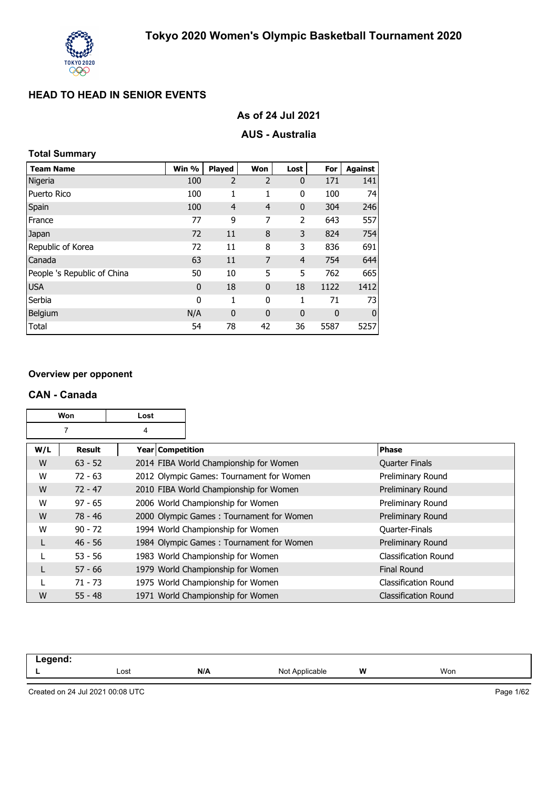

| As of 24 Jul 2021 |  |  |  |
|-------------------|--|--|--|
|-------------------|--|--|--|

## **AUS - Australia**

## **Total Summary**

| <b>Team Name</b>            | Win %        | Played         | Won            | Lost           | For  | <b>Against</b> |
|-----------------------------|--------------|----------------|----------------|----------------|------|----------------|
| Nigeria                     | 100          | $\overline{2}$ | $\overline{2}$ | $\mathbf 0$    | 171  | 141            |
| Puerto Rico                 | 100          | 1              | 1              | 0              | 100  | 74             |
| Spain                       | 100          | $\overline{4}$ | $\overline{4}$ | $\mathbf 0$    | 304  | 246            |
| France                      | 77           | 9              | 7              | 2              | 643  | 557            |
| Japan                       | 72           | 11             | 8              | 3              | 824  | 754            |
| Republic of Korea           | 72           | 11             | 8              | 3              | 836  | 691            |
| Canada                      | 63           | 11             | 7              | $\overline{4}$ | 754  | 644            |
| People 's Republic of China | 50           | 10             | 5              | 5              | 762  | 665            |
| <b>USA</b>                  | $\mathbf{0}$ | 18             | $\mathbf{0}$   | 18             | 1122 | 1412           |
| Serbia                      | 0            | 1              | 0              | 1              | 71   | 73             |
| Belgium                     | N/A          | $\mathbf 0$    | $\mathbf{0}$   | $\mathbf 0$    | 0    | $\mathbf 0$    |
| Total                       | 54           | 78             | 42             | 36             | 5587 | 5257           |

#### **Overview per opponent**

#### **CAN - Canada**

| <b>Won</b><br>Lost |           |                    |                                          |                             |
|--------------------|-----------|--------------------|------------------------------------------|-----------------------------|
|                    | 7         | 4                  |                                          |                             |
| W/L                | Result    | Year   Competition |                                          | <b>Phase</b>                |
| W                  | $63 - 52$ |                    | 2014 FIBA World Championship for Women   | <b>Quarter Finals</b>       |
| W                  | $72 - 63$ |                    | 2012 Olympic Games: Tournament for Women | Preliminary Round           |
| W                  | $72 - 47$ |                    | 2010 FIBA World Championship for Women   | Preliminary Round           |
| W                  | $97 - 65$ |                    | 2006 World Championship for Women        | Preliminary Round           |
| W                  | 78 - 46   |                    | 2000 Olympic Games: Tournament for Women | Preliminary Round           |
| W                  | $90 - 72$ |                    | 1994 World Championship for Women        | <b>Quarter-Finals</b>       |
|                    | $46 - 56$ |                    | 1984 Olympic Games: Tournament for Women | Preliminary Round           |
|                    | $53 - 56$ |                    | 1983 World Championship for Women        | <b>Classification Round</b> |
|                    | $57 - 66$ |                    | 1979 World Championship for Women        | <b>Final Round</b>          |
|                    | $71 - 73$ |                    | 1975 World Championship for Women        | <b>Classification Round</b> |
| W                  | $55 - 48$ |                    | 1971 World Championship for Women        | <b>Classification Round</b> |

| .<br>. |      |     |                 |   |     |
|--------|------|-----|-----------------|---|-----|
| -      | Lost | N/A | Not /<br>∵°able | W | Won |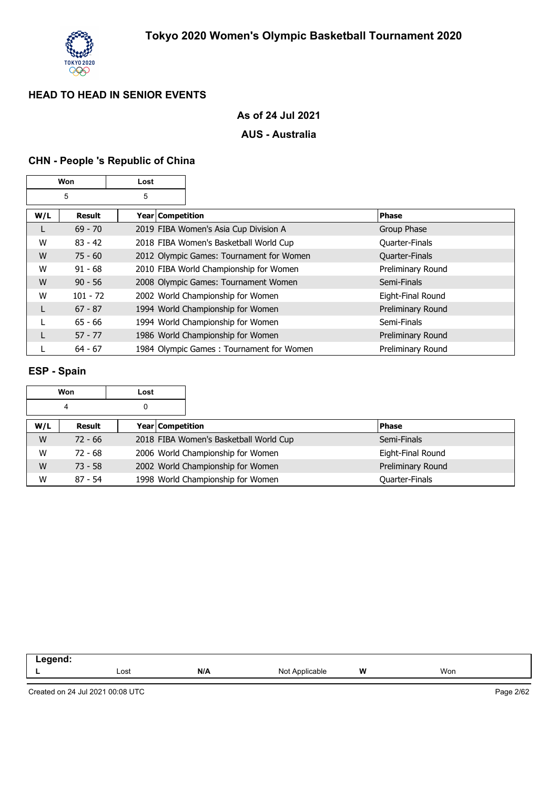

#### **As of 24 Jul 2021**

### **AUS - Australia**

## **CHN - People 's Republic of China**

| Won |            | Lost             |                                          |                   |
|-----|------------|------------------|------------------------------------------|-------------------|
|     | 5          | 5                |                                          |                   |
| W/L | Result     | Year Competition |                                          | <b>Phase</b>      |
| L   | $69 - 70$  |                  | 2019 FIBA Women's Asia Cup Division A    | Group Phase       |
| W   | $83 - 42$  |                  | 2018 FIBA Women's Basketball World Cup   | Quarter-Finals    |
| W   | $75 - 60$  |                  | 2012 Olympic Games: Tournament for Women | Quarter-Finals    |
| W   | $91 - 68$  |                  | 2010 FIBA World Championship for Women   | Preliminary Round |
| W   | $90 - 56$  |                  | 2008 Olympic Games: Tournament Women     | Semi-Finals       |
| W   | $101 - 72$ |                  | 2002 World Championship for Women        | Eight-Final Round |
| L   | $67 - 87$  |                  | 1994 World Championship for Women        | Preliminary Round |
|     | $65 - 66$  |                  | 1994 World Championship for Women        | Semi-Finals       |
|     | $57 - 77$  |                  | 1986 World Championship for Women        | Preliminary Round |
|     | $64 - 67$  |                  | 1984 Olympic Games: Tournament for Women | Preliminary Round |

#### **ESP - Spain**

| Won<br>Lost |           |                                        |                   |
|-------------|-----------|----------------------------------------|-------------------|
| 4           |           |                                        |                   |
| W/L         | Result    | <b>Year Competition</b>                | <b>Phase</b>      |
| W           | $72 - 66$ | 2018 FIBA Women's Basketball World Cup | Semi-Finals       |
| W           | $72 - 68$ | 2006 World Championship for Women      | Eight-Final Round |
| W           | $73 - 58$ | 2002 World Championship for Women      | Preliminary Round |
| W           | $87 - 54$ | 1998 World Championship for Women      | Quarter-Finals    |

| -- - |      |     |                          |   |     |  |
|------|------|-----|--------------------------|---|-----|--|
|      | Lost | N/A | NI∩i<br>Applicable<br>◥◡ | W | Won |  |
|      |      |     |                          |   |     |  |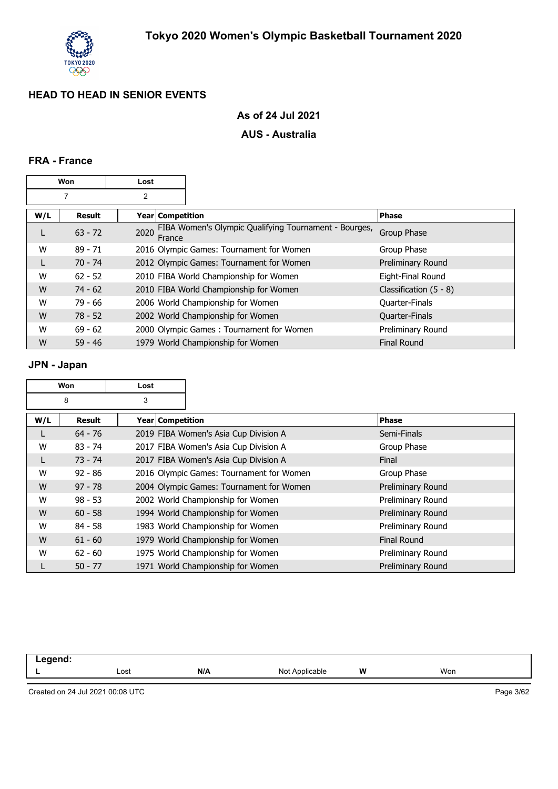

## **As of 24 Jul 2021**

### **AUS - Australia**

### **FRA - France**

| Won<br>Lost |           |                  |                                                       |                          |
|-------------|-----------|------------------|-------------------------------------------------------|--------------------------|
|             | 7         | $\overline{2}$   |                                                       |                          |
| W/L         | Result    | Year Competition |                                                       | <b>Phase</b>             |
| L           | $63 - 72$ | 2020<br>France   | FIBA Women's Olympic Qualifying Tournament - Bourges, | Group Phase              |
| W           | $89 - 71$ |                  | 2016 Olympic Games: Tournament for Women              | Group Phase              |
| L           | $70 - 74$ |                  | 2012 Olympic Games: Tournament for Women              | Preliminary Round        |
| W           | $62 - 52$ |                  | 2010 FIBA World Championship for Women                | Eight-Final Round        |
| W           | $74 - 62$ |                  | 2010 FIBA World Championship for Women                | Classification $(5 - 8)$ |
| W           | $79 - 66$ |                  | 2006 World Championship for Women                     | Quarter-Finals           |
| W           | $78 - 52$ |                  | 2002 World Championship for Women                     | Quarter-Finals           |
| W           | $69 - 62$ |                  | 2000 Olympic Games: Tournament for Women              | Preliminary Round        |
| W           | $59 - 46$ |                  | 1979 World Championship for Women                     | <b>Final Round</b>       |

## **JPN - Japan**

| <b>Won</b><br>Lost |           |                         |                                          |                    |
|--------------------|-----------|-------------------------|------------------------------------------|--------------------|
|                    | 8         | 3                       |                                          |                    |
| W/L                | Result    | <b>Year Competition</b> |                                          | <b>Phase</b>       |
|                    | $64 - 76$ |                         | 2019 FIBA Women's Asia Cup Division A    | Semi-Finals        |
| W                  | $83 - 74$ |                         | 2017 FIBA Women's Asia Cup Division A    | Group Phase        |
|                    | $73 - 74$ |                         | 2017 FIBA Women's Asia Cup Division A    | Final              |
| W                  | $92 - 86$ |                         | 2016 Olympic Games: Tournament for Women | Group Phase        |
| W                  | $97 - 78$ |                         | 2004 Olympic Games: Tournament for Women | Preliminary Round  |
| W                  | $98 - 53$ |                         | 2002 World Championship for Women        | Preliminary Round  |
| W                  | $60 - 58$ |                         | 1994 World Championship for Women        | Preliminary Round  |
| W                  | $84 - 58$ |                         | 1983 World Championship for Women        | Preliminary Round  |
| W                  | $61 - 60$ |                         | 1979 World Championship for Women        | <b>Final Round</b> |
| W                  | $62 - 60$ |                         | 1975 World Championship for Women        | Preliminary Round  |
|                    | $50 - 77$ |                         | 1971 World Championship for Women        | Preliminary Round  |

| ----- |      |     |                |   |     |
|-------|------|-----|----------------|---|-----|
| -     | Lost | N/A | licable<br>Not | W | Won |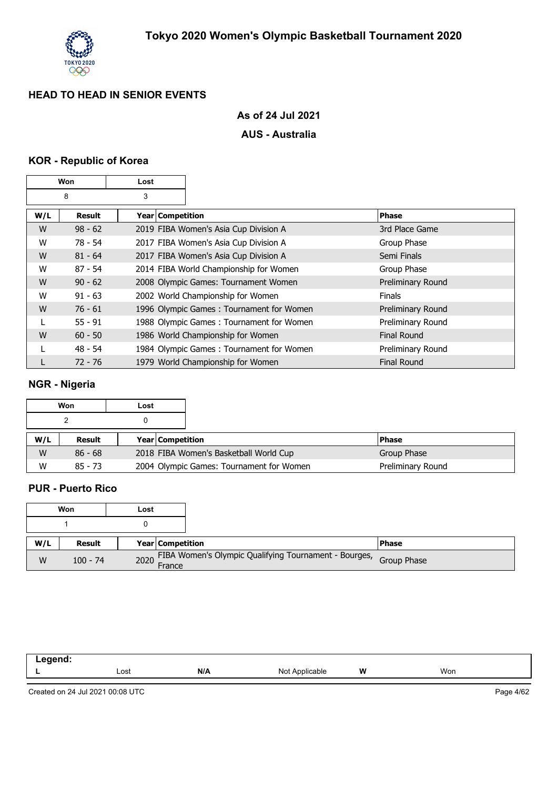

#### **As of 24 Jul 2021**

### **AUS - Australia**

## **KOR - Republic of Korea**

| Won<br>Lost |           |                    |                                          |                    |
|-------------|-----------|--------------------|------------------------------------------|--------------------|
|             | 8         | 3                  |                                          |                    |
| W/L         | Result    | Year   Competition |                                          | <b>Phase</b>       |
| W           | $98 - 62$ |                    | 2019 FIBA Women's Asia Cup Division A    | 3rd Place Game     |
| W           | $78 - 54$ |                    | 2017 FIBA Women's Asia Cup Division A    | Group Phase        |
| W           | $81 - 64$ |                    | 2017 FIBA Women's Asia Cup Division A    | Semi Finals        |
| W           | $87 - 54$ |                    | 2014 FIBA World Championship for Women   | Group Phase        |
| W           | $90 - 62$ |                    | 2008 Olympic Games: Tournament Women     | Preliminary Round  |
| W           | $91 - 63$ |                    | 2002 World Championship for Women        | <b>Finals</b>      |
| W           | $76 - 61$ |                    | 1996 Olympic Games: Tournament for Women | Preliminary Round  |
|             | $55 - 91$ |                    | 1988 Olympic Games: Tournament for Women | Preliminary Round  |
| W           | $60 - 50$ |                    | 1986 World Championship for Women        | <b>Final Round</b> |
|             | $48 - 54$ |                    | 1984 Olympic Games: Tournament for Women | Preliminary Round  |
|             | $72 - 76$ |                    | 1979 World Championship for Women        | <b>Final Round</b> |

## **NGR - Nigeria**

|     | Won       | Lost |                    |                                          |  |                   |
|-----|-----------|------|--------------------|------------------------------------------|--|-------------------|
|     |           |      |                    |                                          |  |                   |
| W/L | Result    |      | Year   Competition |                                          |  | <b>IPhase</b>     |
| W   | $86 - 68$ |      |                    | 2018 FIBA Women's Basketball World Cup   |  | Group Phase       |
| W   | $85 - 73$ |      |                    | 2004 Olympic Games: Tournament for Women |  | Preliminary Round |

### **PUR - Puerto Rico**

|     | Won           | Lost        |                         |                                                                   |              |
|-----|---------------|-------------|-------------------------|-------------------------------------------------------------------|--------------|
|     |               |             |                         |                                                                   |              |
| W/L | <b>Result</b> |             | <b>Year Competition</b> |                                                                   | <b>Phase</b> |
| W   | $100 - 74$    | 2020 France |                         | FIBA Women's Olympic Qualifying Tournament - Bourges, Group Phase |              |

| ----<br>-- |      |     |                  |   |     |  |
|------------|------|-----|------------------|---|-----|--|
| -          | Lost | N/A | $\sim$<br>$\sim$ | W | Won |  |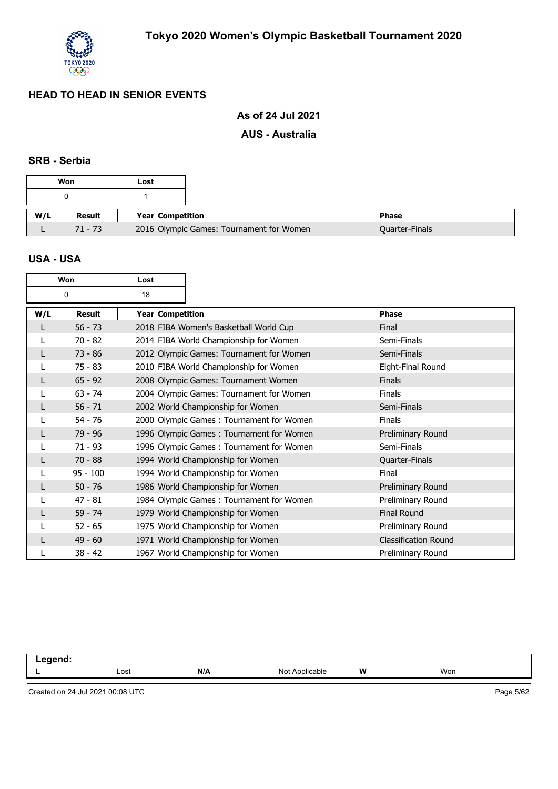

## **As of 24 Jul 2021**

#### **AUS - Australia**

#### **SRB - Serbia**

|     | Won       | Lost |                    |                                          |
|-----|-----------|------|--------------------|------------------------------------------|
|     |           |      |                    |                                          |
| W/L | Result    |      | Year   Competition |                                          |
|     | $71 - 73$ |      |                    | 2016 Olympic Games: Tournament for Women |

#### **USA - USA**

|     | Won           | Lost             |                                          |                             |
|-----|---------------|------------------|------------------------------------------|-----------------------------|
|     | 0             | 18               |                                          |                             |
| W/L | <b>Result</b> | Year Competition |                                          | <b>Phase</b>                |
|     | $56 - 73$     |                  | 2018 FIBA Women's Basketball World Cup   | Final                       |
|     | $70 - 82$     |                  | 2014 FIBA World Championship for Women   | Semi-Finals                 |
|     | $73 - 86$     |                  | 2012 Olympic Games: Tournament for Women | Semi-Finals                 |
|     | $75 - 83$     |                  | 2010 FIBA World Championship for Women   | Eight-Final Round           |
|     | $65 - 92$     |                  | 2008 Olympic Games: Tournament Women     | <b>Finals</b>               |
|     | $63 - 74$     |                  | 2004 Olympic Games: Tournament for Women | Finals                      |
|     | $56 - 71$     |                  | 2002 World Championship for Women        | Semi-Finals                 |
|     | $54 - 76$     |                  | 2000 Olympic Games: Tournament for Women | Finals                      |
|     | 79 - 96       |                  | 1996 Olympic Games: Tournament for Women | Preliminary Round           |
|     | $71 - 93$     |                  | 1996 Olympic Games: Tournament for Women | Semi-Finals                 |
|     | $70 - 88$     |                  | 1994 World Championship for Women        | Quarter-Finals              |
|     | $95 - 100$    |                  | 1994 World Championship for Women        | Final                       |
|     | $50 - 76$     |                  | 1986 World Championship for Women        | Preliminary Round           |
|     | $47 - 81$     |                  | 1984 Olympic Games: Tournament for Women | Preliminary Round           |
|     | $59 - 74$     |                  | 1979 World Championship for Women        | <b>Final Round</b>          |
|     | $52 - 65$     |                  | 1975 World Championship for Women        | Preliminary Round           |
|     | $49 - 60$     |                  | 1971 World Championship for Women        | <b>Classification Round</b> |
|     | $38 - 42$     |                  | 1967 World Championship for Women        | Preliminary Round           |

**Legend: L** Lost **N/A** Not Applicable **W** Won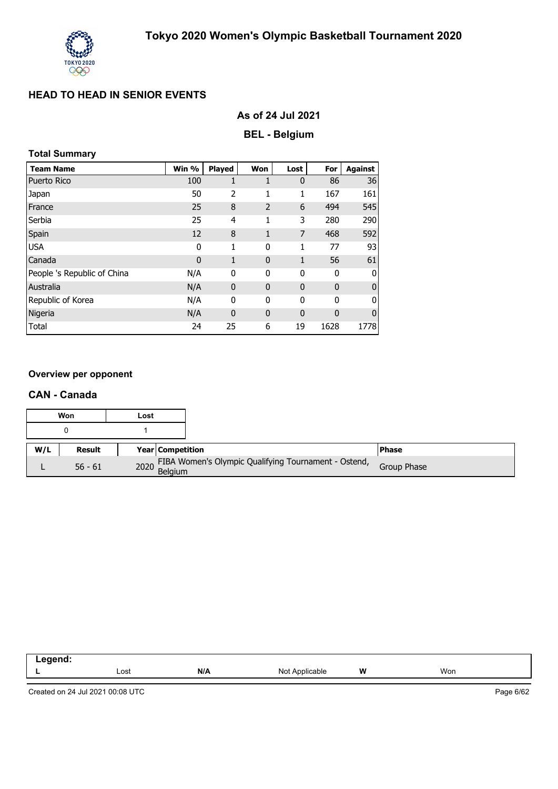

### **As of 24 Jul 2021**

## **BEL - Belgium**

## **Total Summary**

| <b>Team Name</b>            | Win %       | <b>Played</b> | Won            | Lost         | For          | <b>Against</b> |
|-----------------------------|-------------|---------------|----------------|--------------|--------------|----------------|
| <b>Puerto Rico</b>          | 100         | 1             | 1              | $\mathbf 0$  | 86           | 36             |
| Japan                       | 50          | 2             | 1              | 1            | 167          | 161            |
| France                      | 25          | 8             | $\overline{2}$ | 6            | 494          | 545            |
| Serbia                      | 25          | 4             | 1              | 3            | 280          | 290            |
| Spain                       | 12          | 8             | 1              | 7            | 468          | 592            |
| <b>USA</b>                  | 0           | 1             | 0              | 1            | 77           | 93             |
| Canada                      | $\mathbf 0$ | 1             | $\mathbf{0}$   | $\mathbf{1}$ | 56           | 61             |
| People 's Republic of China | N/A         | $\mathbf{0}$  | 0              | 0            | $\mathbf{0}$ | 0              |
| Australia                   | N/A         | 0             | $\mathbf 0$    | $\mathbf{0}$ | $\mathbf{0}$ | $\mathbf 0$    |
| Republic of Korea           | N/A         | 0             | 0              | 0            | 0            | 0              |
| Nigeria                     | N/A         | $\mathbf{0}$  | $\mathbf{0}$   | $\mathbf 0$  | $\mathbf{0}$ | $\mathbf 0$    |
| Total                       | 24          | 25            | 6              | 19           | 1628         | 1778           |

#### **Overview per opponent**

#### **CAN - Canada**

|     | Won           | Lost |                                                           |              |
|-----|---------------|------|-----------------------------------------------------------|--------------|
|     |               |      |                                                           |              |
| W/L | <b>Result</b> |      | <b>Year Competition</b>                                   | <b>Phase</b> |
|     | $56 - 61$     |      | 2020 FIBA Women's Olympic Qualifying Tournament - Ostend, | Group Phase  |

| --<br>. |      |     |              |   |     |
|---------|------|-----|--------------|---|-----|
| _       | Lost | N/A | הוח<br>าable | W | Won |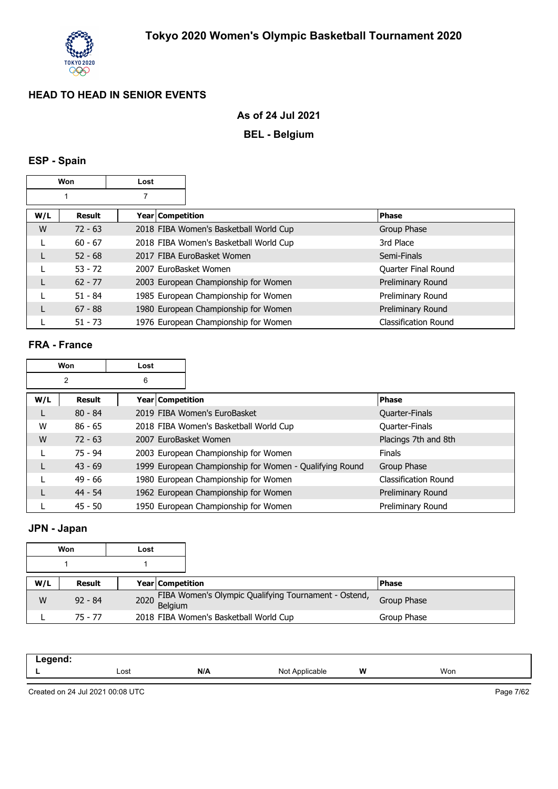

### **As of 24 Jul 2021**

## **BEL - Belgium**

## **ESP - Spain**

|     | Won       | Lost                  |                                        |                             |
|-----|-----------|-----------------------|----------------------------------------|-----------------------------|
|     |           |                       |                                        |                             |
| W/L | Result    | Year   Competition    |                                        | <b>Phase</b>                |
| W   | $72 - 63$ |                       | 2018 FIBA Women's Basketball World Cup | Group Phase                 |
|     | $60 - 67$ |                       | 2018 FIBA Women's Basketball World Cup | 3rd Place                   |
|     | $52 - 68$ |                       | 2017 FIBA EuroBasket Women             | Semi-Finals                 |
|     | $53 - 72$ | 2007 EuroBasket Women |                                        | Quarter Final Round         |
| L   | $62 - 77$ |                       | 2003 European Championship for Women   | Preliminary Round           |
|     | $51 - 84$ |                       | 1985 European Championship for Women   | Preliminary Round           |
| L   | $67 - 88$ |                       | 1980 European Championship for Women   | Preliminary Round           |
|     | $51 - 73$ |                       | 1976 European Championship for Women   | <b>Classification Round</b> |

### **FRA - France**

|     | Won       | Lost                  |                                                         |                       |
|-----|-----------|-----------------------|---------------------------------------------------------|-----------------------|
|     | 2         | 6                     |                                                         |                       |
| W/L | Result    | Year   Competition    |                                                         | <b>Phase</b>          |
|     | $80 - 84$ |                       | 2019 FIBA Women's EuroBasket                            | <b>Quarter-Finals</b> |
| W   | $86 - 65$ |                       | 2018 FIBA Women's Basketball World Cup                  | <b>Quarter-Finals</b> |
| W   | $72 - 63$ | 2007 EuroBasket Women |                                                         | Placings 7th and 8th  |
|     | $75 - 94$ |                       | 2003 European Championship for Women                    | <b>Finals</b>         |
|     | $43 - 69$ |                       | 1999 European Championship for Women - Qualifying Round | Group Phase           |
|     | $49 - 66$ |                       | 1980 European Championship for Women                    | Classification Round  |
|     | $44 - 54$ |                       | 1962 European Championship for Women                    | Preliminary Round     |
|     | $45 - 50$ |                       | 1950 European Championship for Women                    | Preliminary Round     |

### **JPN - Japan**

|     | Won       | Lost |                         |                                                           |              |
|-----|-----------|------|-------------------------|-----------------------------------------------------------|--------------|
|     |           |      |                         |                                                           |              |
| W/L | Result    |      | <b>Year Competition</b> |                                                           | <b>Phase</b> |
| W   | $92 - 84$ |      |                         | 2020 FIBA Women's Olympic Qualifying Tournament - Ostend, | Group Phase  |
|     | $75 - 77$ |      |                         | 2018 FIBA Women's Basketball World Cup                    | Group Phase  |

| -- 3 |      |     |                       |   |     |  |
|------|------|-----|-----------------------|---|-----|--|
| --   | Lost | N/A | הוח<br>≎able<br>11011 | W | Won |  |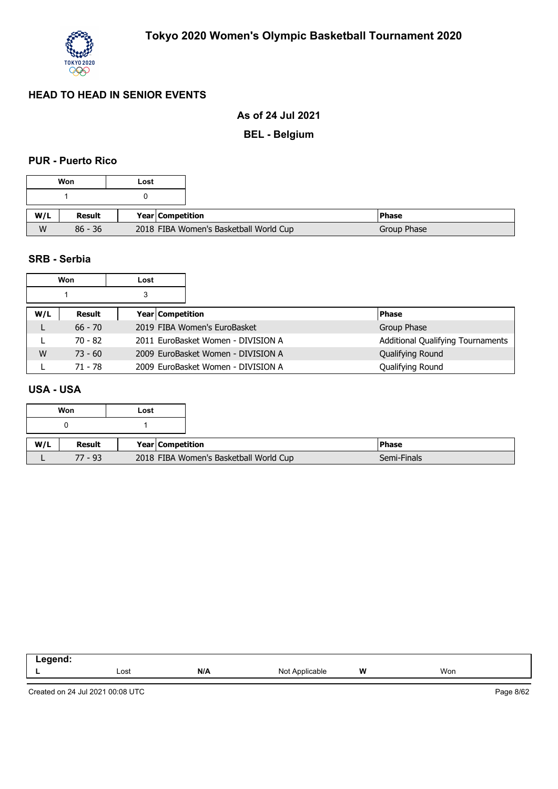

### **As of 24 Jul 2021**

**BEL - Belgium**

### **PUR - Puerto Rico**

|     | Won           | Lost             |                                        |             |
|-----|---------------|------------------|----------------------------------------|-------------|
|     |               |                  |                                        |             |
| W/L | <b>Result</b> | Year Competition |                                        | l Phase     |
| W   | $86 - 36$     |                  | 2018 FIBA Women's Basketball World Cup | Group Phase |

#### **SRB - Serbia**

|     | Won       | Lost                    |                                    |                                          |
|-----|-----------|-------------------------|------------------------------------|------------------------------------------|
|     |           | 3                       |                                    |                                          |
| W/L | Result    | <b>Year Competition</b> |                                    | <b>Phase</b>                             |
|     | $66 - 70$ |                         | 2019 FIBA Women's EuroBasket       | Group Phase                              |
|     | 70 - 82   |                         | 2011 EuroBasket Women - DIVISION A | <b>Additional Qualifying Tournaments</b> |
| W   | $73 - 60$ |                         | 2009 EuroBasket Women - DIVISION A | Qualifying Round                         |
|     | 71 - 78   |                         | 2009 EuroBasket Women - DIVISION A | Qualifying Round                         |

## **USA - USA**

|     | Won       | Lost |                         |                                        |              |
|-----|-----------|------|-------------------------|----------------------------------------|--------------|
|     |           |      |                         |                                        |              |
| W/L | Result    |      | <b>Year Competition</b> |                                        | <b>Phase</b> |
|     | $77 - 93$ |      |                         | 2018 FIBA Women's Basketball World Cup | Semi-Finals  |

| ------<br>--- |      |     |                       |   |     |
|---------------|------|-----|-----------------------|---|-----|
|               | Lost | N/A | NM.<br>Applicable<br> | W | Won |
|               |      |     |                       |   |     |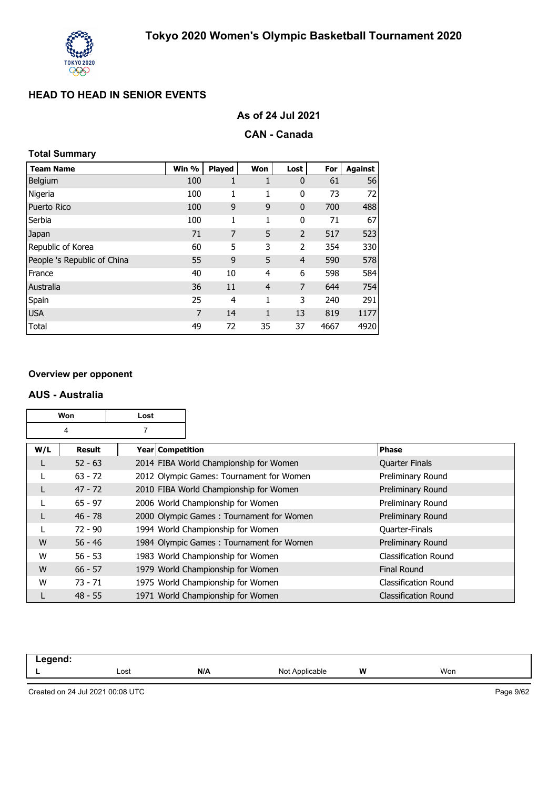

## **CAN - Canada**

## **Total Summary**

| <b>Team Name</b>            | Win % | Played | Won            | Lost           | For  | <b>Against</b> |
|-----------------------------|-------|--------|----------------|----------------|------|----------------|
| <b>Belgium</b>              | 100   | 1      | 1              | $\mathbf 0$    | 61   | 56             |
| Nigeria                     | 100   | 1      | 1              | 0              | 73   | 72             |
| <b>Puerto Rico</b>          | 100   | 9      | 9              | $\mathbf 0$    | 700  | 488            |
| Serbia                      | 100   | 1      | 1              | 0              | 71   | 67             |
| Japan                       | 71    | 7      | 5              | $\overline{2}$ | 517  | 523            |
| Republic of Korea           | 60    | 5      | 3              | 2              | 354  | 330            |
| People 's Republic of China | 55    | 9      | 5              | $\overline{4}$ | 590  | 578            |
| France                      | 40    | 10     | 4              | 6              | 598  | 584            |
| Australia                   | 36    | 11     | $\overline{4}$ | 7              | 644  | 754            |
| Spain                       | 25    | 4      | 1              | 3              | 240  | 291            |
| <b>USA</b>                  | 7     | 14     | 1              | 13             | 819  | 1177           |
| Total                       | 49    | 72     | 35             | 37             | 4667 | 4920           |

#### **Overview per opponent**

#### **AUS - Australia**

|     | Won       | Lost               |                                          |                             |
|-----|-----------|--------------------|------------------------------------------|-----------------------------|
|     | 4         | 7                  |                                          |                             |
| W/L | Result    | Year   Competition |                                          | <b>Phase</b>                |
|     | $52 - 63$ |                    | 2014 FIBA World Championship for Women   | <b>Quarter Finals</b>       |
|     | $63 - 72$ |                    | 2012 Olympic Games: Tournament for Women | Preliminary Round           |
|     | $47 - 72$ |                    | 2010 FIBA World Championship for Women   | Preliminary Round           |
|     | $65 - 97$ |                    | 2006 World Championship for Women        | Preliminary Round           |
|     | $46 - 78$ |                    | 2000 Olympic Games: Tournament for Women | Preliminary Round           |
|     | $72 - 90$ |                    | 1994 World Championship for Women        | <b>Quarter-Finals</b>       |
| W   | $56 - 46$ |                    | 1984 Olympic Games: Tournament for Women | Preliminary Round           |
| W   | $56 - 53$ |                    | 1983 World Championship for Women        | <b>Classification Round</b> |
| W   | $66 - 57$ |                    | 1979 World Championship for Women        | <b>Final Round</b>          |
| W   | $73 - 71$ |                    | 1975 World Championship for Women        | <b>Classification Round</b> |
|     | $48 - 55$ |                    | 1971 World Championship for Women        | <b>Classification Round</b> |

| .<br>-- 5 |      |     |                   |   |     |
|-----------|------|-----|-------------------|---|-----|
|           | Lost | N/A | Not<br>Applicable | W | Won |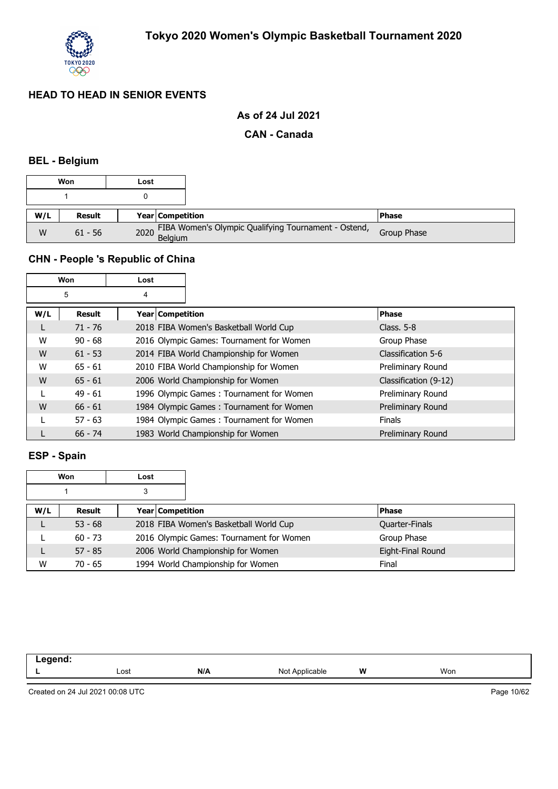

## **As of 24 Jul 2021**

#### **CAN - Canada**

## **BEL - Belgium**

|     | Won       | Lost |                                                           |              |
|-----|-----------|------|-----------------------------------------------------------|--------------|
|     |           |      |                                                           |              |
| W/L | Result    |      | <b>Year Competition</b>                                   | <b>Phase</b> |
| W   | $61 - 56$ |      | 2020 FIBA Women's Olympic Qualifying Tournament - Ostend, | Group Phase  |

## **CHN - People 's Republic of China**

|     | Won       | Lost             |                                          |                       |
|-----|-----------|------------------|------------------------------------------|-----------------------|
|     | 5         | 4                |                                          |                       |
| W/L | Result    | Year Competition |                                          | <b>Phase</b>          |
|     | $71 - 76$ |                  | 2018 FIBA Women's Basketball World Cup   | Class. $5-8$          |
| W   | $90 - 68$ |                  | 2016 Olympic Games: Tournament for Women | Group Phase           |
| W   | $61 - 53$ |                  | 2014 FIBA World Championship for Women   | Classification 5-6    |
| W   | $65 - 61$ |                  | 2010 FIBA World Championship for Women   | Preliminary Round     |
| W   | $65 - 61$ |                  | 2006 World Championship for Women        | Classification (9-12) |
|     | $49 - 61$ |                  | 1996 Olympic Games: Tournament for Women | Preliminary Round     |
| W   | $66 - 61$ |                  | 1984 Olympic Games: Tournament for Women | Preliminary Round     |
|     | $57 - 63$ |                  | 1984 Olympic Games: Tournament for Women | <b>Finals</b>         |
|     | $66 - 74$ |                  | 1983 World Championship for Women        | Preliminary Round     |

### **ESP - Spain**

|     | Won       | Lost |                         |                                          |                   |
|-----|-----------|------|-------------------------|------------------------------------------|-------------------|
|     |           |      |                         |                                          |                   |
| W/L | Result    |      | <b>Year Competition</b> |                                          | <b>Phase</b>      |
|     | $53 - 68$ |      |                         | 2018 FIBA Women's Basketball World Cup   | Quarter-Finals    |
|     | $60 - 73$ |      |                         | 2016 Olympic Games: Tournament for Women | Group Phase       |
|     | $57 - 85$ |      |                         | 2006 World Championship for Women        | Eight-Final Round |
| W   | $70 - 65$ |      |                         | 1994 World Championship for Women        | Final             |

| .<br>$\sim$ $\sim$ |      |     |                          |   |     |
|--------------------|------|-----|--------------------------|---|-----|
| . .                | Lost | N/A | Not<br>∆nnlicahle<br>uwu | W | Won |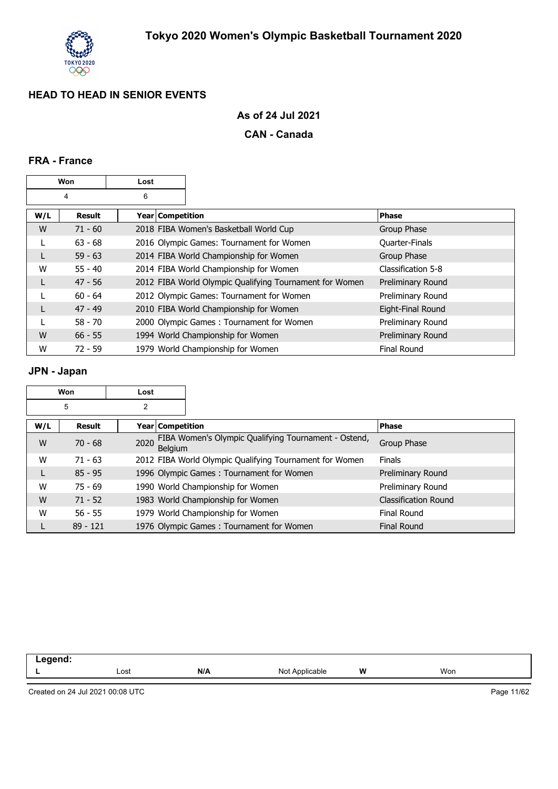

## **As of 24 Jul 2021**

#### **CAN - Canada**

## **FRA - France**

| Won |               | Lost             |                                                         |                    |
|-----|---------------|------------------|---------------------------------------------------------|--------------------|
|     | 4             | 6                |                                                         |                    |
| W/L | <b>Result</b> | Year Competition |                                                         | <b>Phase</b>       |
| W   | $71 - 60$     |                  | 2018 FIBA Women's Basketball World Cup                  | Group Phase        |
|     | $63 - 68$     |                  | 2016 Olympic Games: Tournament for Women                | Quarter-Finals     |
| L   | $59 - 63$     |                  | 2014 FIBA World Championship for Women                  | Group Phase        |
| W   | $55 - 40$     |                  | 2014 FIBA World Championship for Women                  | Classification 5-8 |
| L   | $47 - 56$     |                  | 2012 FIBA World Olympic Qualifying Tournament for Women | Preliminary Round  |
|     | $60 - 64$     |                  | 2012 Olympic Games: Tournament for Women                | Preliminary Round  |
| L   | $47 - 49$     |                  | 2010 FIBA World Championship for Women                  | Eight-Final Round  |
|     | $58 - 70$     |                  | 2000 Olympic Games: Tournament for Women                | Preliminary Round  |
| W   | $66 - 55$     |                  | 1994 World Championship for Women                       | Preliminary Round  |
| W   | $72 - 59$     |                  | 1979 World Championship for Women                       | <b>Final Round</b> |

## **JPN - Japan**

|     | Won           | Lost |                                                                        |                             |
|-----|---------------|------|------------------------------------------------------------------------|-----------------------------|
|     | 5             | 2    |                                                                        |                             |
| W/L | <b>Result</b> |      | Year   Competition                                                     | <b>Phase</b>                |
| W   | $70 - 68$     | 2020 | FIBA Women's Olympic Qualifying Tournament - Ostend,<br><b>Belaium</b> | Group Phase                 |
| W   | $71 - 63$     |      | 2012 FIBA World Olympic Qualifying Tournament for Women                | <b>Finals</b>               |
|     | $85 - 95$     |      | 1996 Olympic Games: Tournament for Women                               | Preliminary Round           |
| W   | $75 - 69$     |      | 1990 World Championship for Women                                      | Preliminary Round           |
| W   | $71 - 52$     |      | 1983 World Championship for Women                                      | <b>Classification Round</b> |
| W   | $56 - 55$     |      | 1979 World Championship for Women                                      | Final Round                 |
|     | $89 - 121$    |      | 1976 Olympic Games: Tournament for Women                               | <b>Final Round</b>          |

| _ | Lost | N/A | $N \sigma$<br>able | W | Won |
|---|------|-----|--------------------|---|-----|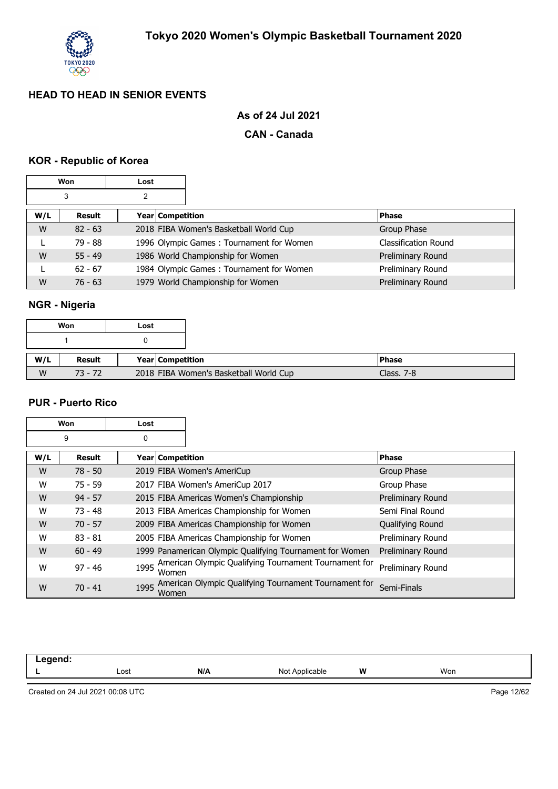

## **As of 24 Jul 2021**

#### **CAN - Canada**

## **KOR - Republic of Korea**

| <b>Won</b> |           | Lost |                  |                                          |                             |
|------------|-----------|------|------------------|------------------------------------------|-----------------------------|
|            | 3         | 2    |                  |                                          |                             |
| W/L        | Result    |      | Year Competition |                                          | <b>Phase</b>                |
| W          | $82 - 63$ |      |                  | 2018 FIBA Women's Basketball World Cup   | Group Phase                 |
|            | 79 - 88   |      |                  | 1996 Olympic Games: Tournament for Women | <b>Classification Round</b> |
| W          | $55 - 49$ |      |                  | 1986 World Championship for Women        | Preliminary Round           |
|            | $62 - 67$ |      |                  | 1984 Olympic Games: Tournament for Women | Preliminary Round           |
| W          | $76 - 63$ |      |                  | 1979 World Championship for Women        | Preliminary Round           |

## **NGR - Nigeria**

|     | Won       | Lost |                  |                                        |               |  |
|-----|-----------|------|------------------|----------------------------------------|---------------|--|
|     |           |      |                  |                                        |               |  |
| W/L | Result    |      | Year Competition |                                        | <b>IPhase</b> |  |
| W   | $73 - 72$ |      |                  | 2018 FIBA Women's Basketball World Cup | Class. $7-8$  |  |

#### **PUR - Puerto Rico**

|     | Won       | Lost               |                                                          |                   |
|-----|-----------|--------------------|----------------------------------------------------------|-------------------|
|     | 9         | 0                  |                                                          |                   |
| W/L | Result    | Year   Competition |                                                          | <b>Phase</b>      |
| W   | $78 - 50$ |                    | 2019 FIBA Women's AmeriCup                               | Group Phase       |
| W   | $75 - 59$ |                    | 2017 FIBA Women's AmeriCup 2017                          | Group Phase       |
| W   | $94 - 57$ |                    | 2015 FIBA Americas Women's Championship                  | Preliminary Round |
| W   | $73 - 48$ |                    | 2013 FIBA Americas Championship for Women                | Semi Final Round  |
| W   | $70 - 57$ |                    | 2009 FIBA Americas Championship for Women                | Qualifying Round  |
| W   | $83 - 81$ |                    | 2005 FIBA Americas Championship for Women                | Preliminary Round |
| W   | $60 - 49$ |                    | 1999 Panamerican Olympic Qualifying Tournament for Women | Preliminary Round |
| W   | $97 - 46$ | 1995<br>Women      | American Olympic Qualifying Tournament Tournament for    | Preliminary Round |
| W   | $70 - 41$ | 1995<br>Women      | American Olympic Qualifying Tournament Tournament for    | Semi-Finals       |

| ---<br>- - - |      |     |                      |   |     |
|--------------|------|-----|----------------------|---|-----|
|              | Lost | N/A | Not A<br>`Applicable | W | Won |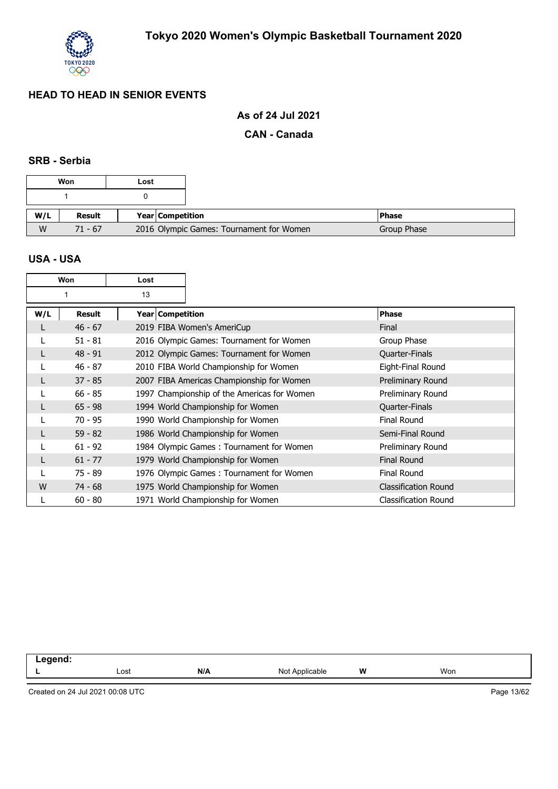

## **As of 24 Jul 2021**

#### **CAN - Canada**

#### **SRB - Serbia**

|     | Won           | Lost |                                          |              |
|-----|---------------|------|------------------------------------------|--------------|
|     |               |      |                                          |              |
| W/L | <b>Result</b> |      | <b>Year Competition</b>                  | <b>Phase</b> |
| W   | $71 - 67$     |      | 2016 Olympic Games: Tournament for Women | Group Phase  |

#### **USA - USA**

|     | Won       | Lost               |                                             |                             |
|-----|-----------|--------------------|---------------------------------------------|-----------------------------|
|     |           | 13                 |                                             |                             |
| W/L | Result    | Year   Competition |                                             | <b>Phase</b>                |
|     | $46 - 67$ |                    | 2019 FIBA Women's AmeriCup                  | Final                       |
|     | $51 - 81$ |                    | 2016 Olympic Games: Tournament for Women    | Group Phase                 |
|     | $48 - 91$ |                    | 2012 Olympic Games: Tournament for Women    | Quarter-Finals              |
|     | $46 - 87$ |                    | 2010 FIBA World Championship for Women      | Eight-Final Round           |
|     | $37 - 85$ |                    | 2007 FIBA Americas Championship for Women   | Preliminary Round           |
|     | $66 - 85$ |                    | 1997 Championship of the Americas for Women | Preliminary Round           |
|     | $65 - 98$ |                    | 1994 World Championship for Women           | Quarter-Finals              |
|     | $70 - 95$ |                    | 1990 World Championship for Women           | <b>Final Round</b>          |
|     | $59 - 82$ |                    | 1986 World Championship for Women           | Semi-Final Round            |
|     | $61 - 92$ |                    | 1984 Olympic Games: Tournament for Women    | Preliminary Round           |
|     | $61 - 77$ |                    | 1979 World Championship for Women           | <b>Final Round</b>          |
|     | 75 - 89   |                    | 1976 Olympic Games: Tournament for Women    | Final Round                 |
| W   | $74 - 68$ |                    | 1975 World Championship for Women           | <b>Classification Round</b> |
|     | $60 - 80$ |                    | 1971 World Championship for Women           | <b>Classification Round</b> |

| ----- |      |     |                          |   |     |
|-------|------|-----|--------------------------|---|-----|
| --    | Lost | N/A | <b>Applicable</b><br>Noi | W | Won |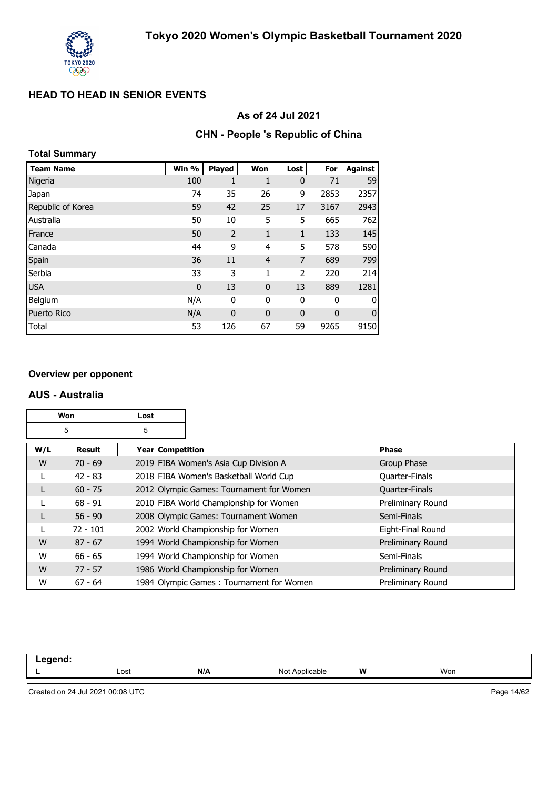

### **As of 24 Jul 2021**

#### **CHN - People 's Republic of China**

| <b>Total Summary</b> |             |                |                |              |             |                |
|----------------------|-------------|----------------|----------------|--------------|-------------|----------------|
| <b>Team Name</b>     | Win %       | <b>Played</b>  | Won            | Lost         | For         | <b>Against</b> |
| Nigeria              | 100         | 1              | 1              | $\mathbf{0}$ | 71          | 59             |
| Japan                | 74          | 35             | 26             | 9            | 2853        | 2357           |
| Republic of Korea    | 59          | 42             | 25             | 17           | 3167        | 2943           |
| Australia            | 50          | 10             | 5              | 5            | 665         | 762            |
| France               | 50          | $\overline{2}$ | 1              | 1            | 133         | 145            |
| Canada               | 44          | 9              | 4              | 5            | 578         | 590            |
| Spain                | 36          | 11             | $\overline{4}$ | 7            | 689         | 799            |
| Serbia               | 33          | 3              | 1              | 2            | 220         | 214            |
| <b>USA</b>           | $\mathbf 0$ | 13             | $\mathbf{0}$   | 13           | 889         | 1281           |
| Belgium              | N/A         | 0              | 0              | 0            | 0           | 0              |
| Puerto Rico          | N/A         | $\mathbf{0}$   | $\mathbf{0}$   | $\mathbf 0$  | $\mathbf 0$ | $\mathbf 0$    |
| Total                | 53          | 126            | 67             | 59           | 9265        | 9150           |

#### **Overview per opponent**

#### **AUS - Australia**

|     | Won<br>Lost |                    |                                          |                       |
|-----|-------------|--------------------|------------------------------------------|-----------------------|
|     | 5           | 5                  |                                          |                       |
| W/L | Result      | Year   Competition |                                          | <b>Phase</b>          |
| W   | $70 - 69$   |                    | 2019 FIBA Women's Asia Cup Division A    | Group Phase           |
|     | $42 - 83$   |                    | 2018 FIBA Women's Basketball World Cup   | Quarter-Finals        |
|     | $60 - 75$   |                    | 2012 Olympic Games: Tournament for Women | <b>Quarter-Finals</b> |
|     | $68 - 91$   |                    | 2010 FIBA World Championship for Women   | Preliminary Round     |
|     | $56 - 90$   |                    | 2008 Olympic Games: Tournament Women     | Semi-Finals           |
|     | $72 - 101$  |                    | 2002 World Championship for Women        | Eight-Final Round     |
| W   | $87 - 67$   |                    | 1994 World Championship for Women        | Preliminary Round     |
| W   | $66 - 65$   |                    | 1994 World Championship for Women        | Semi-Finals           |
| W   | $77 - 57$   |                    | 1986 World Championship for Women        | Preliminary Round     |
| W   | $67 - 64$   |                    | 1984 Olympic Games: Tournament for Women | Preliminary Round     |

| -----<br>. |      |     |                     |   |     |
|------------|------|-----|---------------------|---|-----|
|            | Lost | N/A | Not A<br>Applicable | W | Won |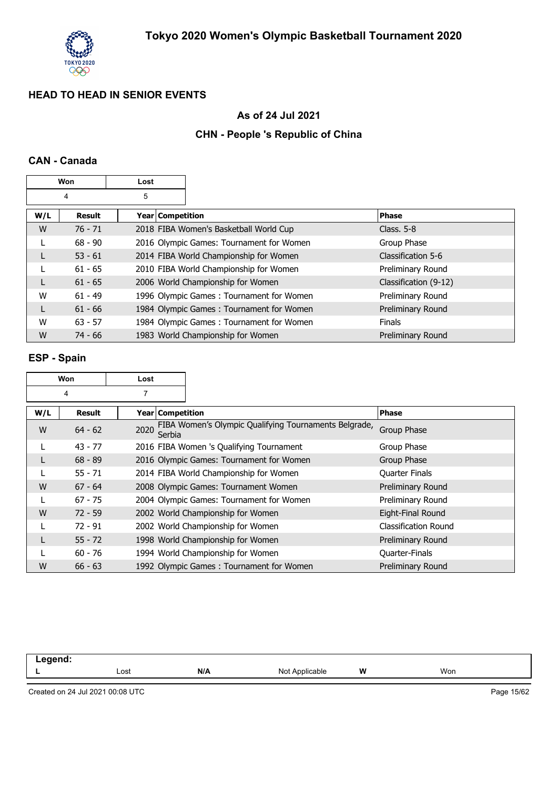

## **As of 24 Jul 2021**

## **CHN - People 's Republic of China**

### **CAN - Canada**

| Won    |           | Lost             |                                          |                       |
|--------|-----------|------------------|------------------------------------------|-----------------------|
| 5<br>4 |           |                  |                                          |                       |
| W/L    | Result    | Year Competition |                                          | <b>Phase</b>          |
| W      | $76 - 71$ |                  | 2018 FIBA Women's Basketball World Cup   | Class, $5-8$          |
| L      | $68 - 90$ |                  | 2016 Olympic Games: Tournament for Women | Group Phase           |
| L      | $53 - 61$ |                  | 2014 FIBA World Championship for Women   | Classification 5-6    |
|        | $61 - 65$ |                  | 2010 FIBA World Championship for Women   | Preliminary Round     |
| L      | $61 - 65$ |                  | 2006 World Championship for Women        | Classification (9-12) |
| W      | $61 - 49$ |                  | 1996 Olympic Games: Tournament for Women | Preliminary Round     |
| L      | $61 - 66$ |                  | 1984 Olympic Games: Tournament for Women | Preliminary Round     |
| W      | $63 - 57$ |                  | 1984 Olympic Games: Tournament for Women | <b>Finals</b>         |
| W      | $74 - 66$ |                  | 1983 World Championship for Women        | Preliminary Round     |

## **ESP - Spain**

| Won    |           | Lost                    |                                                       |                       |
|--------|-----------|-------------------------|-------------------------------------------------------|-----------------------|
| 7<br>4 |           |                         |                                                       |                       |
| W/L    | Result    | <b>Year Competition</b> |                                                       | <b>Phase</b>          |
| W      | $64 - 62$ | 2020<br>Serbia          | FIBA Women's Olympic Qualifying Tournaments Belgrade, | Group Phase           |
|        | $43 - 77$ |                         | 2016 FIBA Women 's Qualifying Tournament              | Group Phase           |
|        | $68 - 89$ |                         | 2016 Olympic Games: Tournament for Women              | Group Phase           |
|        | $55 - 71$ |                         | 2014 FIBA World Championship for Women                | <b>Quarter Finals</b> |
| W      | $67 - 64$ |                         | 2008 Olympic Games: Tournament Women                  | Preliminary Round     |
|        | $67 - 75$ |                         | 2004 Olympic Games: Tournament for Women              | Preliminary Round     |
| W      | $72 - 59$ |                         | 2002 World Championship for Women                     | Eight-Final Round     |
|        | $72 - 91$ |                         | 2002 World Championship for Women                     | Classification Round  |
|        | $55 - 72$ |                         | 1998 World Championship for Women                     | Preliminary Round     |
|        | $60 - 76$ |                         | 1994 World Championship for Women                     | Quarter-Finals        |
| W      | $66 - 63$ |                         | 1992 Olympic Games: Tournament for Women              | Preliminary Round     |

| eand. |      |     |                     |   |     |
|-------|------|-----|---------------------|---|-----|
|       | Lost | N/A | Not<br>Applicable * | W | Won |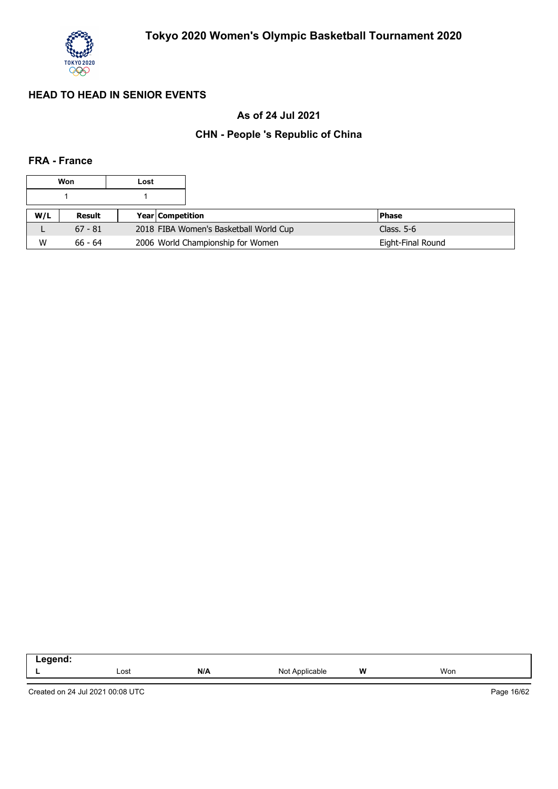

## **As of 24 Jul 2021**

## **CHN - People 's Republic of China**

## **FRA - France**

|     | Won<br>Lost |  |                                        |                   |
|-----|-------------|--|----------------------------------------|-------------------|
|     |             |  |                                        |                   |
| W/L | Result      |  | <b>Year Competition</b>                | <b>Phase</b>      |
|     | $67 - 81$   |  | 2018 FIBA Women's Basketball World Cup | Class. $5-6$      |
| W   | $66 - 64$   |  | 2006 World Championship for Women      | Eight-Final Round |

| .<br>$\sim$ $\sim$ |      |     |                   |          |     |
|--------------------|------|-----|-------------------|----------|-----|
|                    | Lost | N/A | NM<br>able<br>טוי | W<br>. . | Won |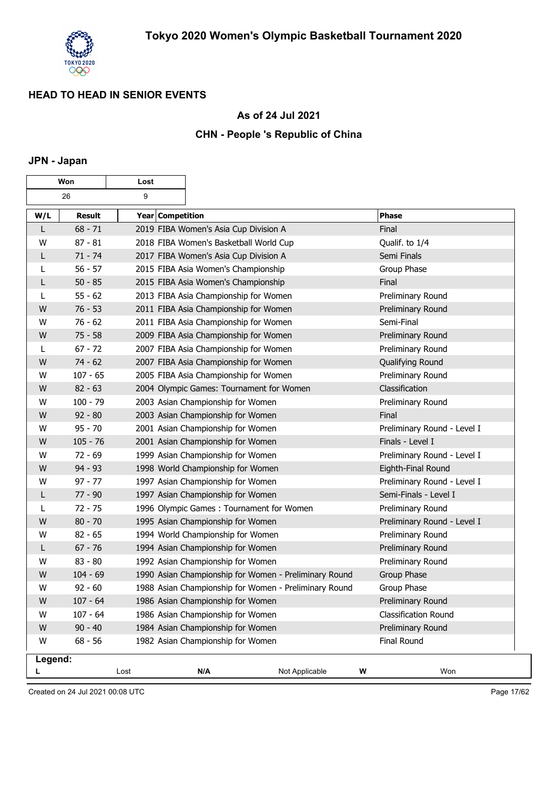

## **As of 24 Jul 2021**

## **CHN - People 's Republic of China**

## **JPN - Japan**

| Won     |               | Lost             |                                                       |                |                             |
|---------|---------------|------------------|-------------------------------------------------------|----------------|-----------------------------|
|         | 26            | 9                |                                                       |                |                             |
| W/L     | <b>Result</b> | Year Competition |                                                       |                | <b>Phase</b>                |
| L       | $68 - 71$     |                  | 2019 FIBA Women's Asia Cup Division A                 |                | Final                       |
| W       | $87 - 81$     |                  | 2018 FIBA Women's Basketball World Cup                |                | Qualif. to 1/4              |
| L       | $71 - 74$     |                  | 2017 FIBA Women's Asia Cup Division A                 |                | Semi Finals                 |
| L       | $56 - 57$     |                  | 2015 FIBA Asia Women's Championship                   |                | Group Phase                 |
| L       | $50 - 85$     |                  | 2015 FIBA Asia Women's Championship                   |                | Final                       |
| L       | $55 - 62$     |                  | 2013 FIBA Asia Championship for Women                 |                | Preliminary Round           |
| W       | $76 - 53$     |                  | 2011 FIBA Asia Championship for Women                 |                | Preliminary Round           |
| W       | $76 - 62$     |                  | 2011 FIBA Asia Championship for Women                 |                | Semi-Final                  |
| W       | $75 - 58$     |                  | 2009 FIBA Asia Championship for Women                 |                | Preliminary Round           |
| L       | $67 - 72$     |                  | 2007 FIBA Asia Championship for Women                 |                | Preliminary Round           |
| W       | $74 - 62$     |                  | 2007 FIBA Asia Championship for Women                 |                | Qualifying Round            |
| W       | $107 - 65$    |                  | 2005 FIBA Asia Championship for Women                 |                | Preliminary Round           |
| W       | $82 - 63$     |                  | 2004 Olympic Games: Tournament for Women              |                | Classification              |
| W       | $100 - 79$    |                  | 2003 Asian Championship for Women                     |                | Preliminary Round           |
| W       | $92 - 80$     |                  | 2003 Asian Championship for Women                     |                | Final                       |
| W       | $95 - 70$     |                  | 2001 Asian Championship for Women                     |                | Preliminary Round - Level I |
| W       | $105 - 76$    |                  | 2001 Asian Championship for Women                     |                | Finals - Level I            |
| W       | $72 - 69$     |                  | 1999 Asian Championship for Women                     |                | Preliminary Round - Level I |
| W       | $94 - 93$     |                  | 1998 World Championship for Women                     |                | Eighth-Final Round          |
| W       | $97 - 77$     |                  | 1997 Asian Championship for Women                     |                | Preliminary Round - Level I |
| L       | $77 - 90$     |                  | 1997 Asian Championship for Women                     |                | Semi-Finals - Level I       |
| L       | $72 - 75$     |                  | 1996 Olympic Games: Tournament for Women              |                | Preliminary Round           |
| W       | $80 - 70$     |                  | 1995 Asian Championship for Women                     |                | Preliminary Round - Level I |
| W       | $82 - 65$     |                  | 1994 World Championship for Women                     |                | Preliminary Round           |
| L       | $67 - 76$     |                  | 1994 Asian Championship for Women                     |                | Preliminary Round           |
| W       | $83 - 80$     |                  | 1992 Asian Championship for Women                     |                | Preliminary Round           |
| W       | $104 - 69$    |                  | 1990 Asian Championship for Women - Preliminary Round |                | Group Phase                 |
| W       | $92 - 60$     |                  | 1988 Asian Championship for Women - Preliminary Round |                | Group Phase                 |
| W       | $107 - 64$    |                  | 1986 Asian Championship for Women                     |                | Preliminary Round           |
| W       | $107 - 64$    |                  | 1986 Asian Championship for Women                     |                | <b>Classification Round</b> |
| W       | $90 - 40$     |                  | 1984 Asian Championship for Women                     |                | Preliminary Round           |
| W       | $68 - 56$     |                  | 1982 Asian Championship for Women                     |                | <b>Final Round</b>          |
| Legend: |               |                  |                                                       |                |                             |
|         |               | Lost             | N/A                                                   | Not Applicable | Won<br>W                    |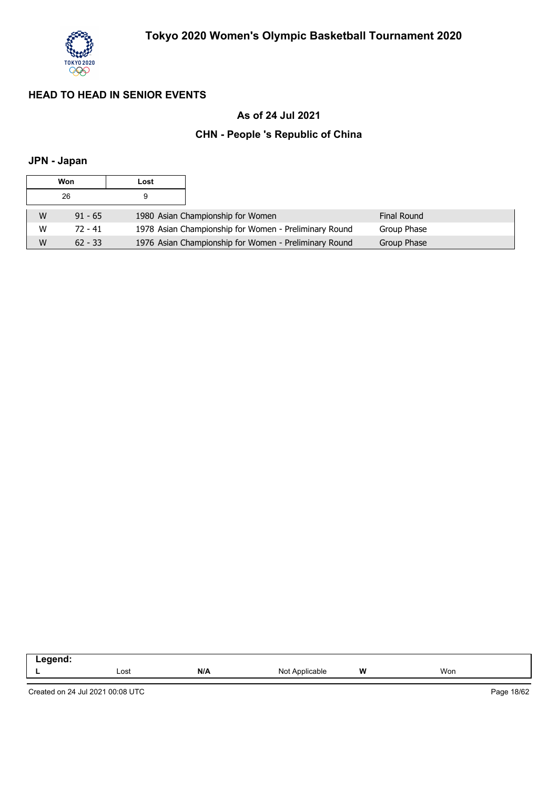

## **As of 24 Jul 2021**

## **CHN - People 's Republic of China**

## **JPN - Japan**

| Won |           | Lost |                                                       |                    |
|-----|-----------|------|-------------------------------------------------------|--------------------|
|     | 26        | 9    |                                                       |                    |
| W   | $91 - 65$ |      | 1980 Asian Championship for Women                     | <b>Final Round</b> |
| W   | $72 - 41$ |      | 1978 Asian Championship for Women - Preliminary Round | Group Phase        |
| W   | $62 - 33$ |      | 1976 Asian Championship for Women - Preliminary Round | Group Phase        |

| -----<br>. |      |     |                            |   |     |  |
|------------|------|-----|----------------------------|---|-----|--|
|            | Lost | N/A | N∩t<br>Applicable<br>11017 | W | Won |  |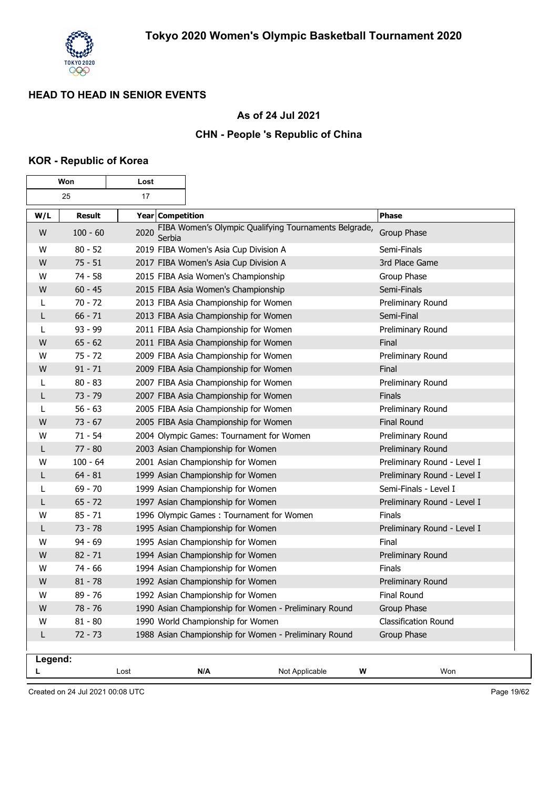

## **As of 24 Jul 2021**

### **CHN - People 's Republic of China**

#### **KOR - Republic of Korea**

|         | Won           | Lost             |                                                       |                |               |                             |
|---------|---------------|------------------|-------------------------------------------------------|----------------|---------------|-----------------------------|
|         | 25<br>17      |                  |                                                       |                |               |                             |
| W/L     | <b>Result</b> | Year Competition |                                                       |                | <b>Phase</b>  |                             |
| W       | $100 - 60$    | 2020<br>Serbia   | FIBA Women's Olympic Qualifying Tournaments Belgrade, |                |               | Group Phase                 |
| W       | $80 - 52$     |                  | 2019 FIBA Women's Asia Cup Division A                 |                |               | Semi-Finals                 |
| W       | $75 - 51$     |                  | 2017 FIBA Women's Asia Cup Division A                 |                |               | 3rd Place Game              |
| W       | $74 - 58$     |                  | 2015 FIBA Asia Women's Championship                   |                |               | Group Phase                 |
| W       | $60 - 45$     |                  | 2015 FIBA Asia Women's Championship                   |                |               | Semi-Finals                 |
| L       | $70 - 72$     |                  | 2013 FIBA Asia Championship for Women                 |                |               | Preliminary Round           |
| L       | $66 - 71$     |                  | 2013 FIBA Asia Championship for Women                 |                |               | Semi-Final                  |
|         | $93 - 99$     |                  | 2011 FIBA Asia Championship for Women                 |                |               | Preliminary Round           |
| W       | $65 - 62$     |                  | 2011 FIBA Asia Championship for Women                 |                | Final         |                             |
| W       | $75 - 72$     |                  | 2009 FIBA Asia Championship for Women                 |                |               | Preliminary Round           |
| W       | $91 - 71$     |                  | 2009 FIBA Asia Championship for Women                 |                | Final         |                             |
| L       | $80 - 83$     |                  | 2007 FIBA Asia Championship for Women                 |                |               | Preliminary Round           |
| L       | $73 - 79$     |                  | 2007 FIBA Asia Championship for Women                 |                | Finals        |                             |
| L       | $56 - 63$     |                  | 2005 FIBA Asia Championship for Women                 |                |               | Preliminary Round           |
| W       | $73 - 67$     |                  | 2005 FIBA Asia Championship for Women                 |                |               | <b>Final Round</b>          |
| W       | $71 - 54$     |                  | 2004 Olympic Games: Tournament for Women              |                |               | Preliminary Round           |
| L       | $77 - 80$     |                  | 2003 Asian Championship for Women                     |                |               | Preliminary Round           |
| W       | $100 - 64$    |                  | 2001 Asian Championship for Women                     |                |               | Preliminary Round - Level I |
| L       | $64 - 81$     |                  | 1999 Asian Championship for Women                     |                |               | Preliminary Round - Level I |
| L       | $69 - 70$     |                  | 1999 Asian Championship for Women                     |                |               | Semi-Finals - Level I       |
| L       | $65 - 72$     |                  | 1997 Asian Championship for Women                     |                |               | Preliminary Round - Level I |
| w       | $85 - 71$     |                  | 1996 Olympic Games: Tournament for Women              |                | Finals        |                             |
| L       | $73 - 78$     |                  | 1995 Asian Championship for Women                     |                |               | Preliminary Round - Level I |
| W       | $94 - 69$     |                  | 1995 Asian Championship for Women                     |                | Final         |                             |
| W       | $82 - 71$     |                  | 1994 Asian Championship for Women                     |                |               | Preliminary Round           |
| W       | $74 - 66$     |                  | 1994 Asian Championship for Women                     |                | <b>Finals</b> |                             |
| W       | $81 - 78$     |                  | 1992 Asian Championship for Women                     |                |               | Preliminary Round           |
| W       | $89 - 76$     |                  | 1992 Asian Championship for Women                     |                |               | Final Round                 |
| W       | $78 - 76$     |                  | 1990 Asian Championship for Women - Preliminary Round |                |               | Group Phase                 |
| W       | $81 - 80$     |                  | 1990 World Championship for Women                     |                |               | <b>Classification Round</b> |
| L       | $72 - 73$     |                  | 1988 Asian Championship for Women - Preliminary Round |                |               | Group Phase                 |
| Legend: |               |                  |                                                       |                |               |                             |
| L       |               | Lost             | N/A                                                   | Not Applicable | W             | Won                         |

Created on 24 Jul 2021 00:08 UTC

Page 19/62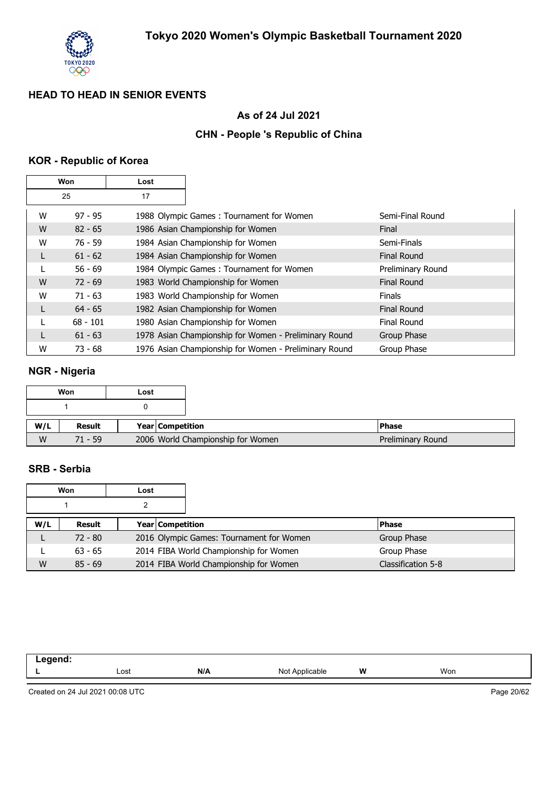

## **As of 24 Jul 2021**

## **CHN - People 's Republic of China**

## **KOR - Republic of Korea**

| Won |            | Lost |                                                       |                    |
|-----|------------|------|-------------------------------------------------------|--------------------|
|     | 25         | 17   |                                                       |                    |
| W   | $97 - 95$  |      | 1988 Olympic Games: Tournament for Women              | Semi-Final Round   |
| W   | $82 - 65$  |      | 1986 Asian Championship for Women                     | Final              |
| W   | $76 - 59$  |      | 1984 Asian Championship for Women                     | Semi-Finals        |
| L   | $61 - 62$  |      | 1984 Asian Championship for Women                     | <b>Final Round</b> |
|     | $56 - 69$  |      | 1984 Olympic Games: Tournament for Women              | Preliminary Round  |
| W   | $72 - 69$  |      | 1983 World Championship for Women                     | <b>Final Round</b> |
| W   | $71 - 63$  |      | 1983 World Championship for Women                     | <b>Finals</b>      |
| L   | $64 - 65$  |      | 1982 Asian Championship for Women                     | <b>Final Round</b> |
|     | $68 - 101$ |      | 1980 Asian Championship for Women                     | Final Round        |
|     | $61 - 63$  |      | 1978 Asian Championship for Women - Preliminary Round | Group Phase        |
| W   | $73 - 68$  |      | 1976 Asian Championship for Women - Preliminary Round | Group Phase        |

## **NGR - Nigeria**

|     | Won       | Lost |                  |                                   |
|-----|-----------|------|------------------|-----------------------------------|
|     |           |      |                  |                                   |
|     |           |      |                  |                                   |
| W/L | Result    |      | Year Competition |                                   |
| W   | $71 - 59$ |      |                  | 2006 World Championship for Women |

### **SRB - Serbia**

|     | Won       | Lost |                  |                                          |  |                    |
|-----|-----------|------|------------------|------------------------------------------|--|--------------------|
|     |           |      |                  |                                          |  |                    |
| W/L | Result    |      | Year Competition |                                          |  | <b>Phase</b>       |
|     | $72 - 80$ |      |                  | 2016 Olympic Games: Tournament for Women |  | Group Phase        |
|     | $63 - 65$ |      |                  | 2014 FIBA World Championship for Women   |  | Group Phase        |
| W   | $85 - 69$ |      |                  | 2014 FIBA World Championship for Women   |  | Classification 5-8 |

| ----- |      |     |                                   |   |     |  |
|-------|------|-----|-----------------------------------|---|-----|--|
| -     | Lost | N/A | Not<br>N <sub>nr</sub><br>≅"≏able | W | Won |  |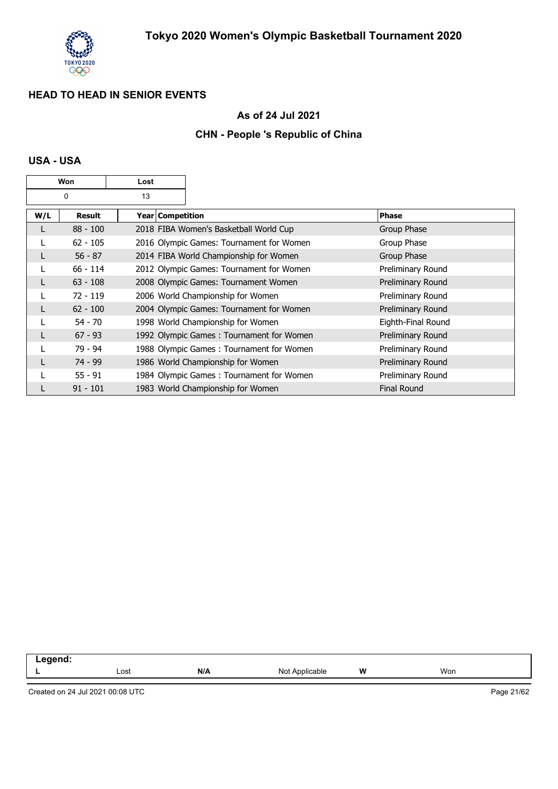

## **As of 24 Jul 2021**

## **CHN - People 's Republic of China**

### **USA - USA**

|     | Won        | Lost |                                          |                    |
|-----|------------|------|------------------------------------------|--------------------|
|     | 0          | 13   |                                          |                    |
| W/L | Result     |      | Year Competition                         | <b>Phase</b>       |
| L   | $88 - 100$ |      | 2018 FIBA Women's Basketball World Cup   | Group Phase        |
| L   | $62 - 105$ |      | 2016 Olympic Games: Tournament for Women | Group Phase        |
| L   | $56 - 87$  |      | 2014 FIBA World Championship for Women   | Group Phase        |
| L   | $66 - 114$ |      | 2012 Olympic Games: Tournament for Women | Preliminary Round  |
| L   | $63 - 108$ |      | 2008 Olympic Games: Tournament Women     | Preliminary Round  |
|     | $72 - 119$ |      | 2006 World Championship for Women        | Preliminary Round  |
|     | $62 - 100$ |      | 2004 Olympic Games: Tournament for Women | Preliminary Round  |
|     | $54 - 70$  |      | 1998 World Championship for Women        | Eighth-Final Round |
| L   | $67 - 93$  |      | 1992 Olympic Games: Tournament for Women | Preliminary Round  |
|     | 79 - 94    |      | 1988 Olympic Games: Tournament for Women | Preliminary Round  |
|     | $74 - 99$  |      | 1986 World Championship for Women        | Preliminary Round  |
|     | $55 - 91$  |      | 1984 Olympic Games: Tournament for Women | Preliminary Round  |
|     | $91 - 101$ |      | 1983 World Championship for Women        | Final Round        |

| -------<br>-- |      |     |                   |   |     |
|---------------|------|-----|-------------------|---|-----|
|               | Lost | N/A | Not<br>Applicable | W | Won |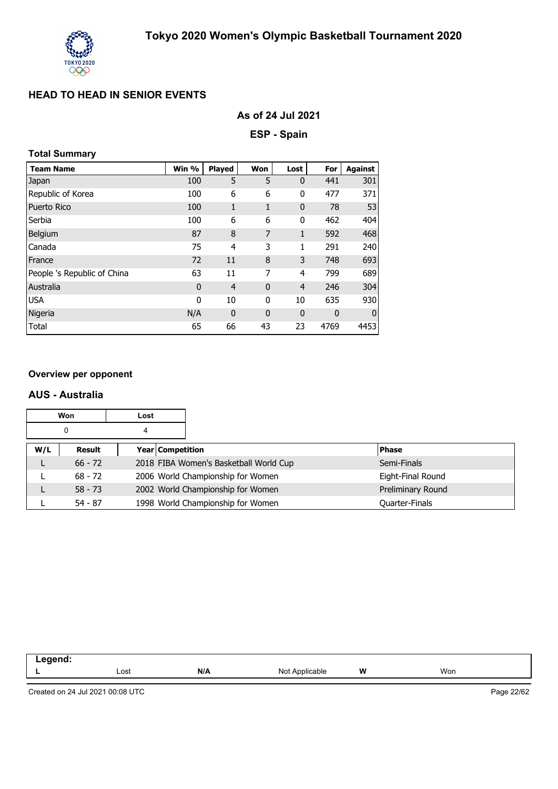

### **As of 24 Jul 2021**

**ESP - Spain**

## **Total Summary**

| <b>Team Name</b>            | Win %       | <b>Played</b>  | Won          | Lost           | For  | <b>Against</b> |
|-----------------------------|-------------|----------------|--------------|----------------|------|----------------|
| Japan                       | 100         | 5              | 5            | $\mathbf 0$    | 441  | 301            |
| Republic of Korea           | 100         | 6              | 6            | 0              | 477  | 371            |
| Puerto Rico                 | 100         | 1              | 1            | $\mathbf 0$    | 78   | 53             |
| Serbia                      | 100         | 6              | 6            | 0              | 462  | 404            |
| Belgium                     | 87          | 8              | 7            | $\mathbf{1}$   | 592  | 468            |
| Canada                      | 75          | 4              | 3            | 1              | 291  | 240            |
| France                      | 72          | 11             | 8            | 3              | 748  | 693            |
| People 's Republic of China | 63          | 11             | 7            | 4              | 799  | 689            |
| Australia                   | $\mathbf 0$ | $\overline{4}$ | $\mathbf{0}$ | $\overline{4}$ | 246  | 304            |
| <b>USA</b>                  | $\mathbf 0$ | 10             | 0            | 10             | 635  | 930            |
| Nigeria                     | N/A         | $\mathbf 0$    | $\mathbf{0}$ | $\bf{0}$       | 0    | $\mathbf{0}$   |
| Total                       | 65          | 66             | 43           | 23             | 4769 | 4453           |

#### **Overview per opponent**

#### **AUS - Australia**

|     | Won<br>Lost |   |                                   |                                        |                   |
|-----|-------------|---|-----------------------------------|----------------------------------------|-------------------|
|     | 0           | 4 |                                   |                                        |                   |
| W/L | Result      |   | Year Competition                  |                                        | <b>Phase</b>      |
|     | $66 - 72$   |   |                                   | 2018 FIBA Women's Basketball World Cup | Semi-Finals       |
|     | $68 - 72$   |   | 2006 World Championship for Women |                                        | Eight-Final Round |
|     | $58 - 73$   |   |                                   | 2002 World Championship for Women      | Preliminary Round |
|     | $54 - 87$   |   |                                   | 1998 World Championship for Women      | Quarter-Finals    |

| N/A<br>W<br>Won<br>Lost<br>Not<br>` Annlicable. | .<br>-- 3 |  |  |  |
|-------------------------------------------------|-----------|--|--|--|
|                                                 |           |  |  |  |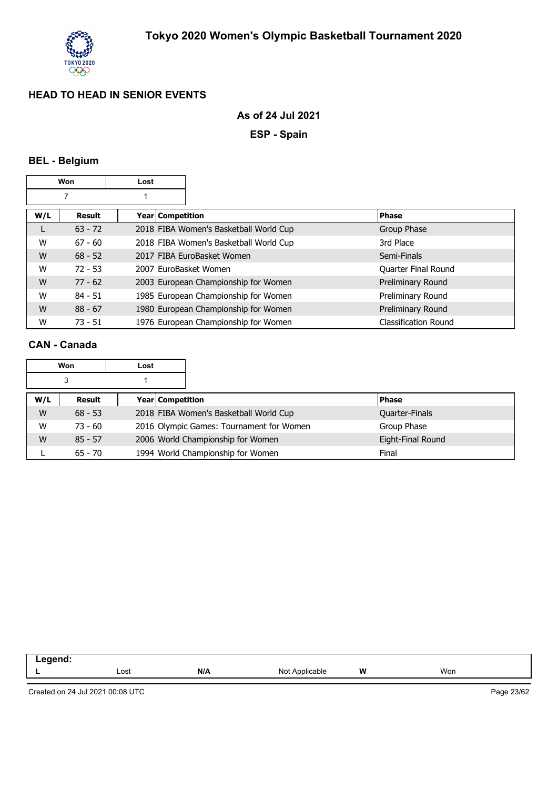

### **As of 24 Jul 2021**

**ESP - Spain**

## **BEL - Belgium**

|     | Won       | Lost                  |                                        |                             |
|-----|-----------|-----------------------|----------------------------------------|-----------------------------|
|     |           |                       |                                        |                             |
| W/L | Result    | Year Competition      |                                        | <b>Phase</b>                |
| L   | $63 - 72$ |                       | 2018 FIBA Women's Basketball World Cup | Group Phase                 |
| W   | $67 - 60$ |                       | 2018 FIBA Women's Basketball World Cup | 3rd Place                   |
| W   | $68 - 52$ |                       | 2017 FIBA EuroBasket Women             | Semi-Finals                 |
| W   | $72 - 53$ | 2007 EuroBasket Women |                                        | Quarter Final Round         |
| W   | $77 - 62$ |                       | 2003 European Championship for Women   | Preliminary Round           |
| W   | $84 - 51$ |                       | 1985 European Championship for Women   | Preliminary Round           |
| W   | $88 - 67$ |                       | 1980 European Championship for Women   | Preliminary Round           |
| W   | $73 - 51$ |                       | 1976 European Championship for Women   | <b>Classification Round</b> |

## **CAN - Canada**

|     | Won       | Lost |                                          |                                   |                   |
|-----|-----------|------|------------------------------------------|-----------------------------------|-------------------|
|     | 3         |      |                                          |                                   |                   |
| W/L | Result    |      | Year Competition                         |                                   | <b>Phase</b>      |
| W   | $68 - 53$ |      | 2018 FIBA Women's Basketball World Cup   |                                   | Quarter-Finals    |
| W   | $73 - 60$ |      | 2016 Olympic Games: Tournament for Women |                                   | Group Phase       |
| W   | $85 - 57$ |      |                                          | 2006 World Championship for Women | Eight-Final Round |
|     | $65 - 70$ |      |                                          | 1994 World Championship for Women | Final             |

| ___ |      |                   |                                     |               |     |  |
|-----|------|-------------------|-------------------------------------|---------------|-----|--|
| -   | Lost | NII<br><b>IVA</b> | <b>innlic:</b><br>הוח<br>uble.<br>. | <b>W</b><br>. | Won |  |
|     |      |                   |                                     |               |     |  |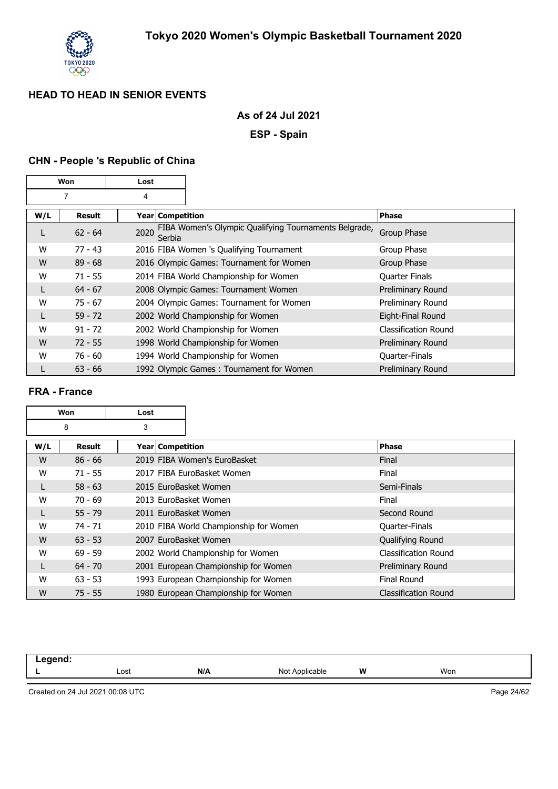

## **As of 24 Jul 2021**

**ESP - Spain**

## **CHN - People 's Republic of China**

|     | Won       | Lost               |                                                       |                       |
|-----|-----------|--------------------|-------------------------------------------------------|-----------------------|
|     | 7         | 4                  |                                                       |                       |
| W/L | Result    | Year   Competition |                                                       | <b>Phase</b>          |
| L   | $62 - 64$ | 2020<br>Serbia     | FIBA Women's Olympic Qualifying Tournaments Belgrade, | Group Phase           |
| W   | $77 - 43$ |                    | 2016 FIBA Women 's Qualifying Tournament              | Group Phase           |
| W   | $89 - 68$ |                    | 2016 Olympic Games: Tournament for Women              | Group Phase           |
| W   | $71 - 55$ |                    | 2014 FIBA World Championship for Women                | <b>Quarter Finals</b> |
| L   | $64 - 67$ |                    | 2008 Olympic Games: Tournament Women                  | Preliminary Round     |
| W   | $75 - 67$ |                    | 2004 Olympic Games: Tournament for Women              | Preliminary Round     |
|     | $59 - 72$ |                    | 2002 World Championship for Women                     | Eight-Final Round     |
| W   | $91 - 72$ |                    | 2002 World Championship for Women                     | Classification Round  |
| W   | $72 - 55$ |                    | 1998 World Championship for Women                     | Preliminary Round     |
| W   | $76 - 60$ |                    | 1994 World Championship for Women                     | Quarter-Finals        |
|     | $63 - 66$ |                    | 1992 Olympic Games: Tournament for Women              | Preliminary Round     |

#### **FRA - France**

|     | Won       | Lost                  |                                        |                             |  |
|-----|-----------|-----------------------|----------------------------------------|-----------------------------|--|
|     | 8         | 3                     |                                        |                             |  |
| W/L | Result    | Year   Competition    |                                        | <b>Phase</b>                |  |
| W   | $86 - 66$ |                       | 2019 FIBA Women's EuroBasket           | Final                       |  |
| W   | $71 - 55$ |                       | 2017 FIBA EuroBasket Women             | Final                       |  |
|     | $58 - 63$ | 2015 EuroBasket Women |                                        | Semi-Finals                 |  |
| W   | $70 - 69$ | 2013 EuroBasket Women |                                        | Final                       |  |
|     | $55 - 79$ | 2011 EuroBasket Women |                                        | Second Round                |  |
| W   | 74 - 71   |                       | 2010 FIBA World Championship for Women | Quarter-Finals              |  |
| W   | $63 - 53$ | 2007 EuroBasket Women |                                        | Qualifying Round            |  |
| W   | $69 - 59$ |                       | 2002 World Championship for Women      | <b>Classification Round</b> |  |
|     | $64 - 70$ |                       | 2001 European Championship for Women   | Preliminary Round           |  |
| W   | $63 - 53$ |                       | 1993 European Championship for Women   | Final Round                 |  |
| W   | $75 - 55$ |                       | 1980 European Championship for Women   | <b>Classification Round</b> |  |

| . . |      |     |                 |        |     |  |
|-----|------|-----|-----------------|--------|-----|--|
|     | Lost | N/A | N∩t<br>$\cdots$ | W<br>. | Won |  |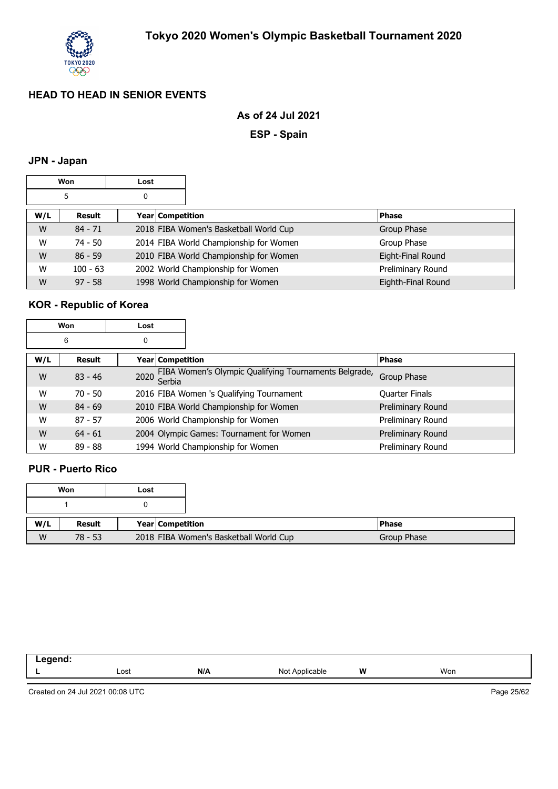

### **As of 24 Jul 2021**

**ESP - Spain**

## **JPN - Japan**

|        | Won        | Lost |                  |                                        |                    |
|--------|------------|------|------------------|----------------------------------------|--------------------|
| 5<br>0 |            |      |                  |                                        |                    |
| W/L    | Result     |      | Year Competition |                                        | <b>Phase</b>       |
| W      | $84 - 71$  |      |                  | 2018 FIBA Women's Basketball World Cup | Group Phase        |
| W      | $74 - 50$  |      |                  | 2014 FIBA World Championship for Women | Group Phase        |
| W      | $86 - 59$  |      |                  | 2010 FIBA World Championship for Women | Eight-Final Round  |
| W      | $100 - 63$ |      |                  | 2002 World Championship for Women      | Preliminary Round  |
| W      | $97 - 58$  |      |                  | 1998 World Championship for Women      | Eighth-Final Round |

# **KOR - Republic of Korea**

|     | Won       | Lost             |                                                       |                       |
|-----|-----------|------------------|-------------------------------------------------------|-----------------------|
|     | 6         | 0                |                                                       |                       |
| W/L | Result    | Year Competition |                                                       | <b>Phase</b>          |
| W   | $83 - 46$ | 2020<br>Serbia   | FIBA Women's Olympic Qualifying Tournaments Belgrade, | Group Phase           |
| W   | $70 - 50$ |                  | 2016 FIBA Women 's Qualifying Tournament              | <b>Quarter Finals</b> |
| W   | $84 - 69$ |                  | 2010 FIBA World Championship for Women                | Preliminary Round     |
| W   | $87 - 57$ |                  | 2006 World Championship for Women                     | Preliminary Round     |
| W   | $64 - 61$ |                  | 2004 Olympic Games: Tournament for Women              | Preliminary Round     |
| W   | $89 - 88$ |                  | 1994 World Championship for Women                     | Preliminary Round     |

#### **PUR - Puerto Rico**

|     | Won       | Lost |                  |                                        |  |
|-----|-----------|------|------------------|----------------------------------------|--|
|     |           |      |                  |                                        |  |
| W/L | Result    |      | Year Competition |                                        |  |
| W   | $78 - 53$ |      |                  | 2018 FIBA Women's Basketball World Cup |  |

| _____ |              |     |                      |          |     |
|-------|--------------|-----|----------------------|----------|-----|
| -     | Lost<br>---- | N/A | NI∩*<br>≏able<br>ישי | W<br>. . | Won |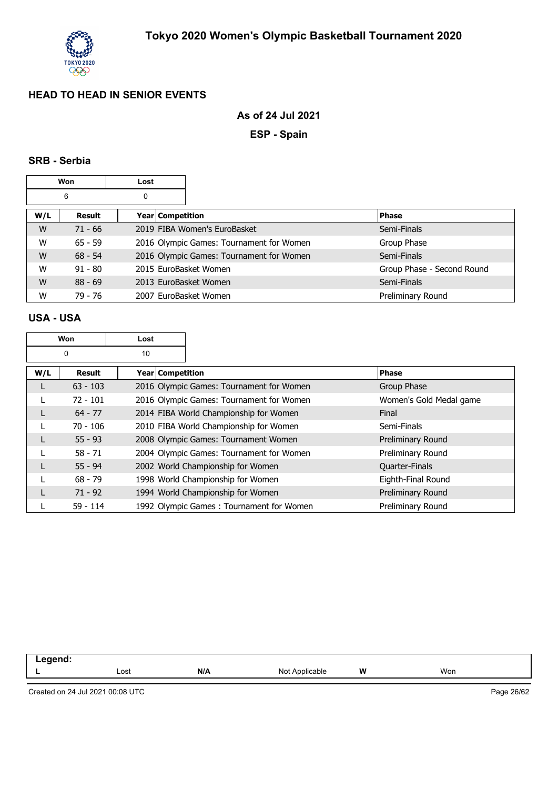

### **As of 24 Jul 2021**

**ESP - Spain**

#### **SRB - Serbia**

| Won    |           | Lost |                    |                                          |                            |
|--------|-----------|------|--------------------|------------------------------------------|----------------------------|
| 6<br>0 |           |      |                    |                                          |                            |
| W/L    | Result    |      | Year   Competition |                                          | <b>Phase</b>               |
| W      | $71 - 66$ |      |                    | 2019 FIBA Women's EuroBasket             | Semi-Finals                |
| W      | $65 - 59$ |      |                    | 2016 Olympic Games: Tournament for Women | Group Phase                |
| W      | $68 - 54$ |      |                    | 2016 Olympic Games: Tournament for Women | Semi-Finals                |
| W      | $91 - 80$ |      |                    | 2015 EuroBasket Women                    | Group Phase - Second Round |
| W      | $88 - 69$ |      |                    | 2013 EuroBasket Women                    | Semi-Finals                |
| W      | 79 - 76   |      |                    | 2007 EuroBasket Women                    | Preliminary Round          |

### **USA - USA**

| Won<br>Lost |               |    |                                        |                                          |  |                         |
|-------------|---------------|----|----------------------------------------|------------------------------------------|--|-------------------------|
|             | 0             | 10 |                                        |                                          |  |                         |
| W/L         | <b>Result</b> |    | Year Competition                       |                                          |  | <b>Phase</b>            |
| L           | $63 - 103$    |    |                                        | 2016 Olympic Games: Tournament for Women |  | Group Phase             |
|             | $72 - 101$    |    |                                        | 2016 Olympic Games: Tournament for Women |  | Women's Gold Medal game |
|             | $64 - 77$     |    | 2014 FIBA World Championship for Women |                                          |  | Final                   |
|             | $70 - 106$    |    | 2010 FIBA World Championship for Women |                                          |  | Semi-Finals             |
| L           | $55 - 93$     |    |                                        | 2008 Olympic Games: Tournament Women     |  | Preliminary Round       |
|             | $58 - 71$     |    |                                        | 2004 Olympic Games: Tournament for Women |  | Preliminary Round       |
|             | $55 - 94$     |    |                                        | 2002 World Championship for Women        |  | Quarter-Finals          |
|             | $68 - 79$     |    |                                        | 1998 World Championship for Women        |  | Eighth-Final Round      |
|             | $71 - 92$     |    | 1994 World Championship for Women      |                                          |  | Preliminary Round       |
|             | $59 - 114$    |    |                                        | 1992 Olympic Games: Tournament for Women |  | Preliminary Round       |

| .<br>neno<br>- - |      |     |                     |   |     |  |
|------------------|------|-----|---------------------|---|-----|--|
|                  | Lost | N/A | Applicable<br>Not i | W | Won |  |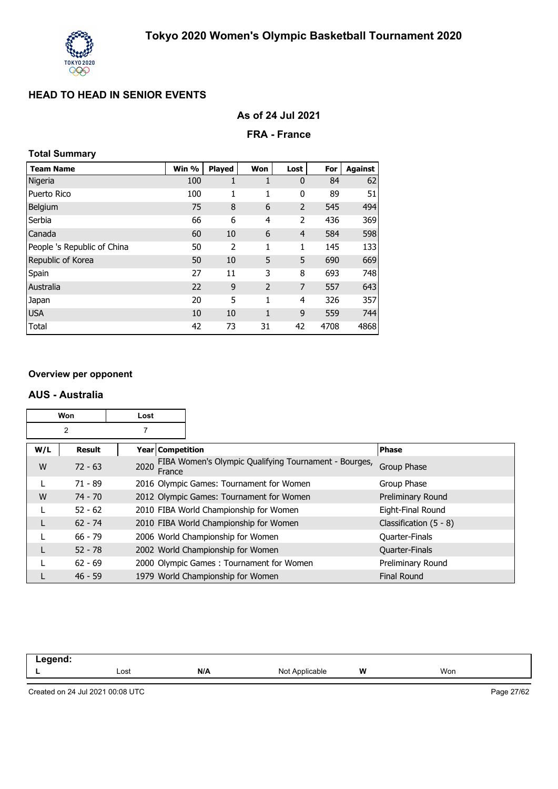

### **FRA - France**

## **Total Summary**

| <b>Team Name</b>            | Win % | Played | Won            | Lost           | For  | <b>Against</b> |
|-----------------------------|-------|--------|----------------|----------------|------|----------------|
| Nigeria                     | 100   | 1      | 1              | $\mathbf 0$    | 84   | 62             |
| Puerto Rico                 | 100   | 1      | 1              | 0              | 89   | 51             |
| Belgium                     | 75    | 8      | 6              | $\overline{2}$ | 545  | 494            |
| Serbia                      | 66    | 6      | 4              | 2              | 436  | 369            |
| Canada                      | 60    | 10     | 6              | $\overline{4}$ | 584  | 598            |
| People 's Republic of China | 50    | 2      | 1              | 1              | 145  | 133            |
| Republic of Korea           | 50    | 10     | 5              | 5              | 690  | 669            |
| Spain                       | 27    | 11     | 3              | 8              | 693  | 748            |
| Australia                   | 22    | 9      | $\overline{2}$ | 7              | 557  | 643            |
| Japan                       | 20    | 5      | 1              | 4              | 326  | 357            |
| <b>USA</b>                  | 10    | 10     | 1              | 9              | 559  | 744            |
| Total                       | 42    | 73     | 31             | 42             | 4708 | 4868           |

#### **Overview per opponent**

#### **AUS - Australia**

| Won<br>Lost |           |      |                    |                                                       |                          |
|-------------|-----------|------|--------------------|-------------------------------------------------------|--------------------------|
|             | 2         |      |                    |                                                       |                          |
| W/L         | Result    |      | Year   Competition |                                                       | <b>Phase</b>             |
| W           | $72 - 63$ | 2020 | France             | FIBA Women's Olympic Qualifying Tournament - Bourges, | Group Phase              |
|             | $71 - 89$ |      |                    | 2016 Olympic Games: Tournament for Women              | Group Phase              |
| W           | $74 - 70$ |      |                    | 2012 Olympic Games: Tournament for Women              | Preliminary Round        |
|             | $52 - 62$ |      |                    | 2010 FIBA World Championship for Women                | Eight-Final Round        |
|             | $62 - 74$ |      |                    | 2010 FIBA World Championship for Women                | Classification $(5 - 8)$ |
|             | $66 - 79$ |      |                    | 2006 World Championship for Women                     | <b>Quarter-Finals</b>    |
|             | $52 - 78$ |      |                    | 2002 World Championship for Women                     | Quarter-Finals           |
|             | $62 - 69$ |      |                    | 2000 Olympic Games: Tournament for Women              | Preliminary Round        |
|             | $46 - 59$ |      |                    | 1979 World Championship for Women                     | <b>Final Round</b>       |

| -----<br>. |      |     |                     |   |     |
|------------|------|-----|---------------------|---|-----|
|            | Lost | N/A | Not A<br>Applicable | W | Won |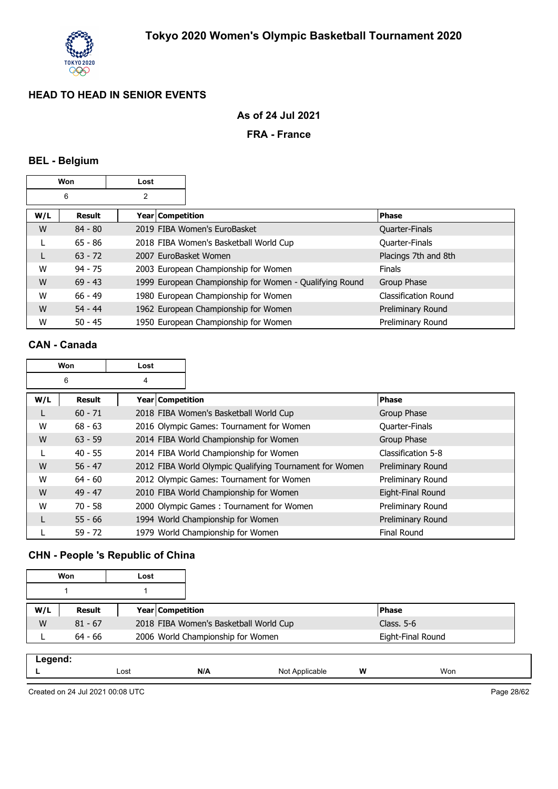

## **As of 24 Jul 2021**

### **FRA - France**

#### **BEL - Belgium**

|     | Won       | Lost                    |                                                         |                             |
|-----|-----------|-------------------------|---------------------------------------------------------|-----------------------------|
|     | 6         | 2                       |                                                         |                             |
| W/L | Result    | <b>Year Competition</b> |                                                         | <b>Phase</b>                |
| W   | $84 - 80$ |                         | 2019 FIBA Women's EuroBasket                            | <b>Quarter-Finals</b>       |
|     | $65 - 86$ |                         | 2018 FIBA Women's Basketball World Cup                  | Quarter-Finals              |
| L   | $63 - 72$ | 2007 EuroBasket Women   |                                                         | Placings 7th and 8th        |
| W   | $94 - 75$ |                         | 2003 European Championship for Women                    | <b>Finals</b>               |
| W   | $69 - 43$ |                         | 1999 European Championship for Women - Qualifying Round | Group Phase                 |
| W   | $66 - 49$ |                         | 1980 European Championship for Women                    | <b>Classification Round</b> |
| W   | $54 - 44$ |                         | 1962 European Championship for Women                    | Preliminary Round           |
| W   | $50 - 45$ |                         | 1950 European Championship for Women                    | Preliminary Round           |

### **CAN - Canada**

|     | Won           | Lost             |                                                         |                    |
|-----|---------------|------------------|---------------------------------------------------------|--------------------|
|     | 6             | 4                |                                                         |                    |
| W/L | <b>Result</b> | Year Competition |                                                         | <b>Phase</b>       |
| L   | $60 - 71$     |                  | 2018 FIBA Women's Basketball World Cup                  | Group Phase        |
| W   | $68 - 63$     |                  | 2016 Olympic Games: Tournament for Women                | Quarter-Finals     |
| W   | $63 - 59$     |                  | 2014 FIBA World Championship for Women                  | Group Phase        |
|     | $40 - 55$     |                  | 2014 FIBA World Championship for Women                  | Classification 5-8 |
| W   | $56 - 47$     |                  | 2012 FIBA World Olympic Qualifying Tournament for Women | Preliminary Round  |
| W   | $64 - 60$     |                  | 2012 Olympic Games: Tournament for Women                | Preliminary Round  |
| W   | $49 - 47$     |                  | 2010 FIBA World Championship for Women                  | Eight-Final Round  |
| W   | $70 - 58$     |                  | 2000 Olympic Games: Tournament for Women                | Preliminary Round  |
|     | $55 - 66$     |                  | 1994 World Championship for Women                       | Preliminary Round  |
|     | $59 - 72$     |                  | 1979 World Championship for Women                       | <b>Final Round</b> |

## **CHN - People 's Republic of China**

|     | Won       | Lost |                         |                                        |                   |
|-----|-----------|------|-------------------------|----------------------------------------|-------------------|
|     |           |      |                         |                                        |                   |
| W/L | Result    |      | <b>Year Competition</b> |                                        | <b>IPhase</b>     |
| W   | $81 - 67$ |      |                         | 2018 FIBA Women's Basketball World Cup | Class. 5-6        |
|     | $64 - 66$ |      |                         | 2006 World Championship for Women      | Eight-Final Round |

| . <i>.</i> |      |     |                            |   |     |
|------------|------|-----|----------------------------|---|-----|
| . .        | Lost | N/A | Not<br><sup>N</sup> 'cable | W | Won |
|            |      |     |                            |   |     |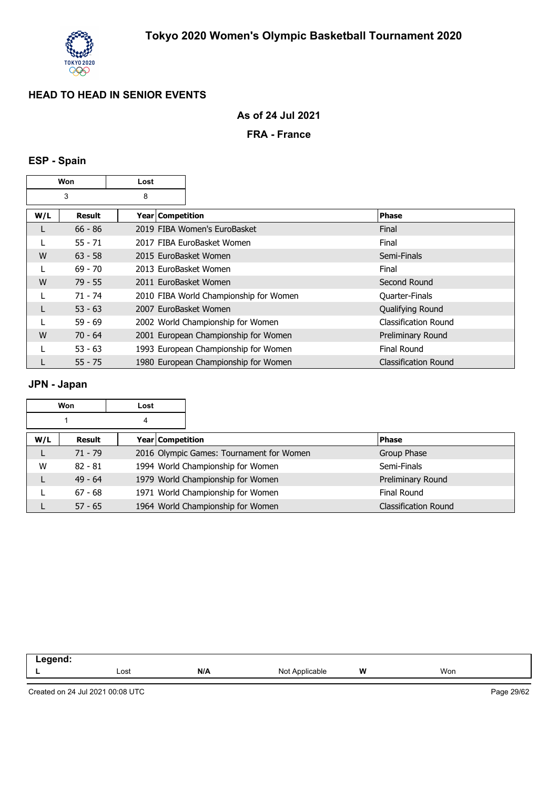

### **As of 24 Jul 2021**

### **FRA - France**

## **ESP - Spain**

| Won |           | Lost               |                                        |                             |  |
|-----|-----------|--------------------|----------------------------------------|-----------------------------|--|
|     | 3         | 8                  |                                        |                             |  |
| W/L | Result    | Year   Competition |                                        | Phase                       |  |
| L   | $66 - 86$ |                    | 2019 FIBA Women's EuroBasket           | Final                       |  |
|     | $55 - 71$ |                    | 2017 FIBA EuroBasket Women             | Final                       |  |
| W   | $63 - 58$ |                    | 2015 EuroBasket Women                  | Semi-Finals                 |  |
|     | $69 - 70$ |                    | 2013 EuroBasket Women                  | Final                       |  |
| W   | $79 - 55$ |                    | 2011 EuroBasket Women                  | Second Round                |  |
|     | $71 - 74$ |                    | 2010 FIBA World Championship for Women | <b>Quarter-Finals</b>       |  |
| L   | $53 - 63$ |                    | 2007 EuroBasket Women                  | Qualifying Round            |  |
|     | $59 - 69$ |                    | 2002 World Championship for Women      | Classification Round        |  |
| W   | $70 - 64$ |                    | 2001 European Championship for Women   | Preliminary Round           |  |
|     | $53 - 63$ |                    | 1993 European Championship for Women   | <b>Final Round</b>          |  |
|     | $55 - 75$ |                    | 1980 European Championship for Women   | <b>Classification Round</b> |  |

### **JPN - Japan**

|     | Won       | Lost |                  |                                          |  |                             |
|-----|-----------|------|------------------|------------------------------------------|--|-----------------------------|
|     |           | 4    |                  |                                          |  |                             |
| W/L | Result    |      | Year Competition |                                          |  | Phase                       |
|     | $71 - 79$ |      |                  | 2016 Olympic Games: Tournament for Women |  | Group Phase                 |
| W   | $82 - 81$ |      |                  | 1994 World Championship for Women        |  | Semi-Finals                 |
|     | $49 - 64$ |      |                  | 1979 World Championship for Women        |  | Preliminary Round           |
|     | $67 - 68$ |      |                  | 1971 World Championship for Women        |  | <b>Final Round</b>          |
|     | $57 - 65$ |      |                  | 1964 World Championship for Women        |  | <b>Classification Round</b> |

| Lost | N/A | <b>innlica</b><br>Nr<br>able | W<br>. . | Won |
|------|-----|------------------------------|----------|-----|
|      |     |                              |          |     |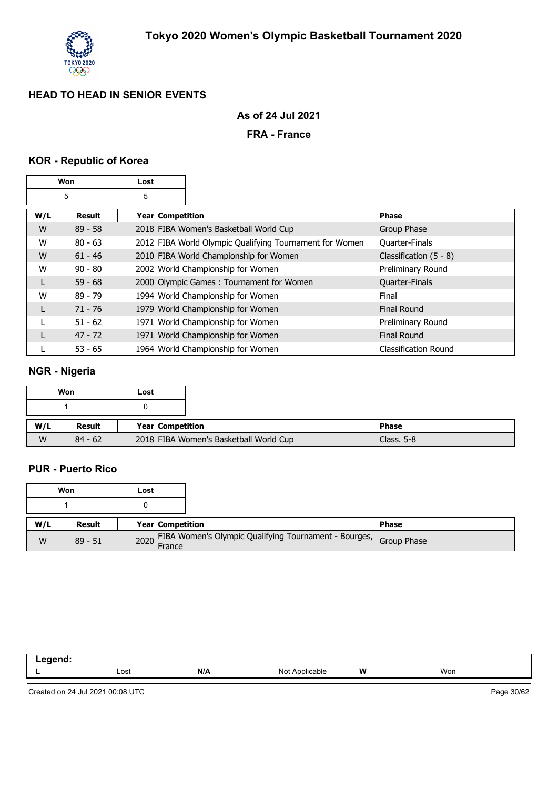

## **As of 24 Jul 2021**

### **FRA - France**

#### **KOR - Republic of Korea**

| Won |           | Lost             |                                                         |                             |
|-----|-----------|------------------|---------------------------------------------------------|-----------------------------|
|     | 5<br>5    |                  |                                                         |                             |
| W/L | Result    | Year Competition |                                                         | <b>Phase</b>                |
| W   | $89 - 58$ |                  | 2018 FIBA Women's Basketball World Cup                  | Group Phase                 |
| W   | $80 - 63$ |                  | 2012 FIBA World Olympic Qualifying Tournament for Women | Quarter-Finals              |
| W   | $61 - 46$ |                  | 2010 FIBA World Championship for Women                  | Classification $(5 - 8)$    |
| W   | $90 - 80$ |                  | 2002 World Championship for Women                       | Preliminary Round           |
| L   | $59 - 68$ |                  | 2000 Olympic Games: Tournament for Women                | Quarter-Finals              |
| W   | $89 - 79$ |                  | 1994 World Championship for Women                       | Final                       |
| L   | $71 - 76$ |                  | 1979 World Championship for Women                       | <b>Final Round</b>          |
|     | $51 - 62$ |                  | 1971 World Championship for Women                       | Preliminary Round           |
| L   | $47 - 72$ |                  | 1971 World Championship for Women                       | <b>Final Round</b>          |
|     | $53 - 65$ |                  | 1964 World Championship for Women                       | <b>Classification Round</b> |

## **NGR - Nigeria**

|     | Won       | Lost |                  |                                        |
|-----|-----------|------|------------------|----------------------------------------|
|     |           |      |                  |                                        |
|     |           |      |                  |                                        |
| W/L | Result    |      | Year Competition |                                        |
| W   | $84 - 62$ |      |                  | 2018 FIBA Women's Basketball World Cup |

#### **PUR - Puerto Rico**

|     | Won       | Lost |                                                                        |         |
|-----|-----------|------|------------------------------------------------------------------------|---------|
|     |           |      |                                                                        |         |
| W/L | Result    |      | Year   Competition                                                     | l Phase |
| W   | $89 - 51$ |      | 2020 FIBA Women's Olympic Qualifying Tournament - Bourges, Group Phase |         |

| ------<br>.<br>$\sim$ $\sim$ $\sim$ $\sim$ $\sim$ $\sim$ |      |     |                          |          |     |
|----------------------------------------------------------|------|-----|--------------------------|----------|-----|
|                                                          | Lost | N/A | No<br>∴nnlican.∴<br>.nie | w<br>. . | Won |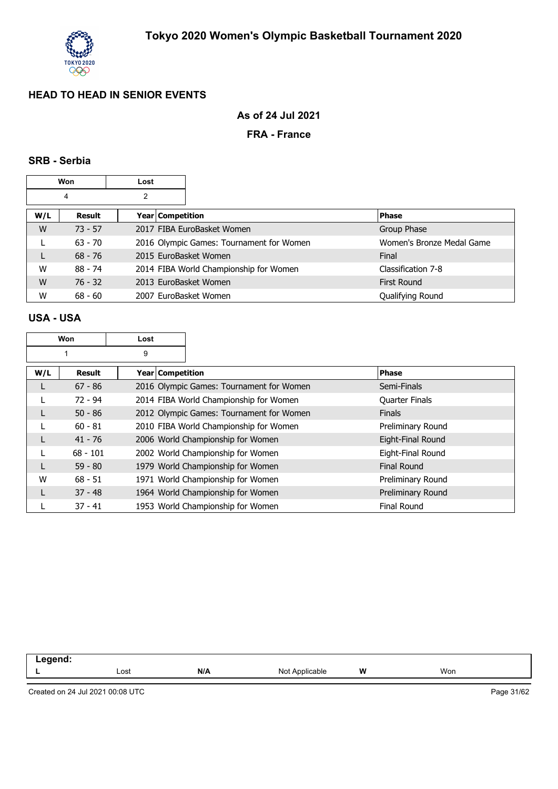

## **As of 24 Jul 2021**

### **FRA - France**

#### **SRB - Serbia**

|     | Won       | Lost |                    |                                          |  |                           |
|-----|-----------|------|--------------------|------------------------------------------|--|---------------------------|
|     | 4         | 2    |                    |                                          |  |                           |
| W/L | Result    |      | Year   Competition |                                          |  | Phase                     |
| W   | $73 - 57$ |      |                    | 2017 FIBA EuroBasket Women               |  | Group Phase               |
|     | $63 - 70$ |      |                    | 2016 Olympic Games: Tournament for Women |  | Women's Bronze Medal Game |
|     | $68 - 76$ |      |                    | 2015 EuroBasket Women                    |  | Final                     |
| W   | $88 - 74$ |      |                    | 2014 FIBA World Championship for Women   |  | Classification 7-8        |
| W   | $76 - 32$ |      |                    | 2013 EuroBasket Women                    |  | <b>First Round</b>        |
| W   | $68 - 60$ |      |                    | 2007 EuroBasket Women                    |  | Qualifying Round          |

#### **USA - USA**

|     | Won           | Lost               |                                          |                    |
|-----|---------------|--------------------|------------------------------------------|--------------------|
|     |               | 9                  |                                          |                    |
| W/L | <b>Result</b> | Year   Competition |                                          | <b>Phase</b>       |
| L   | $67 - 86$     |                    | 2016 Olympic Games: Tournament for Women | Semi-Finals        |
|     | $72 - 94$     |                    | 2014 FIBA World Championship for Women   | Quarter Finals     |
| L   | $50 - 86$     |                    | 2012 Olympic Games: Tournament for Women | <b>Finals</b>      |
|     | $60 - 81$     |                    | 2010 FIBA World Championship for Women   | Preliminary Round  |
| L   | $41 - 76$     |                    | 2006 World Championship for Women        | Eight-Final Round  |
| L   | $68 - 101$    |                    | 2002 World Championship for Women        | Eight-Final Round  |
| L   | $59 - 80$     |                    | 1979 World Championship for Women        | <b>Final Round</b> |
| W   | $68 - 51$     |                    | 1971 World Championship for Women        | Preliminary Round  |
| L   | $37 - 48$     |                    | 1964 World Championship for Women        | Preliminary Round  |
|     | $37 - 41$     |                    | 1953 World Championship for Women        | <b>Final Round</b> |

| ----- |      |     |                        |   |     |
|-------|------|-----|------------------------|---|-----|
|       | Lost | N/A | N٢<br>" polica<br>able | w | Won |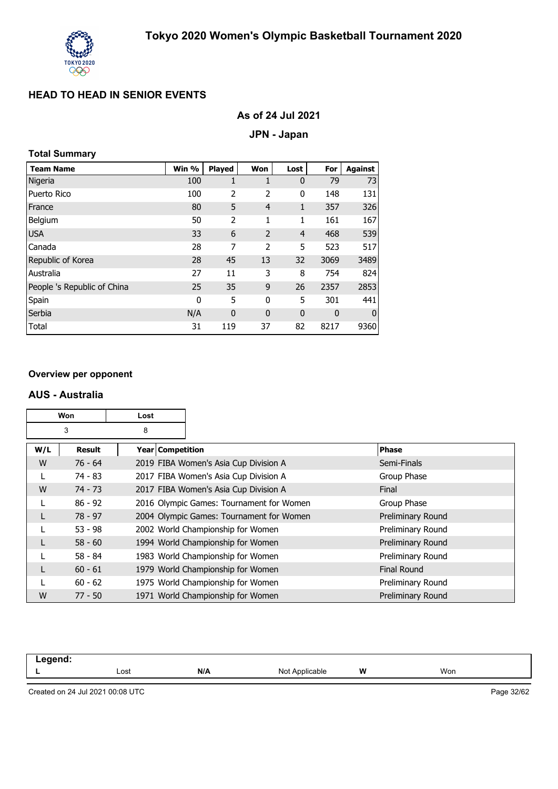

### **As of 24 Jul 2021**

#### **JPN - Japan**

### **Total Summary**

| <b>Team Name</b>            | Win % | <b>Played</b> | Won            | Lost           | For  | <b>Against</b> |
|-----------------------------|-------|---------------|----------------|----------------|------|----------------|
| Nigeria                     | 100   | 1             | 1              | $\mathbf 0$    | 79   | 73             |
| Puerto Rico                 | 100   | 2             | 2              | 0              | 148  | 131            |
| France                      | 80    | 5             | $\overline{4}$ | 1              | 357  | 326            |
| Belgium                     | 50    | 2             | 1              | 1              | 161  | 167            |
| <b>USA</b>                  | 33    | 6             | $\overline{2}$ | $\overline{4}$ | 468  | 539            |
| Canada                      | 28    | 7             | 2              | 5              | 523  | 517            |
| Republic of Korea           | 28    | 45            | 13             | 32             | 3069 | 3489           |
| Australia                   | 27    | 11            | 3              | 8              | 754  | 824            |
| People 's Republic of China | 25    | 35            | 9              | 26             | 2357 | 2853           |
| Spain                       | 0     | 5             | 0              | 5              | 301  | 441            |
| Serbia                      | N/A   | $\mathbf 0$   | $\mathbf 0$    | $\mathbf 0$    | 0    | $\mathbf 0$    |
| Total                       | 31    | 119           | 37             | 82             | 8217 | 9360           |

#### **Overview per opponent**

#### **AUS - Australia**

| Won<br>Lost |           |   |                    |                                          |                    |
|-------------|-----------|---|--------------------|------------------------------------------|--------------------|
|             | 3         | 8 |                    |                                          |                    |
| W/L         | Result    |   | Year   Competition |                                          | <b>Phase</b>       |
| W           | $76 - 64$ |   |                    | 2019 FIBA Women's Asia Cup Division A    | Semi-Finals        |
|             | $74 - 83$ |   |                    | 2017 FIBA Women's Asia Cup Division A    | Group Phase        |
| W           | $74 - 73$ |   |                    | 2017 FIBA Women's Asia Cup Division A    | Final              |
|             | $86 - 92$ |   |                    | 2016 Olympic Games: Tournament for Women | Group Phase        |
|             | $78 - 97$ |   |                    | 2004 Olympic Games: Tournament for Women | Preliminary Round  |
|             | $53 - 98$ |   |                    | 2002 World Championship for Women        | Preliminary Round  |
|             | $58 - 60$ |   |                    | 1994 World Championship for Women        | Preliminary Round  |
|             | $58 - 84$ |   |                    | 1983 World Championship for Women        | Preliminary Round  |
|             | $60 - 61$ |   |                    | 1979 World Championship for Women        | <b>Final Round</b> |
|             | $60 - 62$ |   |                    | 1975 World Championship for Women        | Preliminary Round  |
| W           | $77 - 50$ |   |                    | 1971 World Championship for Women        | Preliminary Round  |

| .<br>. |              |     |                   |   |     |
|--------|--------------|-----|-------------------|---|-----|
|        | Lost<br>---- | N/A | Not<br>Applicable | W | Won |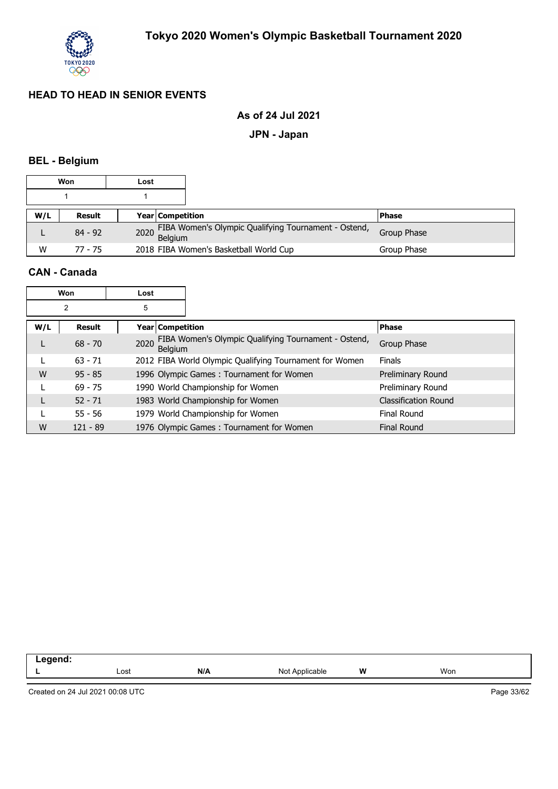

### **As of 24 Jul 2021**

#### **JPN - Japan**

## **BEL - Belgium**

|     | Won       | Lost |                         |                                                           |             |
|-----|-----------|------|-------------------------|-----------------------------------------------------------|-------------|
|     |           |      |                         |                                                           |             |
| W/L | Result    |      | <b>Year Competition</b> |                                                           | l Phase     |
|     | $84 - 92$ |      |                         | 2020 FIBA Women's Olympic Qualifying Tournament - Ostend, | Group Phase |
| W   | 77 - 75   |      |                         | 2018 FIBA Women's Basketball World Cup                    | Group Phase |

#### **CAN - Canada**

|     | <b>Won</b> | Lost |                                                                        |                             |
|-----|------------|------|------------------------------------------------------------------------|-----------------------------|
|     | 2          | 5    |                                                                        |                             |
| W/L | Result     |      | <b>Year Competition</b>                                                | <b>Phase</b>                |
|     | $68 - 70$  | 2020 | FIBA Women's Olympic Qualifying Tournament - Ostend,<br><b>Belaium</b> | Group Phase                 |
|     | $63 - 71$  |      | 2012 FIBA World Olympic Qualifying Tournament for Women                | <b>Finals</b>               |
| W   | $95 - 85$  |      | 1996 Olympic Games: Tournament for Women                               | Preliminary Round           |
|     | $69 - 75$  |      | 1990 World Championship for Women                                      | Preliminary Round           |
|     | $52 - 71$  |      | 1983 World Championship for Women                                      | <b>Classification Round</b> |
|     | $55 - 56$  |      | 1979 World Championship for Women                                      | <b>Final Round</b>          |
| W   | $121 - 89$ |      | 1976 Olympic Games: Tournament for Women                               | <b>Final Round</b>          |

| ------ |      |     |                          |          |     |
|--------|------|-----|--------------------------|----------|-----|
| --     | Lost | N/A | $\sqrt{n}$<br>No<br>able | w<br>. . | Won |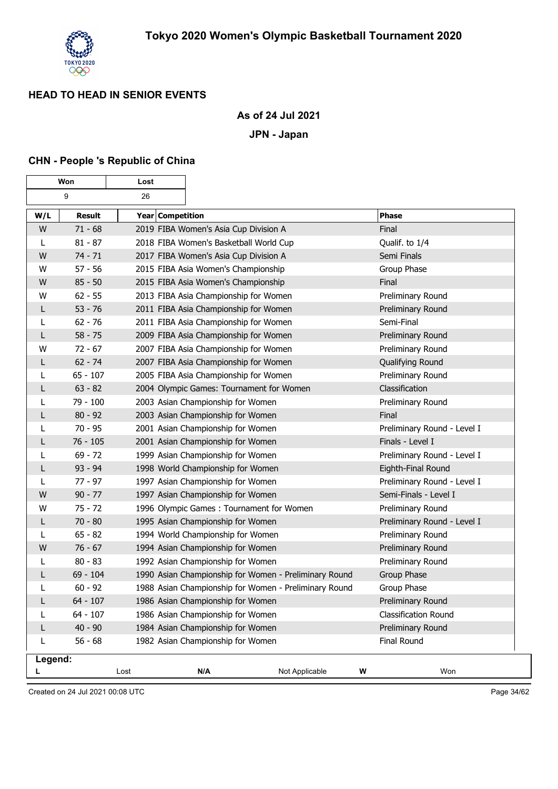

## **As of 24 Jul 2021**

#### **JPN - Japan**

#### **CHN - People 's Republic of China**

| Won          |               | Lost             |                                                       |                             |
|--------------|---------------|------------------|-------------------------------------------------------|-----------------------------|
|              | 9             | 26               |                                                       |                             |
| W/L          | <b>Result</b> | Year Competition |                                                       | <b>Phase</b>                |
| W            | $71 - 68$     |                  | 2019 FIBA Women's Asia Cup Division A                 | Final                       |
| L            | $81 - 87$     |                  | 2018 FIBA Women's Basketball World Cup                | Qualif. to 1/4              |
| W            | $74 - 71$     |                  | 2017 FIBA Women's Asia Cup Division A                 | Semi Finals                 |
| W            | $57 - 56$     |                  | 2015 FIBA Asia Women's Championship                   | Group Phase                 |
| W            | $85 - 50$     |                  | 2015 FIBA Asia Women's Championship                   | Final                       |
| W            | $62 - 55$     |                  | 2013 FIBA Asia Championship for Women                 | Preliminary Round           |
| L            | $53 - 76$     |                  | 2011 FIBA Asia Championship for Women                 | Preliminary Round           |
| L            | $62 - 76$     |                  | 2011 FIBA Asia Championship for Women                 | Semi-Final                  |
| $\mathsf{L}$ | $58 - 75$     |                  | 2009 FIBA Asia Championship for Women                 | Preliminary Round           |
| W            | $72 - 67$     |                  | 2007 FIBA Asia Championship for Women                 | Preliminary Round           |
| L            | $62 - 74$     |                  | 2007 FIBA Asia Championship for Women                 | Qualifying Round            |
| L            | $65 - 107$    |                  | 2005 FIBA Asia Championship for Women                 | Preliminary Round           |
| L            | $63 - 82$     |                  | 2004 Olympic Games: Tournament for Women              | Classification              |
| L            | 79 - 100      |                  | 2003 Asian Championship for Women                     | Preliminary Round           |
| L            | $80 - 92$     |                  | 2003 Asian Championship for Women                     | Final                       |
| L            | $70 - 95$     |                  | 2001 Asian Championship for Women                     | Preliminary Round - Level I |
| L            | $76 - 105$    |                  | 2001 Asian Championship for Women                     | Finals - Level I            |
| L            | $69 - 72$     |                  | 1999 Asian Championship for Women                     | Preliminary Round - Level I |
| L            | $93 - 94$     |                  | 1998 World Championship for Women                     | Eighth-Final Round          |
| L            | $77 - 97$     |                  | 1997 Asian Championship for Women                     | Preliminary Round - Level I |
| W            | $90 - 77$     |                  | 1997 Asian Championship for Women                     | Semi-Finals - Level I       |
| W            | $75 - 72$     |                  | 1996 Olympic Games: Tournament for Women              | Preliminary Round           |
| $\mathsf{L}$ | $70 - 80$     |                  | 1995 Asian Championship for Women                     | Preliminary Round - Level I |
| L            | $65 - 82$     |                  | 1994 World Championship for Women                     | Preliminary Round           |
| W            | $76 - 67$     |                  | 1994 Asian Championship for Women                     | Preliminary Round           |
| L            | $80 - 83$     |                  | 1992 Asian Championship for Women                     | Preliminary Round           |
| L            | $69 - 104$    |                  | 1990 Asian Championship for Women - Preliminary Round | Group Phase                 |
| L            | $60 - 92$     |                  | 1988 Asian Championship for Women - Preliminary Round | Group Phase                 |
| L            | $64 - 107$    |                  | 1986 Asian Championship for Women                     | Preliminary Round           |
| L            | $64 - 107$    |                  | 1986 Asian Championship for Women                     | <b>Classification Round</b> |
| L            | $40 - 90$     |                  | 1984 Asian Championship for Women                     | Preliminary Round           |
| L            | $56 - 68$     |                  | 1982 Asian Championship for Women                     | <b>Final Round</b>          |
| Legend:      |               |                  |                                                       |                             |
| L            |               | Lost             | Not Applicable<br>N/A                                 | Won<br>W                    |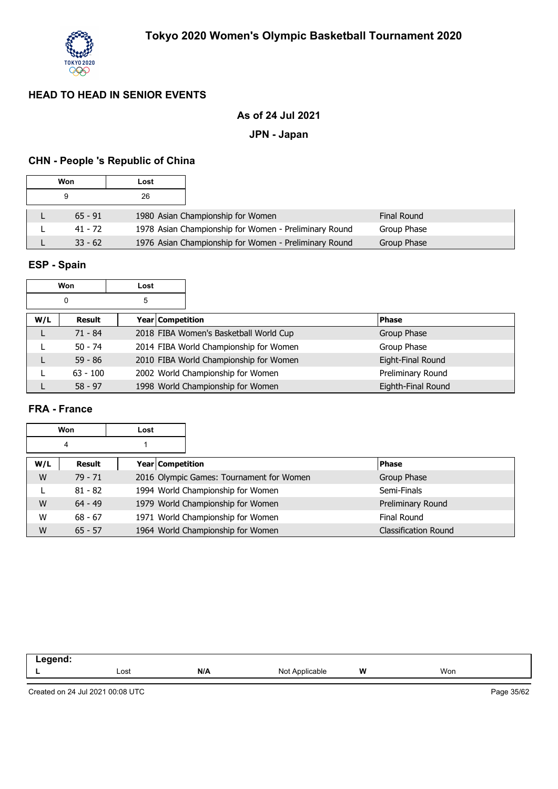

## **As of 24 Jul 2021**

#### **JPN - Japan**

## **CHN - People 's Republic of China**

| Won       | Lost |                                                       |                    |
|-----------|------|-------------------------------------------------------|--------------------|
| 9         | 26   |                                                       |                    |
| $65 - 91$ |      | 1980 Asian Championship for Women                     | <b>Final Round</b> |
| 41 - 72   |      | 1978 Asian Championship for Women - Preliminary Round | Group Phase        |
| $33 - 62$ |      | 1976 Asian Championship for Women - Preliminary Round | Group Phase        |

## **ESP - Spain**

| Won<br>Lost |               |                  |                                        |                    |
|-------------|---------------|------------------|----------------------------------------|--------------------|
|             | 0             | 5                |                                        |                    |
| W/L         | <b>Result</b> | Year Competition |                                        | <b>Phase</b>       |
|             | $71 - 84$     |                  | 2018 FIBA Women's Basketball World Cup | Group Phase        |
|             | $50 - 74$     |                  | 2014 FIBA World Championship for Women | Group Phase        |
|             | $59 - 86$     |                  | 2010 FIBA World Championship for Women | Eight-Final Round  |
|             | $63 - 100$    |                  | 2002 World Championship for Women      | Preliminary Round  |
|             | $58 - 97$     |                  | 1998 World Championship for Women      | Eighth-Final Round |

## **FRA - France**

|     | Won       | Lost |                                          |                             |
|-----|-----------|------|------------------------------------------|-----------------------------|
|     | 4         |      |                                          |                             |
| W/L | Result    |      | <b>Year Competition</b>                  | <b>Phase</b>                |
| W   | $79 - 71$ |      | 2016 Olympic Games: Tournament for Women | Group Phase                 |
|     | $81 - 82$ |      | 1994 World Championship for Women        | Semi-Finals                 |
| W   | $64 - 49$ |      | 1979 World Championship for Women        | Preliminary Round           |
| W   | $68 - 67$ |      | 1971 World Championship for Women        | Final Round                 |
| W   | $65 - 57$ |      | 1964 World Championship for Women        | <b>Classification Round</b> |

| .<br>-- |      |     |                   |   |     |
|---------|------|-----|-------------------|---|-----|
|         | Lost | N/A | Not<br>Applicable | W | Won |
|         |      |     |                   |   |     |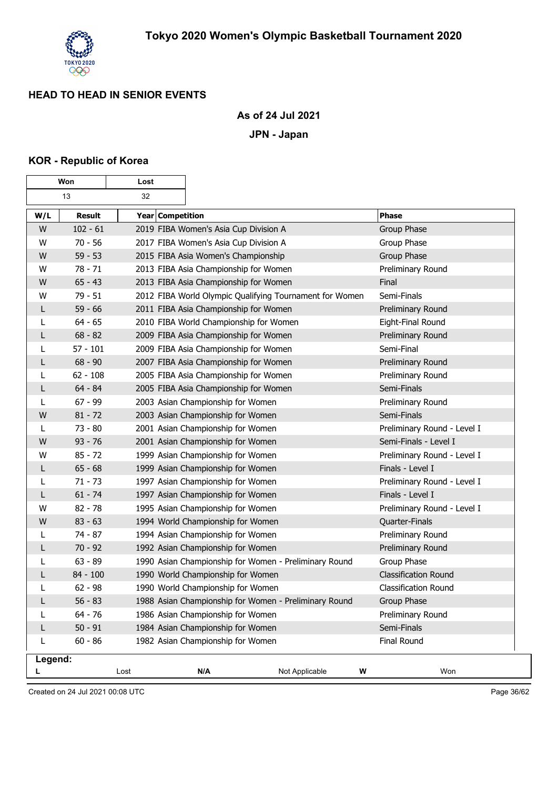

## **As of 24 Jul 2021**

**JPN - Japan**

#### **KOR - Republic of Korea**

| Won<br>Lost |               |                  |                                                         |                |                             |
|-------------|---------------|------------------|---------------------------------------------------------|----------------|-----------------------------|
|             | 13            | 32               |                                                         |                |                             |
| W/L         | <b>Result</b> | Year Competition |                                                         |                | <b>Phase</b>                |
| W           | $102 - 61$    |                  | 2019 FIBA Women's Asia Cup Division A                   |                | Group Phase                 |
| W           | $70 - 56$     |                  | 2017 FIBA Women's Asia Cup Division A                   |                | Group Phase                 |
| W           | $59 - 53$     |                  | 2015 FIBA Asia Women's Championship                     |                | Group Phase                 |
| W           | $78 - 71$     |                  | 2013 FIBA Asia Championship for Women                   |                | Preliminary Round           |
| W           | $65 - 43$     |                  | 2013 FIBA Asia Championship for Women                   |                | Final                       |
| W           | $79 - 51$     |                  | 2012 FIBA World Olympic Qualifying Tournament for Women |                | Semi-Finals                 |
| L           | $59 - 66$     |                  | 2011 FIBA Asia Championship for Women                   |                | Preliminary Round           |
| L           | $64 - 65$     |                  | 2010 FIBA World Championship for Women                  |                | Eight-Final Round           |
| L           | $68 - 82$     |                  | 2009 FIBA Asia Championship for Women                   |                | Preliminary Round           |
| L           | $57 - 101$    |                  | 2009 FIBA Asia Championship for Women                   |                | Semi-Final                  |
| L           | $68 - 90$     |                  | 2007 FIBA Asia Championship for Women                   |                | Preliminary Round           |
| L           | $62 - 108$    |                  | 2005 FIBA Asia Championship for Women                   |                | Preliminary Round           |
| L           | $64 - 84$     |                  | 2005 FIBA Asia Championship for Women                   |                | Semi-Finals                 |
| L           | $67 - 99$     |                  | 2003 Asian Championship for Women                       |                | Preliminary Round           |
| W           | $81 - 72$     |                  | 2003 Asian Championship for Women                       |                | Semi-Finals                 |
| L           | $73 - 80$     |                  | 2001 Asian Championship for Women                       |                | Preliminary Round - Level I |
| W           | $93 - 76$     |                  | 2001 Asian Championship for Women                       |                | Semi-Finals - Level I       |
| W           | $85 - 72$     |                  | 1999 Asian Championship for Women                       |                | Preliminary Round - Level I |
| L           | $65 - 68$     |                  | 1999 Asian Championship for Women                       |                | Finals - Level I            |
| L           | $71 - 73$     |                  | 1997 Asian Championship for Women                       |                | Preliminary Round - Level I |
| L           | $61 - 74$     |                  | 1997 Asian Championship for Women                       |                | Finals - Level I            |
| W           | $82 - 78$     |                  | 1995 Asian Championship for Women                       |                | Preliminary Round - Level I |
| W           | $83 - 63$     |                  | 1994 World Championship for Women                       |                | Quarter-Finals              |
| L           | $74 - 87$     |                  | 1994 Asian Championship for Women                       |                | Preliminary Round           |
| L           | $70 - 92$     |                  | 1992 Asian Championship for Women                       |                | Preliminary Round           |
| L           | $63 - 89$     |                  | 1990 Asian Championship for Women - Preliminary Round   |                | Group Phase                 |
| L           | $84 - 100$    |                  | 1990 World Championship for Women                       |                | <b>Classification Round</b> |
| L           | $62 - 98$     |                  | 1990 World Championship for Women                       |                | Classification Round        |
| L           | $56 - 83$     |                  | 1988 Asian Championship for Women - Preliminary Round   |                | Group Phase                 |
|             | $64 - 76$     |                  | 1986 Asian Championship for Women                       |                | Preliminary Round           |
| L           | $50 - 91$     |                  | 1984 Asian Championship for Women                       |                | Semi-Finals                 |
| L           | $60 - 86$     |                  | 1982 Asian Championship for Women                       |                | <b>Final Round</b>          |
| Legend:     |               |                  |                                                         |                |                             |
|             |               | Lost             | N/A                                                     | Not Applicable | Won<br>W                    |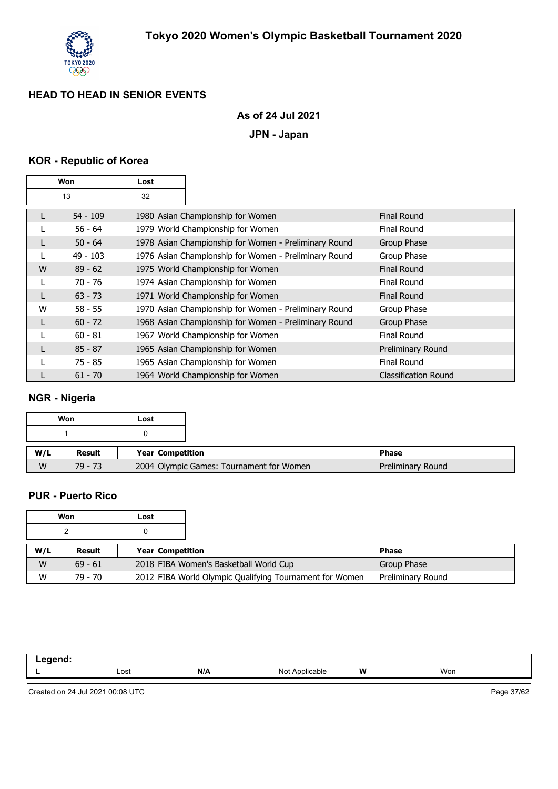

## **As of 24 Jul 2021**

**JPN - Japan**

## **KOR - Republic of Korea**

| Won |            | Lost |                                                       |                             |
|-----|------------|------|-------------------------------------------------------|-----------------------------|
|     | 13         | 32   |                                                       |                             |
| L   | 54 - 109   |      | 1980 Asian Championship for Women                     | Final Round                 |
|     | $56 - 64$  |      | 1979 World Championship for Women                     | Final Round                 |
| L   | $50 - 64$  |      | 1978 Asian Championship for Women - Preliminary Round | Group Phase                 |
|     | $49 - 103$ |      | 1976 Asian Championship for Women - Preliminary Round | Group Phase                 |
| W   | $89 - 62$  |      | 1975 World Championship for Women                     | <b>Final Round</b>          |
|     | $70 - 76$  |      | 1974 Asian Championship for Women                     | <b>Final Round</b>          |
| L   | $63 - 73$  |      | 1971 World Championship for Women                     | Final Round                 |
| W   | $58 - 55$  |      | 1970 Asian Championship for Women - Preliminary Round | Group Phase                 |
| L   | $60 - 72$  |      | 1968 Asian Championship for Women - Preliminary Round | Group Phase                 |
|     | $60 - 81$  |      | 1967 World Championship for Women                     | Final Round                 |
|     | $85 - 87$  |      | 1965 Asian Championship for Women                     | Preliminary Round           |
|     | $75 - 85$  |      | 1965 Asian Championship for Women                     | <b>Final Round</b>          |
|     | $61 - 70$  |      | 1964 World Championship for Women                     | <b>Classification Round</b> |

## **NGR - Nigeria**

|     | Won       | Lost |                         |                                          |                   |
|-----|-----------|------|-------------------------|------------------------------------------|-------------------|
|     |           |      |                         |                                          |                   |
| W/L | Result    |      | <b>Year Competition</b> |                                          | l Phase           |
| W   | $79 - 73$ |      |                         | 2004 Olympic Games: Tournament for Women | Preliminary Round |

#### **PUR - Puerto Rico**

|     | Won       | Lost |                  |                                                         |                   |
|-----|-----------|------|------------------|---------------------------------------------------------|-------------------|
|     |           |      |                  |                                                         |                   |
| W/L | Result    |      | Year Competition |                                                         | <b>Phase</b>      |
| W   | $69 - 61$ |      |                  | 2018 FIBA Women's Basketball World Cup                  | Group Phase       |
| W   | 79 - 70   |      |                  | 2012 FIBA World Olympic Qualifying Tournament for Women | Preliminary Round |

| .<br>$\sim$ $\sim$ |      |     |                        |   |     |
|--------------------|------|-----|------------------------|---|-----|
|                    | Lost | N/A | N∩t<br>licable.<br>៶៴៶ | w | Won |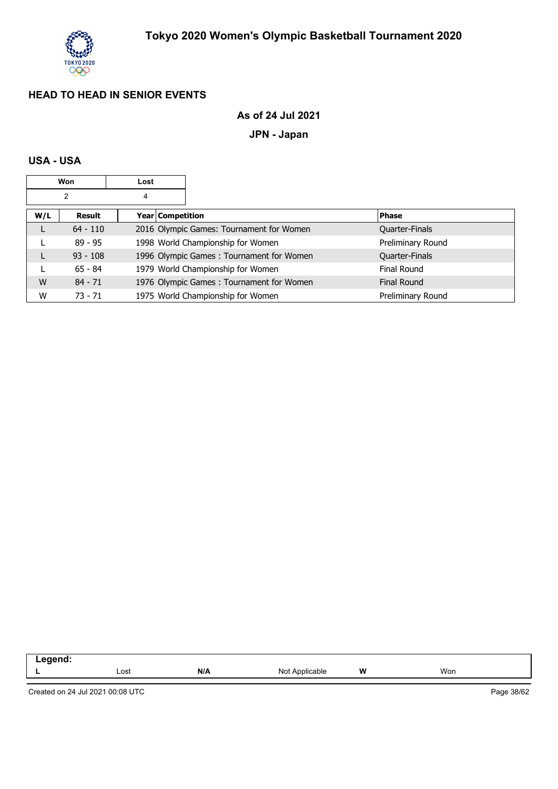

## **As of 24 Jul 2021**

## **JPN - Japan**

### **USA - USA**

|     | Won        | Lost |                    |                                          |                    |
|-----|------------|------|--------------------|------------------------------------------|--------------------|
|     | 2          | 4    |                    |                                          |                    |
| W/L | Result     |      | Year   Competition |                                          | <b>Phase</b>       |
|     | $64 - 110$ |      |                    | 2016 Olympic Games: Tournament for Women | Quarter-Finals     |
|     | 89 - 95    |      |                    | 1998 World Championship for Women        | Preliminary Round  |
| L   | $93 - 108$ |      |                    | 1996 Olympic Games: Tournament for Women | Quarter-Finals     |
|     | $65 - 84$  |      |                    | 1979 World Championship for Women        | Final Round        |
| W   | $84 - 71$  |      |                    | 1976 Olympic Games: Tournament for Women | <b>Final Round</b> |
| W   | $73 - 71$  |      |                    | 1975 World Championship for Women        | Preliminary Round  |

| .<br>™enu.<br>. |      |     |                          |          |     |
|-----------------|------|-----|--------------------------|----------|-----|
|                 | Lost | N/A | NMt<br>Applicable<br>◥◡◟ | W<br>. . | Won |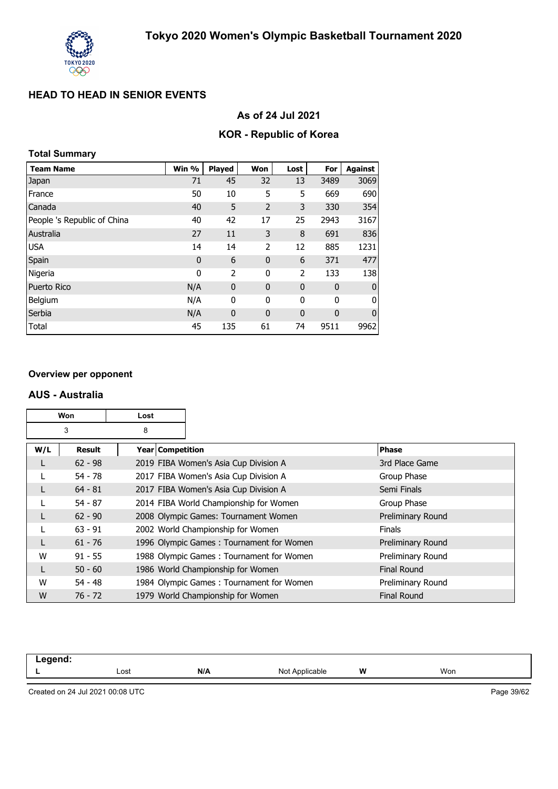

### **As of 24 Jul 2021**

## **KOR - Republic of Korea**

### **Total Summary**

| <b>Team Name</b>            | Win %       | <b>Played</b> | Won            | Lost        | For         | <b>Against</b> |
|-----------------------------|-------------|---------------|----------------|-------------|-------------|----------------|
| Japan                       | 71          | 45            | 32             | 13          | 3489        | 3069           |
| France                      | 50          | 10            | 5              | 5           | 669         | 690            |
| Canada                      | 40          | 5             | $\overline{2}$ | 3           | 330         | 354            |
| People 's Republic of China | 40          | 42            | 17             | 25          | 2943        | 3167           |
| Australia                   | 27          | 11            | 3              | 8           | 691         | 836            |
| <b>USA</b>                  | 14          | 14            | 2              | 12          | 885         | 1231           |
| Spain                       | $\mathbf 0$ | 6             | $\mathbf{0}$   | 6           | 371         | 477            |
| Nigeria                     | 0           | 2             | 0              | 2           | 133         | 138            |
| <b>Puerto Rico</b>          | N/A         | 0             | 0              | $\mathbf 0$ | $\mathbf 0$ | $\bf{0}$       |
| Belgium                     | N/A         | 0             | 0              | 0           | 0           | 0              |
| Serbia                      | N/A         | $\mathbf{0}$  | $\mathbf{0}$   | $\mathbf 0$ | 0           | $\mathbf 0$    |
| Total                       | 45          | 135           | 61             | 74          | 9511        | 9962           |

#### **Overview per opponent**

#### **AUS - Australia**

| Won<br>Lost |           |   |                                          |                    |
|-------------|-----------|---|------------------------------------------|--------------------|
|             | 3         | 8 |                                          |                    |
| W/L         | Result    |   | Year   Competition                       | <b>Phase</b>       |
|             | $62 - 98$ |   | 2019 FIBA Women's Asia Cup Division A    | 3rd Place Game     |
|             | $54 - 78$ |   | 2017 FIBA Women's Asia Cup Division A    | Group Phase        |
|             | $64 - 81$ |   | 2017 FIBA Women's Asia Cup Division A    | Semi Finals        |
|             | $54 - 87$ |   | 2014 FIBA World Championship for Women   | Group Phase        |
|             | $62 - 90$ |   | 2008 Olympic Games: Tournament Women     | Preliminary Round  |
|             | $63 - 91$ |   | 2002 World Championship for Women        | <b>Finals</b>      |
|             | $61 - 76$ |   | 1996 Olympic Games: Tournament for Women | Preliminary Round  |
| W           | $91 - 55$ |   | 1988 Olympic Games: Tournament for Women | Preliminary Round  |
|             | $50 - 60$ |   | 1986 World Championship for Women        | <b>Final Round</b> |
| W           | $54 - 48$ |   | 1984 Olympic Games: Tournament for Women | Preliminary Round  |
| W           | $76 - 72$ |   | 1979 World Championship for Women        | <b>Final Round</b> |

| .<br>-- -<br>$\sim$ $\sim$ |      |     |                                               |   |     |
|----------------------------|------|-----|-----------------------------------------------|---|-----|
|                            | Lost | N/A | N <sub>Io</sub><br>Applicable<br><u>. IUL</u> | W | Won |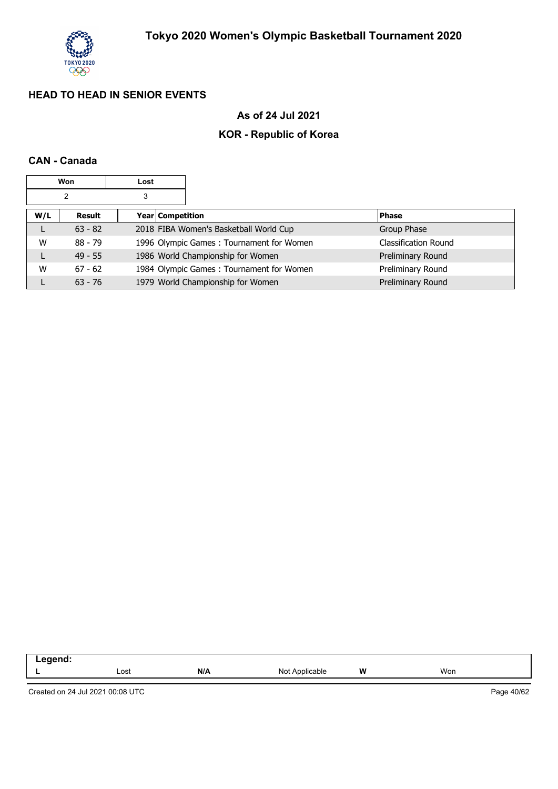

## **As of 24 Jul 2021**

## **KOR - Republic of Korea**

## **CAN - Canada**

|     | Won       | Lost |                  |                                          |                             |
|-----|-----------|------|------------------|------------------------------------------|-----------------------------|
|     | 2         | 3    |                  |                                          |                             |
| W/L | Result    |      | Year Competition |                                          | <b>Phase</b>                |
| L   | $63 - 82$ |      |                  | 2018 FIBA Women's Basketball World Cup   | Group Phase                 |
| W   | $88 - 79$ |      |                  | 1996 Olympic Games: Tournament for Women | <b>Classification Round</b> |
| L   | $49 - 55$ |      |                  | 1986 World Championship for Women        | Preliminary Round           |
| W   | $67 - 62$ |      |                  | 1984 Olympic Games: Tournament for Women | Preliminary Round           |
|     | $63 - 76$ |      |                  | 1979 World Championship for Women        | Preliminary Round           |

| .<br>œ<br>™IL.<br>- |      |     |                  |       |     |
|---------------------|------|-----|------------------|-------|-----|
|                     | Lost | N/A | No<br>Applicable | W<br> | Won |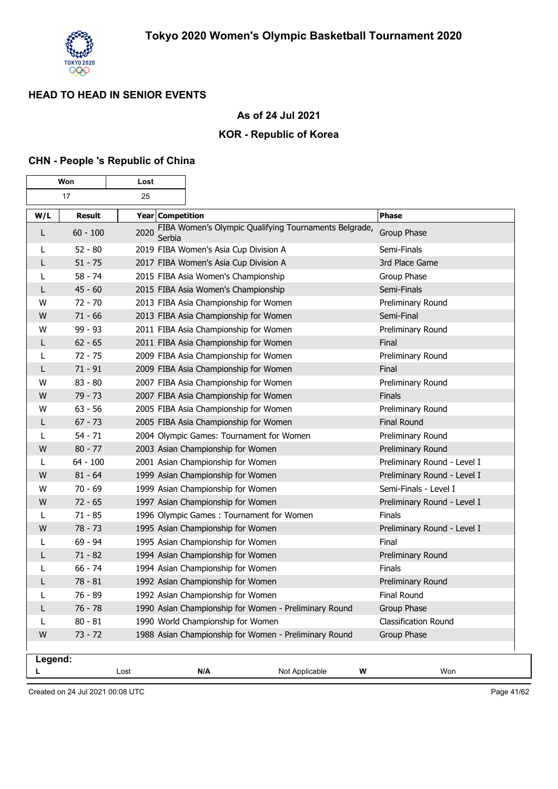

## **As of 24 Jul 2021**

### **KOR - Republic of Korea**

#### **CHN - People 's Republic of China**

|         | Won<br>Lost   |                  |                                                       |                             |
|---------|---------------|------------------|-------------------------------------------------------|-----------------------------|
|         | 17            | 25               |                                                       |                             |
| W/L     | <b>Result</b> | Year Competition |                                                       | <b>Phase</b>                |
| L       | $60 - 100$    | 2020<br>Serbia   | FIBA Women's Olympic Qualifying Tournaments Belgrade, | Group Phase                 |
|         | $52 - 80$     |                  | 2019 FIBA Women's Asia Cup Division A                 | Semi-Finals                 |
| L       | $51 - 75$     |                  | 2017 FIBA Women's Asia Cup Division A                 | 3rd Place Game              |
| L       | $58 - 74$     |                  | 2015 FIBA Asia Women's Championship                   | Group Phase                 |
| L       | $45 - 60$     |                  | 2015 FIBA Asia Women's Championship                   | Semi-Finals                 |
| W       | $72 - 70$     |                  | 2013 FIBA Asia Championship for Women                 | Preliminary Round           |
| W       | $71 - 66$     |                  | 2013 FIBA Asia Championship for Women                 | Semi-Final                  |
| W       | 99 - 93       |                  | 2011 FIBA Asia Championship for Women                 | Preliminary Round           |
| L       | $62 - 65$     |                  | 2011 FIBA Asia Championship for Women                 | Final                       |
| L       | $72 - 75$     |                  | 2009 FIBA Asia Championship for Women                 | Preliminary Round           |
| L       | $71 - 91$     |                  | 2009 FIBA Asia Championship for Women                 | Final                       |
| W       | $83 - 80$     |                  | 2007 FIBA Asia Championship for Women                 | Preliminary Round           |
| W       | $79 - 73$     |                  | 2007 FIBA Asia Championship for Women                 | Finals                      |
| W       | $63 - 56$     |                  | 2005 FIBA Asia Championship for Women                 | Preliminary Round           |
| L       | $67 - 73$     |                  | 2005 FIBA Asia Championship for Women                 | <b>Final Round</b>          |
|         | $54 - 71$     |                  | 2004 Olympic Games: Tournament for Women              | Preliminary Round           |
| W       | $80 - 77$     |                  | 2003 Asian Championship for Women                     | Preliminary Round           |
| L       | $64 - 100$    |                  | 2001 Asian Championship for Women                     | Preliminary Round - Level I |
| W       | $81 - 64$     |                  | 1999 Asian Championship for Women                     | Preliminary Round - Level I |
| W       | $70 - 69$     |                  | 1999 Asian Championship for Women                     | Semi-Finals - Level I       |
| W       | $72 - 65$     |                  | 1997 Asian Championship for Women                     | Preliminary Round - Level I |
| L       | $71 - 85$     |                  | 1996 Olympic Games: Tournament for Women              | Finals                      |
| W       | 78 - 73       |                  | 1995 Asian Championship for Women                     | Preliminary Round - Level I |
|         | $69 - 94$     |                  | 1995 Asian Championship for Women                     | Final                       |
| L       | $71 - 82$     |                  | 1994 Asian Championship for Women                     | Preliminary Round           |
| L       | $66 - 74$     |                  | 1994 Asian Championship for Women                     | Finals                      |
| L       | $78 - 81$     |                  | 1992 Asian Championship for Women                     | Preliminary Round           |
| L       | 76 - 89       |                  | 1992 Asian Championship for Women                     | Final Round                 |
| L       | $76 - 78$     |                  | 1990 Asian Championship for Women - Preliminary Round | Group Phase                 |
| L       | $80 - 81$     |                  | 1990 World Championship for Women                     | Classification Round        |
| W       | $73 - 72$     |                  | 1988 Asian Championship for Women - Preliminary Round | Group Phase                 |
| Legend: |               |                  |                                                       |                             |
| L       |               | Lost             | N/A                                                   | Won<br>Not Applicable<br>W  |

Created on 24 Jul 2021 00:08 UTC

Page 41/62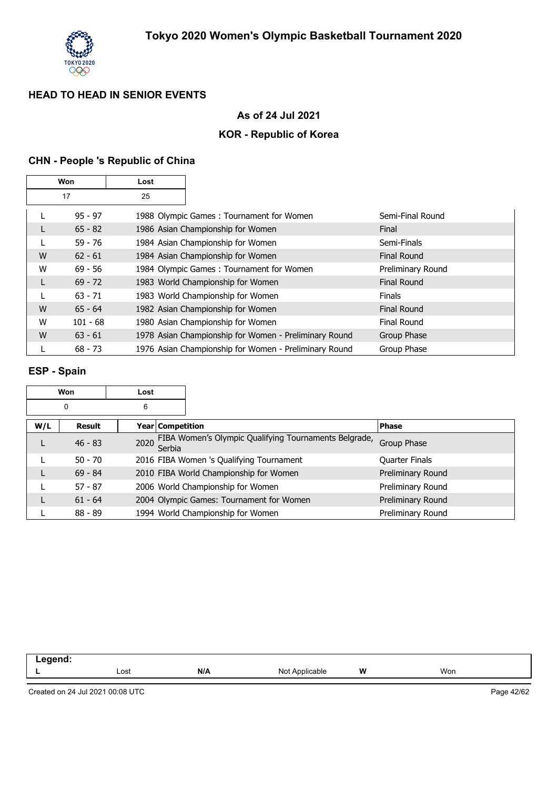

## **As of 24 Jul 2021**

### **KOR - Republic of Korea**

## **CHN - People 's Republic of China**

|   | Won        | Lost |                                                       |                    |
|---|------------|------|-------------------------------------------------------|--------------------|
|   | 17         | 25   |                                                       |                    |
|   | $95 - 97$  |      | 1988 Olympic Games: Tournament for Women              | Semi-Final Round   |
|   | $65 - 82$  |      | 1986 Asian Championship for Women                     | Final              |
|   | $59 - 76$  |      | 1984 Asian Championship for Women                     | Semi-Finals        |
| W | $62 - 61$  |      | 1984 Asian Championship for Women                     | <b>Final Round</b> |
| W | $69 - 56$  |      | 1984 Olympic Games: Tournament for Women              | Preliminary Round  |
| L | $69 - 72$  |      | 1983 World Championship for Women                     | <b>Final Round</b> |
| L | $63 - 71$  |      | 1983 World Championship for Women                     | <b>Finals</b>      |
| W | $65 - 64$  |      | 1982 Asian Championship for Women                     | <b>Final Round</b> |
| W | $101 - 68$ |      | 1980 Asian Championship for Women                     | Final Round        |
| W | $63 - 61$  |      | 1978 Asian Championship for Women - Preliminary Round | Group Phase        |
|   | $68 - 73$  |      | 1976 Asian Championship for Women - Preliminary Round | Group Phase        |

#### **ESP - Spain**

|     | Won           | Lost |                    |                                                       |                       |
|-----|---------------|------|--------------------|-------------------------------------------------------|-----------------------|
|     | 0             | 6    |                    |                                                       |                       |
| W/L | <b>Result</b> |      | Year   Competition |                                                       | <b>Phase</b>          |
|     | $46 - 83$     | 2020 | Serbia             | FIBA Women's Olympic Qualifying Tournaments Belgrade, | Group Phase           |
|     | $50 - 70$     |      |                    | 2016 FIBA Women 's Qualifying Tournament              | <b>Quarter Finals</b> |
|     | $69 - 84$     |      |                    | 2010 FIBA World Championship for Women                | Preliminary Round     |
|     | $57 - 87$     |      |                    | 2006 World Championship for Women                     | Preliminary Round     |
|     | $61 - 64$     |      |                    | 2004 Olympic Games: Tournament for Women              | Preliminary Round     |
|     | $88 - 89$     |      |                    | 1994 World Championship for Women                     | Preliminary Round     |

| Legend: |      |     |                |   |     |  |
|---------|------|-----|----------------|---|-----|--|
|         | ∟ost | N/A | Not Applicable | W | Won |  |
|         |      |     |                |   |     |  |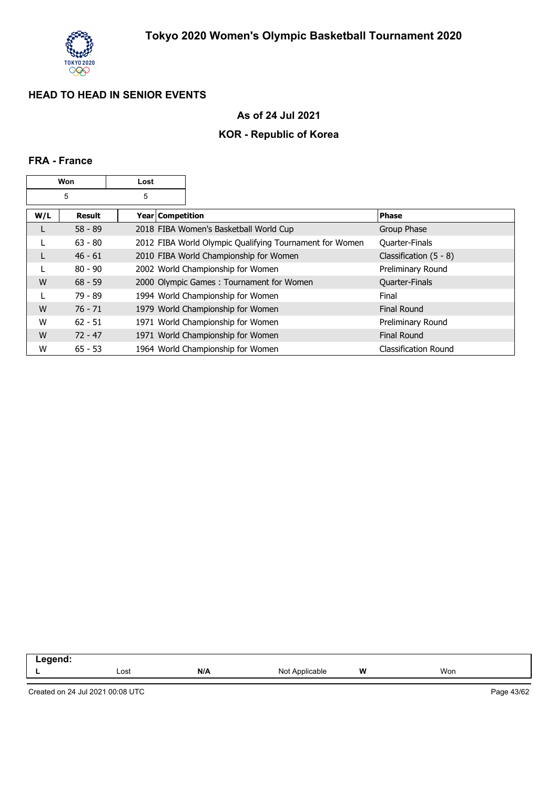

## **As of 24 Jul 2021**

## **KOR - Republic of Korea**

### **FRA - France**

|     | Won       | Lost             |                                                         |                             |
|-----|-----------|------------------|---------------------------------------------------------|-----------------------------|
|     | 5         | 5                |                                                         |                             |
| W/L | Result    | Year Competition |                                                         | Phase                       |
| L   | $58 - 89$ |                  | 2018 FIBA Women's Basketball World Cup                  | Group Phase                 |
|     | $63 - 80$ |                  | 2012 FIBA World Olympic Qualifying Tournament for Women | Quarter-Finals              |
|     | $46 - 61$ |                  | 2010 FIBA World Championship for Women                  | Classification $(5 - 8)$    |
|     | $80 - 90$ |                  | 2002 World Championship for Women                       | Preliminary Round           |
| W   | $68 - 59$ |                  | 2000 Olympic Games: Tournament for Women                | Quarter-Finals              |
|     | $79 - 89$ |                  | 1994 World Championship for Women                       | Final                       |
| W   | $76 - 71$ |                  | 1979 World Championship for Women                       | <b>Final Round</b>          |
| W   | $62 - 51$ |                  | 1971 World Championship for Women                       | Preliminary Round           |
| W   | $72 - 47$ |                  | 1971 World Championship for Women                       | <b>Final Round</b>          |
| W   | $65 - 53$ |                  | 1964 World Championship for Women                       | <b>Classification Round</b> |

| -----  |      |     |                                                                       |   |     |  |
|--------|------|-----|-----------------------------------------------------------------------|---|-----|--|
| $\sim$ | Lost | N/A | able<br><b>NIC</b><br>the contract of the contract of the contract of | W | Won |  |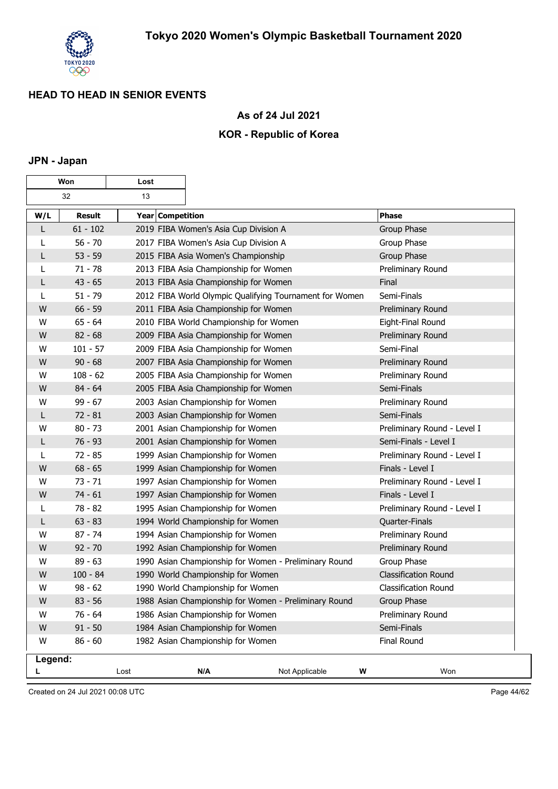

 $\overline{\mathbf{1}}$ 

## **As of 24 Jul 2021**

## **KOR - Republic of Korea**

#### **JPN - Japan**

| Won     |               | Lost             |                                                         |                             |
|---------|---------------|------------------|---------------------------------------------------------|-----------------------------|
|         | 32            | 13               |                                                         |                             |
| W/L     | <b>Result</b> | Year Competition |                                                         | <b>Phase</b>                |
| L       | $61 - 102$    |                  | 2019 FIBA Women's Asia Cup Division A                   | Group Phase                 |
| L       | $56 - 70$     |                  | 2017 FIBA Women's Asia Cup Division A                   | Group Phase                 |
| L       | $53 - 59$     |                  | 2015 FIBA Asia Women's Championship                     | Group Phase                 |
| L       | $71 - 78$     |                  | 2013 FIBA Asia Championship for Women                   | Preliminary Round           |
| L       | $43 - 65$     |                  | 2013 FIBA Asia Championship for Women                   | Final                       |
| L       | $51 - 79$     |                  | 2012 FIBA World Olympic Qualifying Tournament for Women | Semi-Finals                 |
| W       | $66 - 59$     |                  | 2011 FIBA Asia Championship for Women                   | Preliminary Round           |
| W       | $65 - 64$     |                  | 2010 FIBA World Championship for Women                  | Eight-Final Round           |
| W       | $82 - 68$     |                  | 2009 FIBA Asia Championship for Women                   | Preliminary Round           |
| W       | $101 - 57$    |                  | 2009 FIBA Asia Championship for Women                   | Semi-Final                  |
| W       | $90 - 68$     |                  | 2007 FIBA Asia Championship for Women                   | Preliminary Round           |
| W       | $108 - 62$    |                  | 2005 FIBA Asia Championship for Women                   | Preliminary Round           |
| W       | $84 - 64$     |                  | 2005 FIBA Asia Championship for Women                   | Semi-Finals                 |
| W       | $99 - 67$     |                  | 2003 Asian Championship for Women                       | Preliminary Round           |
| L       | $72 - 81$     |                  | 2003 Asian Championship for Women                       | Semi-Finals                 |
| w       | $80 - 73$     |                  | 2001 Asian Championship for Women                       | Preliminary Round - Level I |
| L       | $76 - 93$     |                  | 2001 Asian Championship for Women                       | Semi-Finals - Level I       |
| L       | $72 - 85$     |                  | 1999 Asian Championship for Women                       | Preliminary Round - Level I |
| W       | $68 - 65$     |                  | 1999 Asian Championship for Women                       | Finals - Level I            |
| W       | $73 - 71$     |                  | 1997 Asian Championship for Women                       | Preliminary Round - Level I |
| W       | $74 - 61$     |                  | 1997 Asian Championship for Women                       | Finals - Level I            |
| L       | 78 - 82       |                  | 1995 Asian Championship for Women                       | Preliminary Round - Level I |
| L       | $63 - 83$     |                  | 1994 World Championship for Women                       | Quarter-Finals              |
| W       | $87 - 74$     |                  | 1994 Asian Championship for Women                       | Preliminary Round           |
| W       | $92 - 70$     |                  | 1992 Asian Championship for Women                       | Preliminary Round           |
| W       | $89 - 63$     |                  | 1990 Asian Championship for Women - Preliminary Round   | Group Phase                 |
| W       | $100 - 84$    |                  | 1990 World Championship for Women                       | <b>Classification Round</b> |
| W       | $98 - 62$     |                  | 1990 World Championship for Women                       | Classification Round        |
| W       | $83 - 56$     |                  | 1988 Asian Championship for Women - Preliminary Round   | Group Phase                 |
| W       | 76 - 64       |                  | 1986 Asian Championship for Women                       | Preliminary Round           |
| W       | $91 - 50$     |                  | 1984 Asian Championship for Women                       | Semi-Finals                 |
| W       | $86 - 60$     |                  | 1982 Asian Championship for Women                       | Final Round                 |
| Legend: |               |                  |                                                         |                             |
|         |               | Lost             | N/A<br>Not Applicable                                   | W<br>Won                    |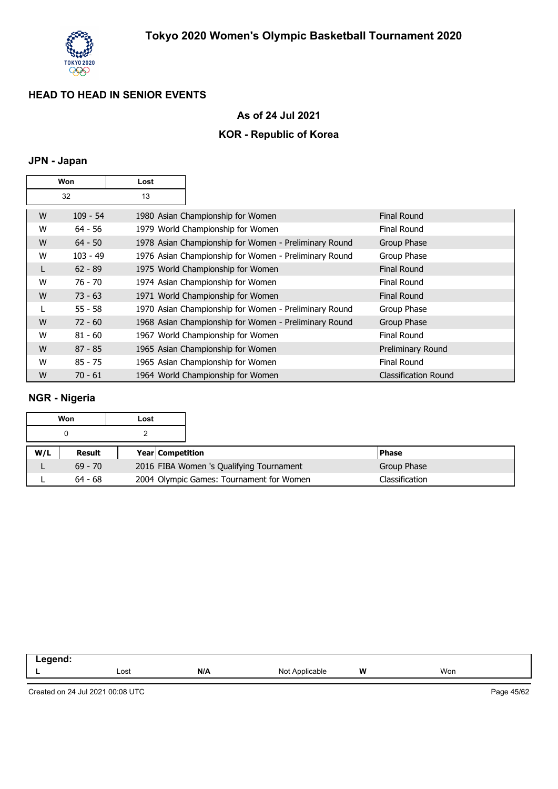

## **As of 24 Jul 2021**

### **KOR - Republic of Korea**

## **JPN - Japan**

|   | Won        | Lost |                                                       |                             |
|---|------------|------|-------------------------------------------------------|-----------------------------|
|   | 32         | 13   |                                                       |                             |
| W | $109 - 54$ |      | 1980 Asian Championship for Women                     | <b>Final Round</b>          |
| W | $64 - 56$  |      | 1979 World Championship for Women                     | <b>Final Round</b>          |
| W | $64 - 50$  |      | 1978 Asian Championship for Women - Preliminary Round | Group Phase                 |
| W | $103 - 49$ |      | 1976 Asian Championship for Women - Preliminary Round | Group Phase                 |
| L | $62 - 89$  |      | 1975 World Championship for Women                     | <b>Final Round</b>          |
| W | $76 - 70$  |      | 1974 Asian Championship for Women                     | <b>Final Round</b>          |
| W | $73 - 63$  |      | 1971 World Championship for Women                     | <b>Final Round</b>          |
|   | $55 - 58$  |      | 1970 Asian Championship for Women - Preliminary Round | Group Phase                 |
| W | $72 - 60$  |      | 1968 Asian Championship for Women - Preliminary Round | Group Phase                 |
| W | $81 - 60$  |      | 1967 World Championship for Women                     | <b>Final Round</b>          |
| W | $87 - 85$  |      | 1965 Asian Championship for Women                     | Preliminary Round           |
| W | $85 - 75$  |      | 1965 Asian Championship for Women                     | <b>Final Round</b>          |
| W | $70 - 61$  |      | 1964 World Championship for Women                     | <b>Classification Round</b> |

## **NGR - Nigeria**

|     | Won           | Lost                    |                                          |                |
|-----|---------------|-------------------------|------------------------------------------|----------------|
|     | 0             |                         |                                          |                |
| W/L | <b>Result</b> | <b>Year Competition</b> |                                          | <b>IPhase</b>  |
|     | $69 - 70$     |                         | 2016 FIBA Women 's Qualifying Tournament | Group Phase    |
|     | $64 - 68$     |                         | 2004 Olympic Games: Tournament for Women | Classification |

| -- 3 |      |     |                                        |        |     |  |
|------|------|-----|----------------------------------------|--------|-----|--|
|      | Lost | N/A | able<br>Nο<br>חור<br>$\cdot\cdot\cdot$ | W<br>. | Won |  |
|      |      |     |                                        |        |     |  |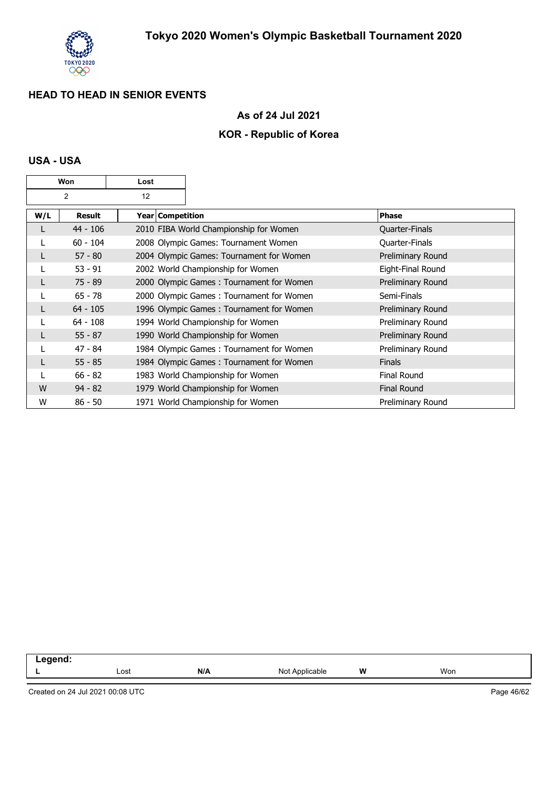

## **As of 24 Jul 2021**

## **KOR - Republic of Korea**

### **USA - USA**

|     | Won        | Lost |                    |                                          |                    |
|-----|------------|------|--------------------|------------------------------------------|--------------------|
|     | 2          | 12   |                    |                                          |                    |
| W/L | Result     |      | Year   Competition |                                          | <b>Phase</b>       |
| L   | $44 - 106$ |      |                    | 2010 FIBA World Championship for Women   | Quarter-Finals     |
|     | $60 - 104$ |      |                    | 2008 Olympic Games: Tournament Women     | Quarter-Finals     |
| L   | $57 - 80$  |      |                    | 2004 Olympic Games: Tournament for Women | Preliminary Round  |
|     | $53 - 91$  |      |                    | 2002 World Championship for Women        | Eight-Final Round  |
| L   | 75 - 89    |      |                    | 2000 Olympic Games: Tournament for Women | Preliminary Round  |
|     | $65 - 78$  |      |                    | 2000 Olympic Games: Tournament for Women | Semi-Finals        |
| L   | $64 - 105$ |      |                    | 1996 Olympic Games: Tournament for Women | Preliminary Round  |
|     | $64 - 108$ |      |                    | 1994 World Championship for Women        | Preliminary Round  |
|     | $55 - 87$  |      |                    | 1990 World Championship for Women        | Preliminary Round  |
|     | $47 - 84$  |      |                    | 1984 Olympic Games: Tournament for Women | Preliminary Round  |
| L   | $55 - 85$  |      |                    | 1984 Olympic Games: Tournament for Women | <b>Finals</b>      |
|     | $66 - 82$  |      |                    | 1983 World Championship for Women        | <b>Final Round</b> |
| W   | $94 - 82$  |      |                    | 1979 World Championship for Women        | Final Round        |
| W   | $86 - 50$  |      |                    | 1971 World Championship for Women        | Preliminary Round  |

| .<br><br>וטי. |      |     |                   |   |     |  |
|---------------|------|-----|-------------------|---|-----|--|
| -             | Lost | N/A | Applicable<br>Not | W | Won |  |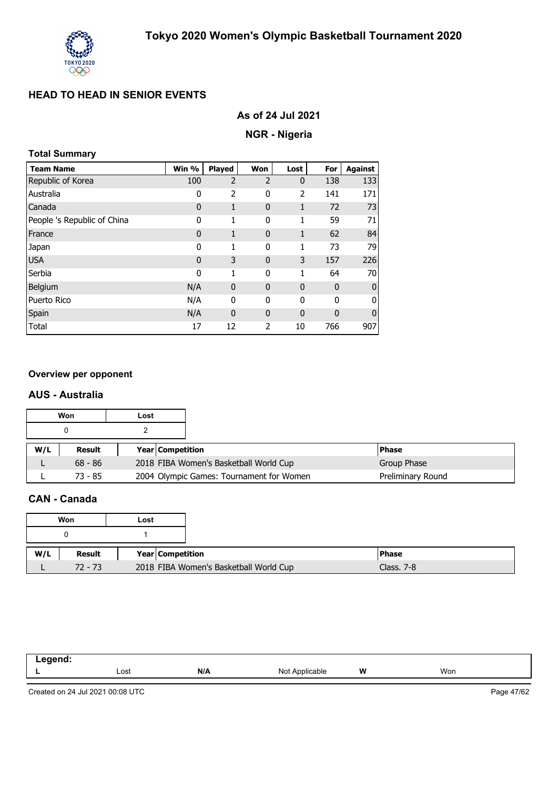

# **NGR - Nigeria**

## **Total Summary**

| <b>Team Name</b>            | Win %        | Played         | Won            | Lost         | For          | <b>Against</b> |
|-----------------------------|--------------|----------------|----------------|--------------|--------------|----------------|
| Republic of Korea           | 100          | $\overline{2}$ | $\overline{2}$ | $\bf{0}$     | 138          | 133            |
| Australia                   | 0            | 2              | 0              | 2            | 141          | 171            |
| Canada                      | $\mathbf{0}$ | 1              | $\mathbf{0}$   | 1            | 72           | 73             |
| People 's Republic of China | 0            | 1              | 0              | 1            | 59           | 71             |
| France                      | $\mathbf 0$  | 1              | 0              | 1            | 62           | 84             |
| Japan                       | 0            | 1              | 0              | 1            | 73           | 79             |
| <b>USA</b>                  | $\mathbf 0$  | 3              | $\mathbf{0}$   | 3            | 157          | 226            |
| Serbia                      | 0            | 1              | 0              | 1            | 64           | 70             |
| Belgium                     | N/A          | 0              | 0              | $\mathbf{0}$ | $\mathbf 0$  | $\mathbf 0$    |
| Puerto Rico                 | N/A          | 0              | 0              | 0            | $\mathbf{0}$ | 0              |
| Spain                       | N/A          | $\mathbf{0}$   | $\mathbf{0}$   | $\mathbf 0$  | $\mathbf{0}$ | $\mathbf{0}$   |
| Total                       | 17           | 12             | 2              | 10           | 766          | 907            |

#### **Overview per opponent**

#### **AUS - Australia**

|     | Won<br>Lost |                         |                                          |                   |
|-----|-------------|-------------------------|------------------------------------------|-------------------|
|     |             |                         |                                          |                   |
| W/L | Result      | <b>Year Competition</b> |                                          | l Phase           |
|     | $68 - 86$   |                         | 2018 FIBA Women's Basketball World Cup   | Group Phase       |
|     | $73 - 85$   |                         | 2004 Olympic Games: Tournament for Women | Preliminary Round |

## **CAN - Canada**

| Won<br>Lost |           |  |                  |                                                      |  |
|-------------|-----------|--|------------------|------------------------------------------------------|--|
|             |           |  |                  |                                                      |  |
| W/L         | Result    |  | Year Competition | <b>Phase</b>                                         |  |
|             | $72 - 73$ |  |                  | 2018 FIBA Women's Basketball World Cup<br>Class, 7-8 |  |

| .<br>. .<br>$\sim$ |      |     |                     |   |     |
|--------------------|------|-----|---------------------|---|-----|
| -                  | Lost | N/A | Not ,<br>Applicable | W | Won |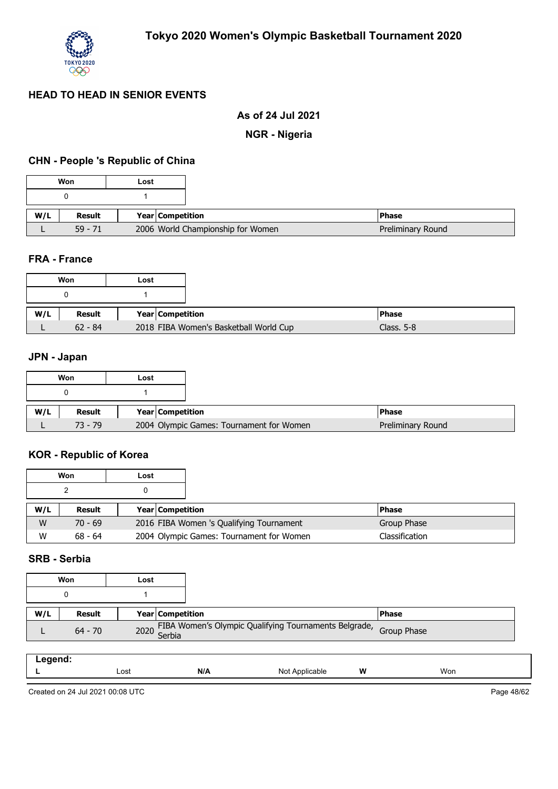

## **As of 24 Jul 2021**

#### **NGR - Nigeria**

## **CHN - People 's Republic of China**

|     | Won       | Lost                              |
|-----|-----------|-----------------------------------|
|     |           |                                   |
| W/L | Result    | <b>Year Competition</b>           |
|     | $59 - 71$ | 2006 World Championship for Women |

#### **FRA - France**

|     | Won       | Lost |                                        |
|-----|-----------|------|----------------------------------------|
|     |           |      |                                        |
| W/L | Result    |      | Year Competition                       |
|     | $62 - 84$ |      | 2018 FIBA Women's Basketball World Cup |

## **JPN - Japan**

|     | Won           | Lost |                  |                                          |                   |
|-----|---------------|------|------------------|------------------------------------------|-------------------|
|     | o             |      |                  |                                          |                   |
| W/L | <b>Result</b> |      | Year Competition |                                          | <b>IPhase</b>     |
|     | $73 - 79$     |      |                  | 2004 Olympic Games: Tournament for Women | Preliminary Round |

#### **KOR - Republic of Korea**

|     | Won       | Lost |                                          |  |                |
|-----|-----------|------|------------------------------------------|--|----------------|
|     |           |      |                                          |  |                |
| W/L | Result    |      | <b>Year Competition</b>                  |  | <b>Phase</b>   |
| W   | $70 - 69$ |      | 2016 FIBA Women 's Qualifying Tournament |  | Group Phase    |
| W   | $68 - 64$ |      | 2004 Olympic Games: Tournament for Women |  | Classification |

### **SRB - Serbia**

|     | Won           | Lost |  |                                                                        |  |
|-----|---------------|------|--|------------------------------------------------------------------------|--|
|     |               |      |  |                                                                        |  |
| W/L | <b>Result</b> |      |  | Year Competition                                                       |  |
|     | $64 - 70$     |      |  | 2020 FIBA Women's Olympic Qualifying Tournaments Belgrade, Group Phase |  |

| `qend.<br>—∽9∹<br>. |      |     |                 |   |     |
|---------------------|------|-----|-----------------|---|-----|
|                     | Lost | N/A | Not<br>plicable | W | Won |

Created on 24 Jul 2021 00:08 UTC

Page 48/62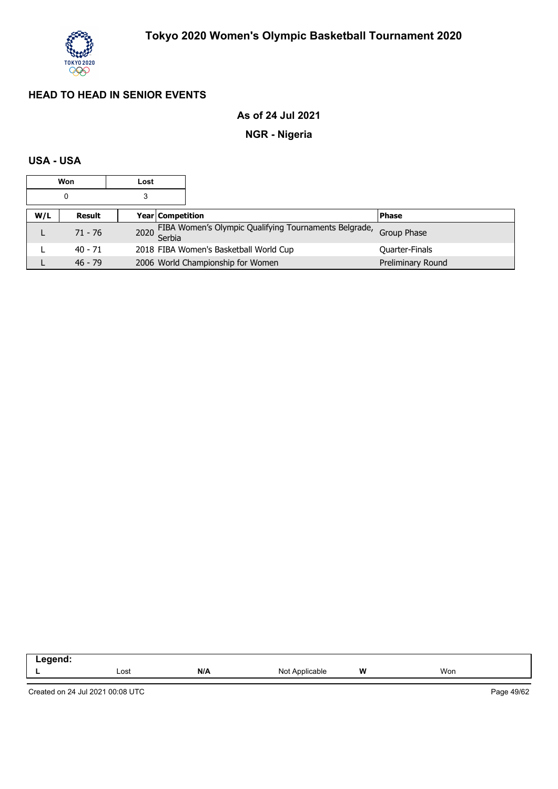

## **As of 24 Jul 2021**

## **NGR - Nigeria**

## **USA - USA**

| Won<br>Lost |           |  |                         |                                                            |                    |
|-------------|-----------|--|-------------------------|------------------------------------------------------------|--------------------|
| 0<br>3      |           |  |                         |                                                            |                    |
| W/L         | Result    |  | <b>Year Competition</b> |                                                            | <b>Phase</b>       |
|             | $71 - 76$ |  |                         | 2020 FIBA Women's Olympic Qualifying Tournaments Belgrade, | <b>Group Phase</b> |
|             | $40 - 71$ |  |                         | 2018 FIBA Women's Basketball World Cup                     | Quarter-Finals     |
|             | $46 - 79$ |  |                         | 2006 World Championship for Women                          | Preliminary Round  |

| .<br>œ<br>™IL.<br>- |      |     |                  |       |     |
|---------------------|------|-----|------------------|-------|-----|
|                     | Lost | N/A | No<br>Applicable | W<br> | Won |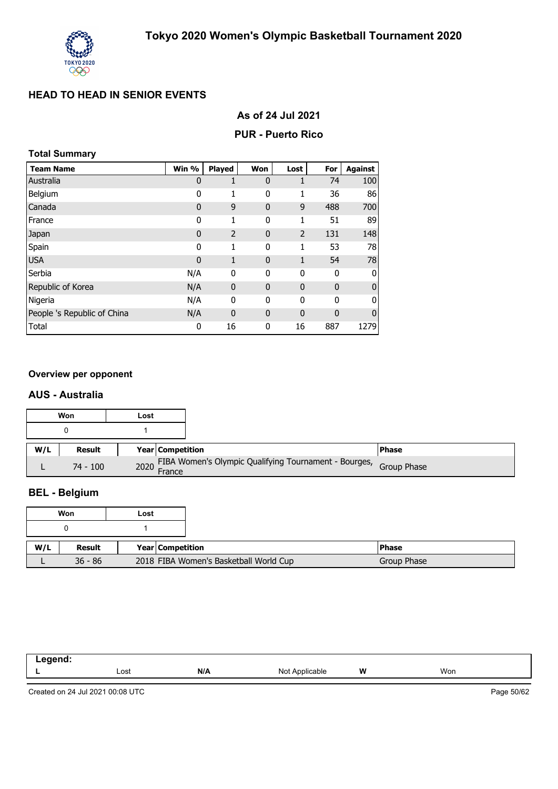

|  |  |  |  | As of 24 Jul 2021 |
|--|--|--|--|-------------------|
|--|--|--|--|-------------------|

#### **PUR - Puerto Rico**

#### **Total Summary**

| <b>Team Name</b>            | Win %       | <b>Played</b> | Won          | Lost           | For         | <b>Against</b> |
|-----------------------------|-------------|---------------|--------------|----------------|-------------|----------------|
| Australia                   | $\mathbf 0$ | 1             | $\mathbf 0$  | 1              | 74          | 100            |
| Belgium                     | 0           | 1             | 0            | 1              | 36          | 86             |
| Canada                      | 0           | 9             | $\mathbf{0}$ | 9              | 488         | 700            |
| France                      | 0           | 1             | 0            | 1              | 51          | 89             |
| Japan                       | 0           | 2             | $\mathbf 0$  | $\overline{2}$ | 131         | 148            |
| Spain                       | 0           | 1             | 0            | 1              | 53          | 78             |
| <b>USA</b>                  | $\mathbf 0$ | 1             | $\mathbf{0}$ | 1              | 54          | 78             |
| Serbia                      | N/A         | 0             | 0            | 0              | 0           | 0              |
| Republic of Korea           | N/A         | $\mathbf 0$   | $\mathbf 0$  | $\mathbf{0}$   | $\mathbf 0$ | $\overline{0}$ |
| Nigeria                     | N/A         | 0             | 0            | 0              | $\mathbf 0$ | $\overline{0}$ |
| People 's Republic of China | N/A         | $\mathbf 0$   | $\mathbf{0}$ | $\mathbf 0$    | $\mathbf 0$ | $\mathbf{0}$   |
| Total                       | 0           | 16            | 0            | 16             | 887         | 1279           |

#### **Overview per opponent**

#### **AUS - Australia**

|     | Won        | Lost |                                                                        |               |
|-----|------------|------|------------------------------------------------------------------------|---------------|
|     |            |      |                                                                        |               |
| W/L | Result     |      | <b>Year Competition</b>                                                | <b>IPhase</b> |
|     | $74 - 100$ |      | 2020 FIBA Women's Olympic Qualifying Tournament - Bourges, Group Phase |               |

## **BEL - Belgium**

|     | Won       | Lost |                         |                                        |
|-----|-----------|------|-------------------------|----------------------------------------|
|     |           |      |                         |                                        |
| W/L | Result    |      | <b>Year Competition</b> |                                        |
|     | $36 - 86$ |      |                         | 2018 FIBA Women's Basketball World Cup |

| .<br>$\sim$ $\sim$ |      |     |                   |   |     |
|--------------------|------|-----|-------------------|---|-----|
| --                 | Lost | N/A | Not<br>Applicable | W | Won |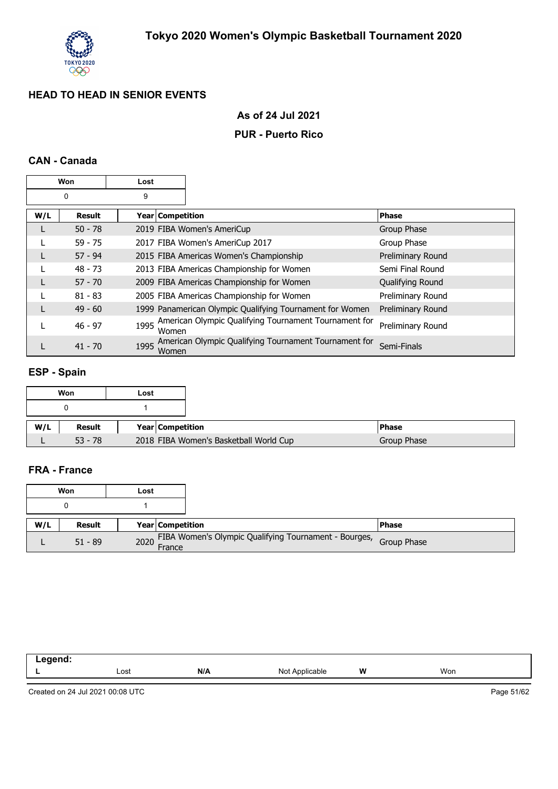

### **As of 24 Jul 2021**

#### **PUR - Puerto Rico**

### **CAN - Canada**

|     | Won           | Lost             |                                                          |                   |
|-----|---------------|------------------|----------------------------------------------------------|-------------------|
|     | 0             | 9                |                                                          |                   |
| W/L | <b>Result</b> | Year Competition |                                                          | <b>Phase</b>      |
| L   | $50 - 78$     |                  | 2019 FIBA Women's AmeriCup                               | Group Phase       |
|     | $59 - 75$     |                  | 2017 FIBA Women's AmeriCup 2017                          | Group Phase       |
|     | $57 - 94$     |                  | 2015 FIBA Americas Women's Championship                  | Preliminary Round |
|     | $48 - 73$     |                  | 2013 FIBA Americas Championship for Women                | Semi Final Round  |
|     | $57 - 70$     |                  | 2009 FIBA Americas Championship for Women                | Qualifying Round  |
|     | $81 - 83$     |                  | 2005 FIBA Americas Championship for Women                | Preliminary Round |
| L   | $49 - 60$     |                  | 1999 Panamerican Olympic Qualifying Tournament for Women | Preliminary Round |
|     | $46 - 97$     | 1995<br>Women    | American Olympic Qualifying Tournament Tournament for    | Preliminary Round |
|     | $41 - 70$     | 1995<br>Women    | American Olympic Qualifying Tournament Tournament for    | Semi-Finals       |

## **ESP - Spain**

|     | Won           | Lost                                   |
|-----|---------------|----------------------------------------|
|     |               |                                        |
| W/L | <b>Result</b> | Year Competition                       |
|     | $53 - 78$     | 2018 FIBA Women's Basketball World Cup |

## **FRA - France**

|     | Won           | Lost             |                                                                   |
|-----|---------------|------------------|-------------------------------------------------------------------|
|     | 0             |                  |                                                                   |
| W/L | <b>Result</b> | Year Competition |                                                                   |
|     | $51 - 89$     | 2020 France      | FIBA Women's Olympic Qualifying Tournament - Bourges, Group Phase |

| - | Lost | N/A | Not.<br>$\cdot\cdot\cdot$ | W | Won |  |
|---|------|-----|---------------------------|---|-----|--|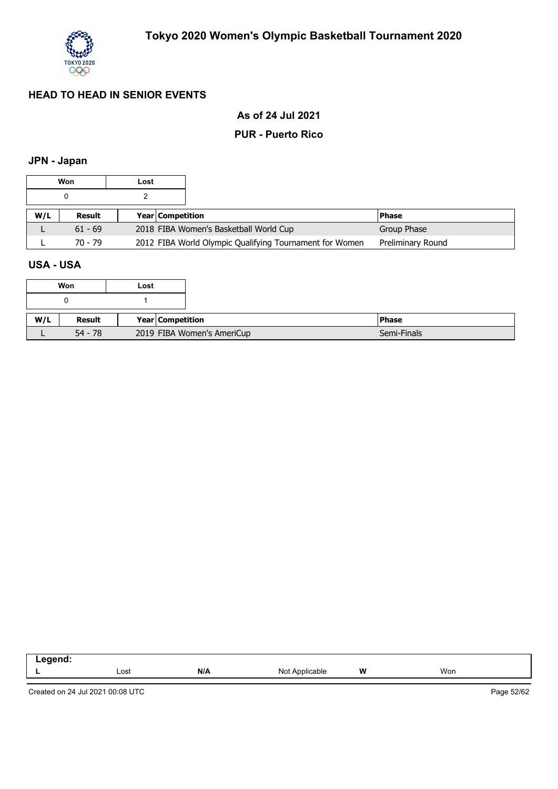

## **As of 24 Jul 2021**

#### **PUR - Puerto Rico**

## **JPN - Japan**

|     | Won       | Lost |                         |                                                         |                   |
|-----|-----------|------|-------------------------|---------------------------------------------------------|-------------------|
|     |           |      |                         |                                                         |                   |
| W/L | Result    |      | <b>Year Competition</b> |                                                         | l Phase           |
|     | $61 - 69$ |      |                         | 2018 FIBA Women's Basketball World Cup                  | Group Phase       |
|     | $70 - 79$ |      |                         | 2012 FIBA World Olympic Qualifying Tournament for Women | Preliminary Round |

### **USA - USA**

|     | Won       | Lost                       |  |              |
|-----|-----------|----------------------------|--|--------------|
|     |           |                            |  |              |
|     |           |                            |  |              |
| W/L | Result    | Year   Competition         |  | <b>Phase</b> |
|     | $54 - 78$ | 2019 FIBA Women's AmeriCup |  |              |

| anand.<br>-- 3 |      |     |                         |   |               |
|----------------|------|-----|-------------------------|---|---------------|
|                | Lost | N/A | N∩t<br>Applicable<br>٦v | W | Won<br>$\sim$ |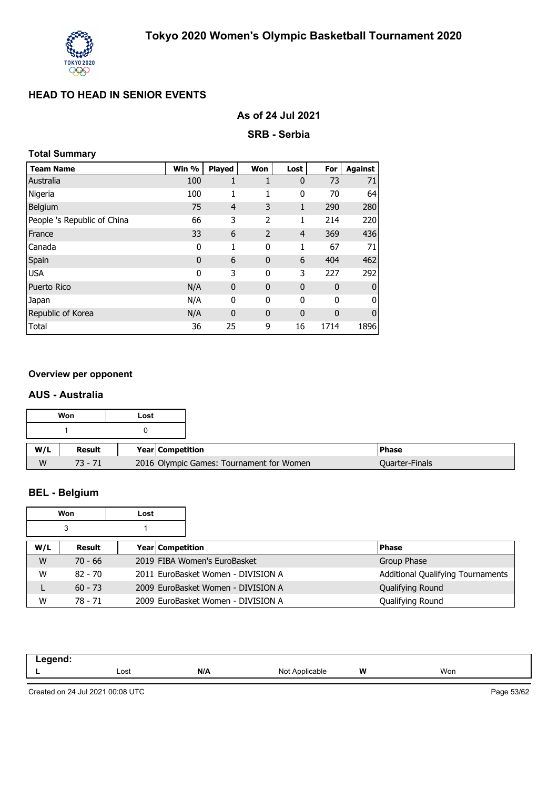

| As of 24 Jul 2021 |  |  |  |
|-------------------|--|--|--|
|-------------------|--|--|--|

**SRB - Serbia**

### **Total Summary**

| <b>Team Name</b>            | Win %        | <b>Played</b>  | Won            | Lost         | For          | <b>Against</b> |
|-----------------------------|--------------|----------------|----------------|--------------|--------------|----------------|
| Australia                   | 100          | 1              | 1              | $\mathbf 0$  | 73           | 71             |
| Nigeria                     | 100          | 1              | 1              | 0            | 70           | 64             |
| Belgium                     | 75           | $\overline{4}$ | 3              | $\mathbf{1}$ | 290          | 280            |
| People 's Republic of China | 66           | 3              | 2              | 1            | 214          | 220            |
| France                      | 33           | 6              | $\overline{2}$ | 4            | 369          | 436            |
| Canada                      | 0            | 1              | 0              | 1            | 67           | 71             |
| Spain                       | $\mathbf{0}$ | 6              | $\mathbf{0}$   | 6            | 404          | 462            |
| <b>USA</b>                  | 0            | 3              | 0              | 3            | 227          | 292            |
| <b>Puerto Rico</b>          | N/A          | $\mathbf 0$    | $\mathbf{0}$   | 0            | 0            | $\bf{0}$       |
| Japan                       | N/A          | 0              | 0              | 0            | 0            | 0              |
| Republic of Korea           | N/A          | $\mathbf 0$    | $\mathbf{0}$   | 0            | $\mathbf{0}$ | $\mathbf 0$    |
| Total                       | 36           | 25             | 9              | 16           | 1714         | 1896           |

#### **Overview per opponent**

#### **AUS - Australia**

|     | Won       | Lost                    |                                          |                       |
|-----|-----------|-------------------------|------------------------------------------|-----------------------|
|     |           |                         |                                          |                       |
| W/L | Result    | <b>Year Competition</b> |                                          | <b>Phase</b>          |
| W   | $73 - 71$ |                         | 2016 Olympic Games: Tournament for Women | <b>Quarter-Finals</b> |

# **BEL - Belgium**

|     | Won       | Lost             |                                    |                                          |
|-----|-----------|------------------|------------------------------------|------------------------------------------|
|     | 3         |                  |                                    |                                          |
| W/L | Result    | Year Competition |                                    | <b>Phase</b>                             |
| W   | $70 - 66$ |                  | 2019 FIBA Women's EuroBasket       | Group Phase                              |
| W   | $82 - 70$ |                  | 2011 EuroBasket Women - DIVISION A | <b>Additional Qualifying Tournaments</b> |
|     | $60 - 73$ |                  | 2009 EuroBasket Women - DIVISION A | Qualifying Round                         |
| W   | 78 - 71   |                  | 2009 EuroBasket Women - DIVISION A | Qualifying Round                         |

| hnena<br>-- 5 |      |     |                     |   |     |
|---------------|------|-----|---------------------|---|-----|
|               | Lost | N/A | Not .<br>Applicable | W | Won |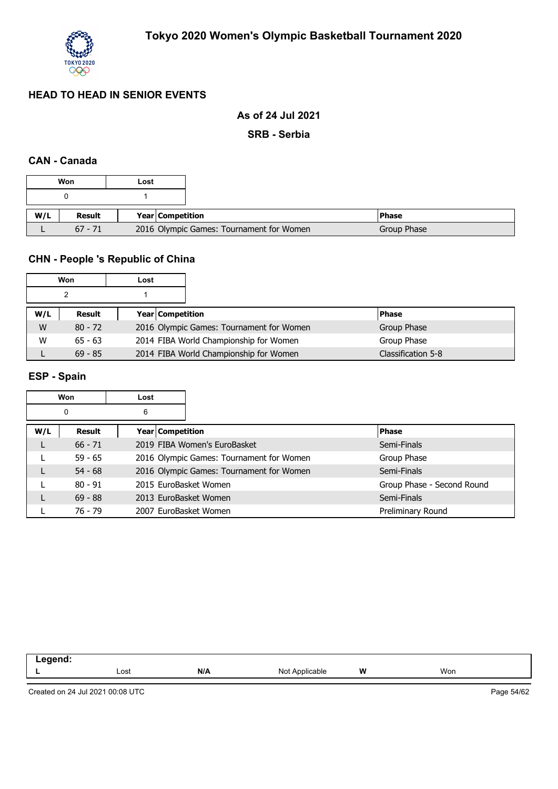

### **As of 24 Jul 2021**

**SRB - Serbia**

### **CAN - Canada**

|     | Won           | Lost                    |                                          |             |
|-----|---------------|-------------------------|------------------------------------------|-------------|
|     |               |                         |                                          |             |
| W/L | <b>Result</b> | <b>Year Competition</b> |                                          | l Phase     |
|     | $67 - 71$     |                         | 2016 Olympic Games: Tournament for Women | Group Phase |

## **CHN - People 's Republic of China**

|     | Won           | Lost |                                          |  |                    |
|-----|---------------|------|------------------------------------------|--|--------------------|
|     |               |      |                                          |  |                    |
| W/L | <b>Result</b> |      | <b>Year Competition</b>                  |  | <b>Phase</b>       |
| W   | $80 - 72$     |      | 2016 Olympic Games: Tournament for Women |  | Group Phase        |
| W   | $65 - 63$     |      | 2014 FIBA World Championship for Women   |  | Group Phase        |
|     | $69 - 85$     |      | 2014 FIBA World Championship for Women   |  | Classification 5-8 |

# **ESP - Spain**

| Won<br>Lost |           |                  |  |                                          |                            |
|-------------|-----------|------------------|--|------------------------------------------|----------------------------|
|             | 0         | 6                |  |                                          |                            |
| W/L         | Result    | Year Competition |  |                                          | <b>Phase</b>               |
|             | $66 - 71$ |                  |  | 2019 FIBA Women's EuroBasket             | Semi-Finals                |
|             | $59 - 65$ |                  |  | 2016 Olympic Games: Tournament for Women | Group Phase                |
|             | $54 - 68$ |                  |  | 2016 Olympic Games: Tournament for Women | Semi-Finals                |
|             | $80 - 91$ |                  |  | 2015 EuroBasket Women                    | Group Phase - Second Round |
|             | $69 - 88$ |                  |  | 2013 EuroBasket Women                    | Semi-Finals                |
|             | 76 - 79   |                  |  | 2007 EuroBasket Women                    | Preliminary Round          |

| --<br>- - |              |     |                               |   |     |  |
|-----------|--------------|-----|-------------------------------|---|-----|--|
|           | Lost<br>---- | N/A | NI∩t<br>$n_{\rm m}$<br>™cable | W | Won |  |
|           |              |     |                               |   |     |  |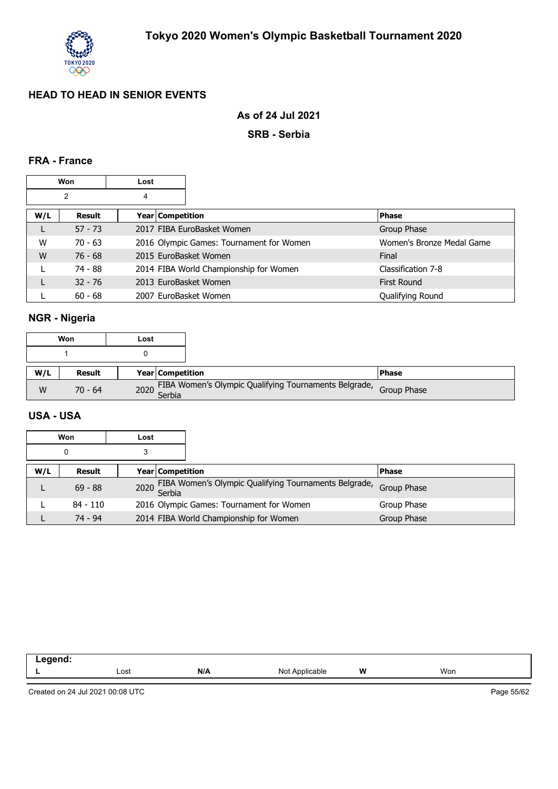

## **As of 24 Jul 2021**

#### **SRB - Serbia**

### **FRA - France**

| Won<br>Lost |           |                    |                                          |  |                           |
|-------------|-----------|--------------------|------------------------------------------|--|---------------------------|
| 2<br>4      |           |                    |                                          |  |                           |
| W/L         | Result    | Year   Competition |                                          |  | <b>Phase</b>              |
|             | $57 - 73$ |                    | 2017 FIBA EuroBasket Women               |  | Group Phase               |
| W           | $70 - 63$ |                    | 2016 Olympic Games: Tournament for Women |  | Women's Bronze Medal Game |
| W           | $76 - 68$ |                    | 2015 EuroBasket Women                    |  | Final                     |
|             | 74 - 88   |                    | 2014 FIBA World Championship for Women   |  | Classification 7-8        |
|             | $32 - 76$ |                    | 2013 EuroBasket Women                    |  | <b>First Round</b>        |
|             | $60 - 68$ |                    | 2007 EuroBasket Women                    |  | Qualifying Round          |

## **NGR - Nigeria**

|     | Won       | Lost |                         |                                                                        |               |
|-----|-----------|------|-------------------------|------------------------------------------------------------------------|---------------|
|     |           |      |                         |                                                                        |               |
| W/L | Result    |      | <b>Year Competition</b> |                                                                        | <b>IPhase</b> |
| W   | $70 - 64$ |      |                         | 2020 FIBA Women's Olympic Qualifying Tournaments Belgrade, Group Phase |               |

#### **USA - USA**

|     | Won       | Lost |                    |                                                            |              |
|-----|-----------|------|--------------------|------------------------------------------------------------|--------------|
|     | 0         | 3    |                    |                                                            |              |
| W/L | Result    |      | Year   Competition |                                                            | <b>Phase</b> |
|     | $69 - 88$ |      |                    | 2020 FIBA Women's Olympic Qualifying Tournaments Belgrade, | Group Phase  |
|     | 84 - 110  |      |                    | 2016 Olympic Games: Tournament for Women                   | Group Phase  |
|     | $74 - 94$ |      |                    | 2014 FIBA World Championship for Women                     | Group Phase  |

| -------<br>_<br>.<br>$\sim$ |              |     |                     |   |     |  |
|-----------------------------|--------------|-----|---------------------|---|-----|--|
|                             | Lost<br>---- | N/A | Not<br>. Applicable | W | Won |  |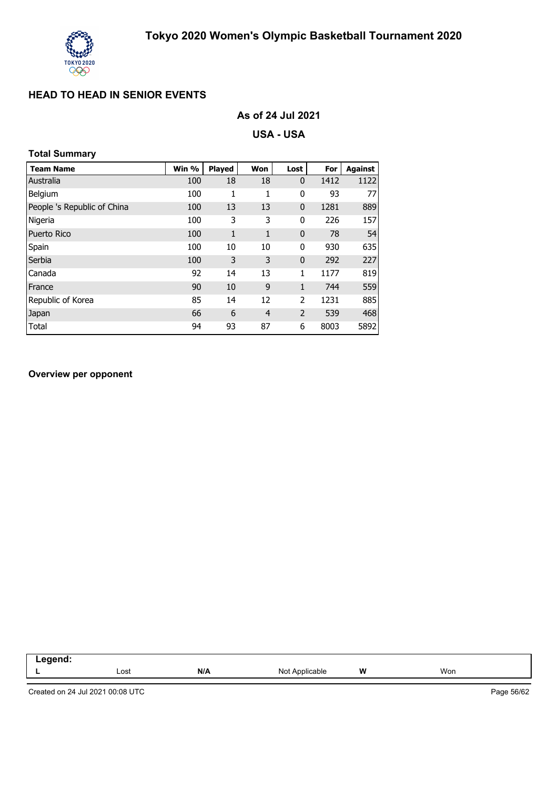

| As of 24 Jul 2021 |  |  |
|-------------------|--|--|
|-------------------|--|--|

**USA - USA**

## **Total Summary**

| <b>Team Name</b>            | Win % | <b>Played</b> | Won            | Lost           | For  | <b>Against</b> |
|-----------------------------|-------|---------------|----------------|----------------|------|----------------|
| Australia                   | 100   | 18            | 18             | $\mathbf{0}$   | 1412 | 1122           |
| Belgium                     | 100   | 1             | 1              | 0              | 93   | 77             |
| People 's Republic of China | 100   | 13            | 13             | 0              | 1281 | 889            |
| Nigeria                     | 100   | 3             | 3              | 0              | 226  | 157            |
| <b>Puerto Rico</b>          | 100   | $\mathbf{1}$  | 1              | 0              | 78   | 54             |
| Spain                       | 100   | 10            | 10             | 0              | 930  | 635            |
| Serbia                      | 100   | 3             | 3              | 0              | 292  | 227            |
| Canada                      | 92    | 14            | 13             | 1              | 1177 | 819            |
| France                      | 90    | 10            | 9              | $\mathbf{1}$   | 744  | 559            |
| Republic of Korea           | 85    | 14            | 12             | 2              | 1231 | 885            |
| Japan                       | 66    | 6             | $\overline{4}$ | $\overline{2}$ | 539  | 468            |
| Total                       | 94    | 93            | 87             | 6              | 8003 | 5892           |

#### **Overview per opponent**

| eand:<br>… |      |     |                   |   |     |
|------------|------|-----|-------------------|---|-----|
| . .        | Lost | N/A | Not<br>Applicable | W | Won |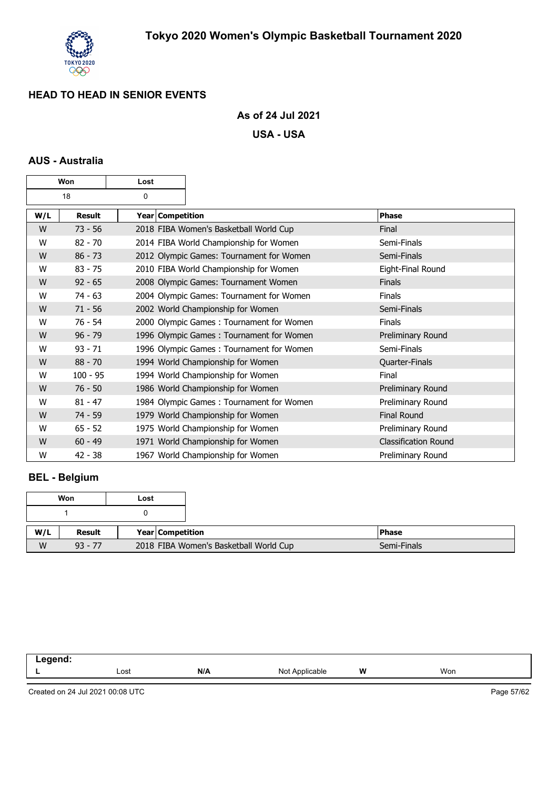

### **As of 24 Jul 2021**

**USA - USA**

## **AUS - Australia**

| Won<br>Lost |               |   |                                                         |                                          |  |                             |
|-------------|---------------|---|---------------------------------------------------------|------------------------------------------|--|-----------------------------|
|             | 18            | 0 |                                                         |                                          |  |                             |
| W/L         | <b>Result</b> |   | Year Competition                                        |                                          |  | <b>Phase</b>                |
| W           | $73 - 56$     |   |                                                         | 2018 FIBA Women's Basketball World Cup   |  | Final                       |
| W           | $82 - 70$     |   |                                                         | 2014 FIBA World Championship for Women   |  | Semi-Finals                 |
| W           | $86 - 73$     |   |                                                         | 2012 Olympic Games: Tournament for Women |  | Semi-Finals                 |
| W           | $83 - 75$     |   |                                                         | 2010 FIBA World Championship for Women   |  | Eight-Final Round           |
| W           | $92 - 65$     |   |                                                         | 2008 Olympic Games: Tournament Women     |  | Finals                      |
| W           | $74 - 63$     |   |                                                         | 2004 Olympic Games: Tournament for Women |  | <b>Finals</b>               |
| W           | $71 - 56$     |   |                                                         | 2002 World Championship for Women        |  | Semi-Finals                 |
| W           | $76 - 54$     |   |                                                         | 2000 Olympic Games: Tournament for Women |  | Finals                      |
| W           | $96 - 79$     |   |                                                         | 1996 Olympic Games: Tournament for Women |  | Preliminary Round           |
| W           | $93 - 71$     |   |                                                         | 1996 Olympic Games: Tournament for Women |  | Semi-Finals                 |
| W           | $88 - 70$     |   |                                                         | 1994 World Championship for Women        |  | Quarter-Finals              |
| W           | $100 - 95$    |   |                                                         | 1994 World Championship for Women        |  | Final                       |
| W           | $76 - 50$     |   |                                                         | 1986 World Championship for Women        |  | Preliminary Round           |
| W           | $81 - 47$     |   |                                                         | 1984 Olympic Games: Tournament for Women |  | Preliminary Round           |
| W           | $74 - 59$     |   | <b>Final Round</b><br>1979 World Championship for Women |                                          |  |                             |
| W           | $65 - 52$     |   | 1975 World Championship for Women<br>Preliminary Round  |                                          |  |                             |
| W           | $60 - 49$     |   |                                                         | 1971 World Championship for Women        |  | <b>Classification Round</b> |
| W           | $42 - 38$     |   |                                                         | 1967 World Championship for Women        |  | Preliminary Round           |

## **BEL - Belgium**

|     | Won       | Lost |                  |                                        |              |
|-----|-----------|------|------------------|----------------------------------------|--------------|
|     |           |      |                  |                                        |              |
| W/L | Result    |      | Year Competition |                                        | <b>Phase</b> |
| W   | $93 - 77$ |      |                  | 2018 FIBA Women's Basketball World Cup |              |

| .<br>-- |      |     |                   |   |     |
|---------|------|-----|-------------------|---|-----|
| -       | Lost | N/A | Not<br>Applicable | W | Won |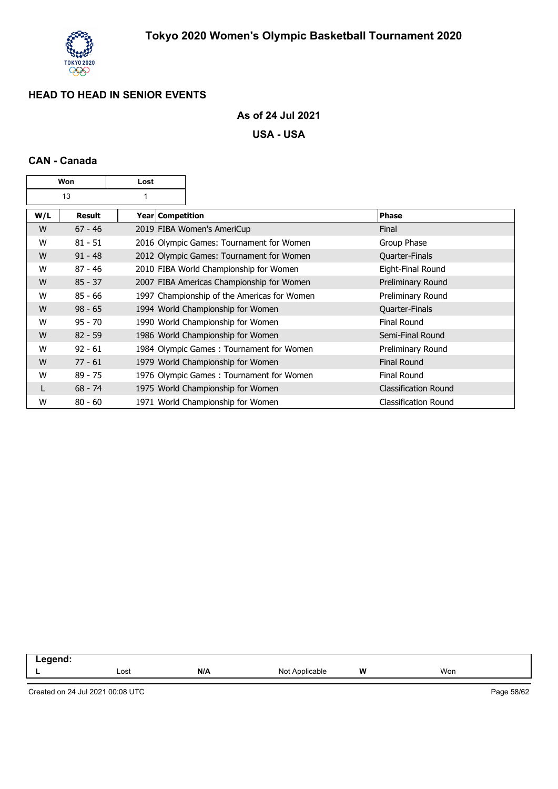

## **As of 24 Jul 2021**

**USA - USA**

## **CAN - Canada**

| Won<br>Lost |           |                    |                                             |                             |
|-------------|-----------|--------------------|---------------------------------------------|-----------------------------|
|             | 13        |                    |                                             |                             |
| W/L         | Result    | Year   Competition |                                             | <b>Phase</b>                |
| W           | $67 - 46$ |                    | 2019 FIBA Women's AmeriCup                  | Final                       |
| W           | $81 - 51$ |                    | 2016 Olympic Games: Tournament for Women    | Group Phase                 |
| W           | $91 - 48$ |                    | 2012 Olympic Games: Tournament for Women    | Quarter-Finals              |
| W           | $87 - 46$ |                    | 2010 FIBA World Championship for Women      | Eight-Final Round           |
| W           | $85 - 37$ |                    | 2007 FIBA Americas Championship for Women   | Preliminary Round           |
| W           | $85 - 66$ |                    | 1997 Championship of the Americas for Women | Preliminary Round           |
| W           | $98 - 65$ |                    | 1994 World Championship for Women           | Quarter-Finals              |
| W           | $95 - 70$ |                    | 1990 World Championship for Women           | <b>Final Round</b>          |
| W           | $82 - 59$ |                    | 1986 World Championship for Women           | Semi-Final Round            |
| W           | $92 - 61$ |                    | 1984 Olympic Games: Tournament for Women    | Preliminary Round           |
| W           | $77 - 61$ |                    | 1979 World Championship for Women           | <b>Final Round</b>          |
| W           | $89 - 75$ |                    | 1976 Olympic Games: Tournament for Women    | <b>Final Round</b>          |
| L           | $68 - 74$ |                    | 1975 World Championship for Women           | <b>Classification Round</b> |
| W           | $80 - 60$ |                    | 1971 World Championship for Women           | <b>Classification Round</b> |

| .<br>. |      |     |                         |         |     |  |
|--------|------|-----|-------------------------|---------|-----|--|
| -      | ∟ost | N/A | N∩t<br>Applicable<br>◥◡ | W<br>-- | Won |  |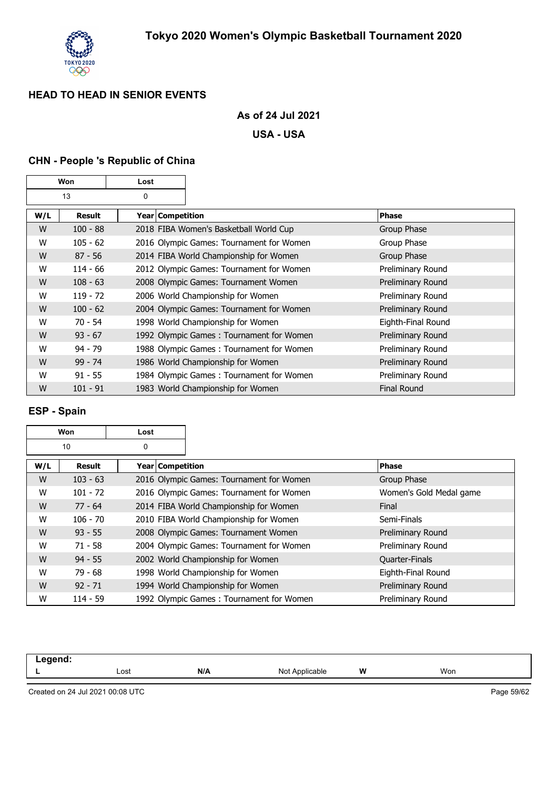

## **As of 24 Jul 2021**

**USA - USA**

## **CHN - People 's Republic of China**

|     | Won        | Lost |                    |                                          |                    |
|-----|------------|------|--------------------|------------------------------------------|--------------------|
|     | 13         | 0    |                    |                                          |                    |
| W/L | Result     |      | Year   Competition |                                          | Phase              |
| W   | $100 - 88$ |      |                    | 2018 FIBA Women's Basketball World Cup   | Group Phase        |
| W   | $105 - 62$ |      |                    | 2016 Olympic Games: Tournament for Women | Group Phase        |
| W   | $87 - 56$  |      |                    | 2014 FIBA World Championship for Women   | Group Phase        |
| W   | $114 - 66$ |      |                    | 2012 Olympic Games: Tournament for Women | Preliminary Round  |
| W   | $108 - 63$ |      |                    | 2008 Olympic Games: Tournament Women     | Preliminary Round  |
| W   | $119 - 72$ |      |                    | 2006 World Championship for Women        | Preliminary Round  |
| W   | $100 - 62$ |      |                    | 2004 Olympic Games: Tournament for Women | Preliminary Round  |
| W   | $70 - 54$  |      |                    | 1998 World Championship for Women        | Eighth-Final Round |
| W   | $93 - 67$  |      |                    | 1992 Olympic Games: Tournament for Women | Preliminary Round  |
| W   | $94 - 79$  |      |                    | 1988 Olympic Games: Tournament for Women | Preliminary Round  |
| W   | $99 - 74$  |      |                    | 1986 World Championship for Women        | Preliminary Round  |
| W   | $91 - 55$  |      |                    | 1984 Olympic Games: Tournament for Women | Preliminary Round  |
| W   | $101 - 91$ |      |                    | 1983 World Championship for Women        | <b>Final Round</b> |

#### **ESP - Spain**

|     | Won<br>Lost |                  |                                          |                         |
|-----|-------------|------------------|------------------------------------------|-------------------------|
|     | 10<br>0     |                  |                                          |                         |
| W/L | Result      | Year Competition |                                          | Phase                   |
| W   | $103 - 63$  |                  | 2016 Olympic Games: Tournament for Women | Group Phase             |
| W   | $101 - 72$  |                  | 2016 Olympic Games: Tournament for Women | Women's Gold Medal game |
| W   | $77 - 64$   |                  | 2014 FIBA World Championship for Women   | Final                   |
| W   | $106 - 70$  |                  | 2010 FIBA World Championship for Women   | Semi-Finals             |
| W   | $93 - 55$   |                  | 2008 Olympic Games: Tournament Women     | Preliminary Round       |
| W   | $71 - 58$   |                  | 2004 Olympic Games: Tournament for Women | Preliminary Round       |
| W   | $94 - 55$   |                  | 2002 World Championship for Women        | <b>Quarter-Finals</b>   |
| W   | $79 - 68$   |                  | 1998 World Championship for Women        | Eighth-Final Round      |
| W   | $92 - 71$   |                  | 1994 World Championship for Women        | Preliminary Round       |
| W   | $114 - 59$  |                  | 1992 Olympic Games: Tournament for Women | Preliminary Round       |

| egend:<br>$-9.9$ |              |     |                               |   |     |
|------------------|--------------|-----|-------------------------------|---|-----|
|                  | Lost<br>---- | N/A | NM+<br>`Applicable<br>7. JUL. | W | Won |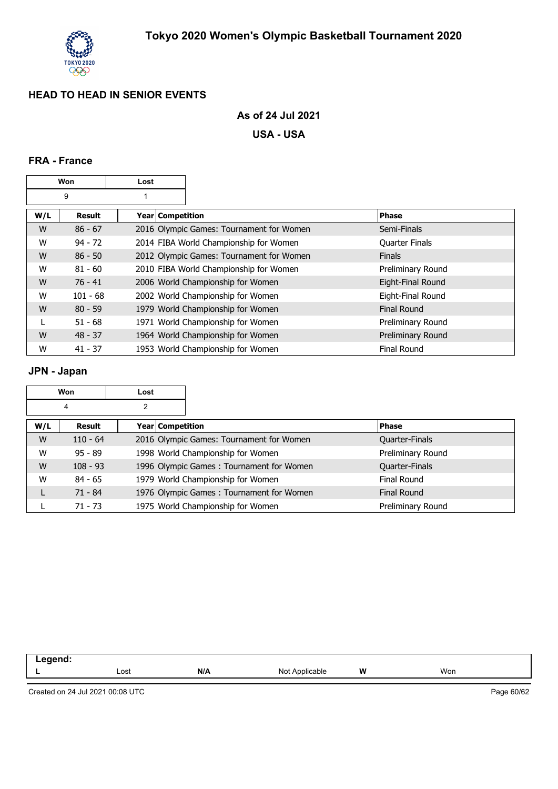

### **As of 24 Jul 2021**

**USA - USA**

## **FRA - France**

|     | Won           | Lost               |                                          |                       |
|-----|---------------|--------------------|------------------------------------------|-----------------------|
|     | 9             |                    |                                          |                       |
| W/L | <b>Result</b> | Year   Competition |                                          | <b>Phase</b>          |
| W   | $86 - 67$     |                    | 2016 Olympic Games: Tournament for Women | Semi-Finals           |
| W   | $94 - 72$     |                    | 2014 FIBA World Championship for Women   | <b>Quarter Finals</b> |
| W   | $86 - 50$     |                    | 2012 Olympic Games: Tournament for Women | <b>Finals</b>         |
| W   | $81 - 60$     |                    | 2010 FIBA World Championship for Women   | Preliminary Round     |
| W   | $76 - 41$     |                    | 2006 World Championship for Women        | Eight-Final Round     |
| W   | $101 - 68$    |                    | 2002 World Championship for Women        | Eight-Final Round     |
| W   | $80 - 59$     |                    | 1979 World Championship for Women        | Final Round           |
|     | $51 - 68$     |                    | 1971 World Championship for Women        | Preliminary Round     |
| W   | $48 - 37$     |                    | 1964 World Championship for Women        | Preliminary Round     |
| W   | $41 - 37$     |                    | 1953 World Championship for Women        | <b>Final Round</b>    |

## **JPN - Japan**

|     | Won        | Lost |                  |                                          |                    |
|-----|------------|------|------------------|------------------------------------------|--------------------|
|     | 4          | 2    |                  |                                          |                    |
| W/L | Result     |      | Year Competition |                                          | <b>Phase</b>       |
| W   | $110 - 64$ |      |                  | 2016 Olympic Games: Tournament for Women | Quarter-Finals     |
| W   | $95 - 89$  |      |                  | 1998 World Championship for Women        | Preliminary Round  |
| W   | $108 - 93$ |      |                  | 1996 Olympic Games: Tournament for Women | Quarter-Finals     |
| W   | $84 - 65$  |      |                  | 1979 World Championship for Women        | Final Round        |
|     | $71 - 84$  |      |                  | 1976 Olympic Games: Tournament for Women | <b>Final Round</b> |
|     | 71 - 73    |      |                  | 1975 World Championship for Women        | Preliminary Round  |

| Lost | N/A | No<br>able | W<br>. | Won |  |
|------|-----|------------|--------|-----|--|
|      |     |            |        |     |  |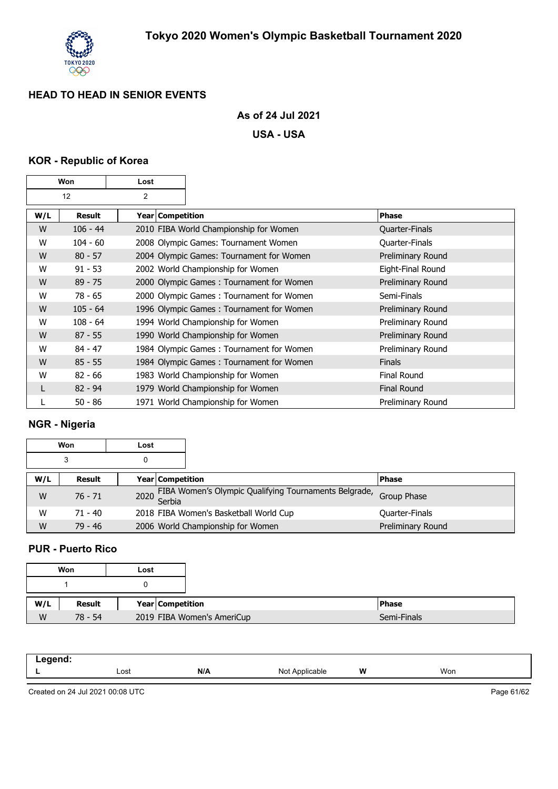

## **As of 24 Jul 2021**

#### **USA - USA**

#### **KOR - Republic of Korea**

|     | Won        | Lost               |                                          |                    |
|-----|------------|--------------------|------------------------------------------|--------------------|
|     | 12         | 2                  |                                          |                    |
| W/L | Result     | Year   Competition |                                          | Phase              |
| W   | $106 - 44$ |                    | 2010 FIBA World Championship for Women   | Quarter-Finals     |
| W   | $104 - 60$ |                    | 2008 Olympic Games: Tournament Women     | Quarter-Finals     |
| W   | $80 - 57$  |                    | 2004 Olympic Games: Tournament for Women | Preliminary Round  |
| W   | $91 - 53$  |                    | 2002 World Championship for Women        | Eight-Final Round  |
| W   | $89 - 75$  |                    | 2000 Olympic Games: Tournament for Women | Preliminary Round  |
| W   | $78 - 65$  |                    | 2000 Olympic Games: Tournament for Women | Semi-Finals        |
| W   | $105 - 64$ |                    | 1996 Olympic Games: Tournament for Women | Preliminary Round  |
| w   | $108 - 64$ |                    | 1994 World Championship for Women        | Preliminary Round  |
| W   | $87 - 55$  |                    | 1990 World Championship for Women        | Preliminary Round  |
| W   | $84 - 47$  |                    | 1984 Olympic Games: Tournament for Women | Preliminary Round  |
| W   | $85 - 55$  |                    | 1984 Olympic Games: Tournament for Women | <b>Finals</b>      |
| w   | $82 - 66$  |                    | 1983 World Championship for Women        | <b>Final Round</b> |
|     | $82 - 94$  |                    | 1979 World Championship for Women        | <b>Final Round</b> |
|     | $50 - 86$  |                    | 1971 World Championship for Women        | Preliminary Round  |

#### **NGR - Nigeria**

|     | Won       | Lost |                                                            |                   |
|-----|-----------|------|------------------------------------------------------------|-------------------|
|     | 3         | 0    |                                                            |                   |
| W/L | Result    |      | <b>Year Competition</b>                                    | <b>IPhase</b>     |
| W   | $76 - 71$ |      | 2020 FIBA Women's Olympic Qualifying Tournaments Belgrade, | Group Phase       |
| w   | $71 - 40$ |      | 2018 FIBA Women's Basketball World Cup                     | Quarter-Finals    |
| W   | $79 - 46$ |      | 2006 World Championship for Women                          | Preliminary Round |

### **PUR - Puerto Rico**

|     | Won       | Lost |                            |
|-----|-----------|------|----------------------------|
|     |           |      |                            |
| W/L | Result    |      | Year Competition           |
| W   | $78 - 54$ |      | 2019 FIBA Women's AmeriCup |

| -----<br>—- ച |      |     |                                  |   |     |
|---------------|------|-----|----------------------------------|---|-----|
|               | Lost | N/A | Not Applicable<br>$\mathbf{IVU}$ | W | Won |